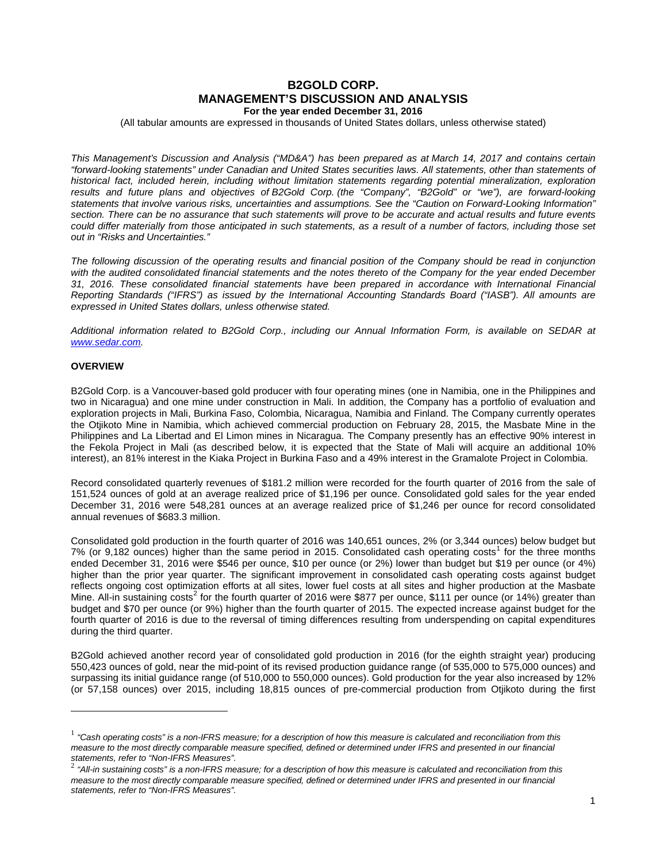# **B2GOLD CORP. MANAGEMENT'S DISCUSSION AND ANALYSIS For the year ended December 31, 2016**

(All tabular amounts are expressed in thousands of United States dollars, unless otherwise stated)

*This Management's Discussion and Analysis ("MD&A") has been prepared as at March 14, 2017 and contains certain "forward-looking statements" under Canadian and United States securities laws. All statements, other than statements of historical fact, included herein, including without limitation statements regarding potential mineralization, exploration results and future plans and objectives of B2Gold Corp. (the "Company", "B2Gold" or "we"), are forward-looking statements that involve various risks, uncertainties and assumptions. See the "Caution on Forward-Looking Information" section. There can be no assurance that such statements will prove to be accurate and actual results and future events could differ materially from those anticipated in such statements, as a result of a number of factors, including those set out in "Risks and Uncertainties."*

*The following discussion of the operating results and financial position of the Company should be read in conjunction with the audited consolidated financial statements and the notes thereto of the Company for the year ended December 31, 2016. These consolidated financial statements have been prepared in accordance with International Financial Reporting Standards ("IFRS") as issued by the International Accounting Standards Board ("IASB"). All amounts are expressed in United States dollars, unless otherwise stated.*

*Additional information related to B2Gold Corp., including our Annual Information Form, is available on SEDAR at [www.sedar.com.](http://www.sedar.com/)*

# **OVERVIEW**

-

B2Gold Corp. is a Vancouver-based gold producer with four operating mines (one in Namibia, one in the Philippines and two in Nicaragua) and one mine under construction in Mali. In addition, the Company has a portfolio of evaluation and exploration projects in Mali, Burkina Faso, Colombia, Nicaragua, Namibia and Finland. The Company currently operates the Otjikoto Mine in Namibia, which achieved commercial production on February 28, 2015, the Masbate Mine in the Philippines and La Libertad and El Limon mines in Nicaragua. The Company presently has an effective 90% interest in the Fekola Project in Mali (as described below, it is expected that the State of Mali will acquire an additional 10% interest), an 81% interest in the Kiaka Project in Burkina Faso and a 49% interest in the Gramalote Project in Colombia.

Record consolidated quarterly revenues of \$181.2 million were recorded for the fourth quarter of 2016 from the sale of 151,524 ounces of gold at an average realized price of \$1,196 per ounce. Consolidated gold sales for the year ended December 31, 2016 were 548,281 ounces at an average realized price of \$1,246 per ounce for record consolidated annual revenues of \$683.3 million.

Consolidated gold production in the fourth quarter of 2016 was 140,651 ounces, 2% (or 3,344 ounces) below budget but 7% (or 9,[1](#page-0-0)82 ounces) higher than the same period in 2015. Consolidated cash operating costs<sup>1</sup> for the three months ended December 31, 2016 were \$546 per ounce, \$10 per ounce (or 2%) lower than budget but \$19 per ounce (or 4%) higher than the prior year quarter. The significant improvement in consolidated cash operating costs against budget reflects ongoing cost optimization efforts at all sites, lower fuel costs at all sites and higher production at the Masbate Mine. All-in sustaining costs<sup>[2](#page-0-1)</sup> for the fourth quarter of 2016 were \$877 per ounce, \$111 per ounce (or 14%) greater than budget and \$70 per ounce (or 9%) higher than the fourth quarter of 2015. The expected increase against budget for the fourth quarter of 2016 is due to the reversal of timing differences resulting from underspending on capital expenditures during the third quarter.

B2Gold achieved another record year of consolidated gold production in 2016 (for the eighth straight year) producing 550,423 ounces of gold, near the mid-point of its revised production guidance range (of 535,000 to 575,000 ounces) and surpassing its initial guidance range (of 510,000 to 550,000 ounces). Gold production for the year also increased by 12% (or 57,158 ounces) over 2015, including 18,815 ounces of pre-commercial production from Otjikoto during the first

<span id="page-0-0"></span><sup>1</sup> *"Cash operating costs" is a non-IFRS measure; for a description of how this measure is calculated and reconciliation from this measure to the most directly comparable measure specified, defined or determined under IFRS and presented in our financial* 

<span id="page-0-1"></span>*statements, refer to "Non-IFRS Measures".* <sup>2</sup> *"All-in sustaining costs" is a non-IFRS measure; for a description of how this measure is calculated and reconciliation from this measure to the most directly comparable measure specified, defined or determined under IFRS and presented in our financial statements, refer to "Non-IFRS Measures".*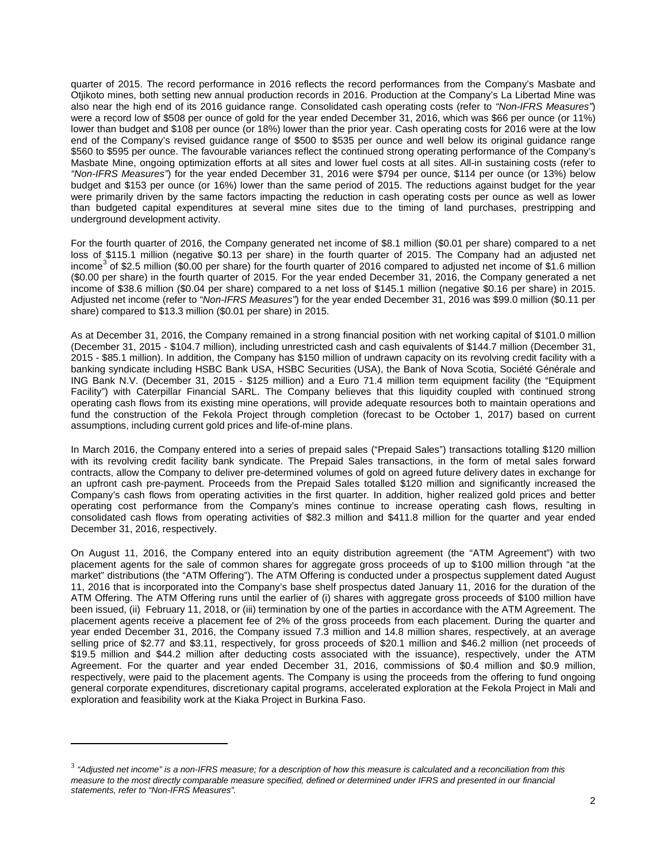quarter of 2015. The record performance in 2016 reflects the record performances from the Company's Masbate and Otjikoto mines, both setting new annual production records in 2016. Production at the Company's La Libertad Mine was also near the high end of its 2016 guidance range. Consolidated cash operating costs (refer to *"Non-IFRS Measures"*) were a record low of \$508 per ounce of gold for the year ended December 31, 2016, which was \$66 per ounce (or 11%) lower than budget and \$108 per ounce (or 18%) lower than the prior year. Cash operating costs for 2016 were at the low end of the Company's revised guidance range of \$500 to \$535 per ounce and well below its original guidance range \$560 to \$595 per ounce. The favourable variances reflect the continued strong operating performance of the Company's Masbate Mine, ongoing optimization efforts at all sites and lower fuel costs at all sites. All-in sustaining costs (refer to *"Non-IFRS Measures"*) for the year ended December 31, 2016 were \$794 per ounce, \$114 per ounce (or 13%) below budget and \$153 per ounce (or 16%) lower than the same period of 2015. The reductions against budget for the year were primarily driven by the same factors impacting the reduction in cash operating costs per ounce as well as lower than budgeted capital expenditures at several mine sites due to the timing of land purchases, prestripping and underground development activity.

For the fourth quarter of 2016, the Company generated net income of \$8.1 million (\$0.01 per share) compared to a net loss of \$115.1 million (negative \$0.13 per share) in the fourth quarter of 2015. The Company had an adjusted net income<sup>[3](#page-0-1)</sup> of \$2.5 million (\$0.00 per share) for the fourth quarter of 2016 compared to adjusted net income of \$1.6 million (\$0.00 per share) in the fourth quarter of 2015. For the year ended December 31, 2016, the Company generated a net income of \$38.6 million (\$0.04 per share) compared to a net loss of \$145.1 million (negative \$0.16 per share) in 2015. Adjusted net income (refer to "*Non-IFRS Measures"*) for the year ended December 31, 2016 was \$99.0 million (\$0.11 per share) compared to \$13.3 million (\$0.01 per share) in 2015.

As at December 31, 2016, the Company remained in a strong financial position with net working capital of \$101.0 million (December 31, 2015 - \$104.7 million), including unrestricted cash and cash equivalents of \$144.7 million (December 31, 2015 - \$85.1 million). In addition, the Company has \$150 million of undrawn capacity on its revolving credit facility with a banking syndicate including HSBC Bank USA, HSBC Securities (USA), the Bank of Nova Scotia, Société Générale and ING Bank N.V. (December 31, 2015 - \$125 million) and a Euro 71.4 million term equipment facility (the "Equipment Facility") with Caterpillar Financial SARL. The Company believes that this liquidity coupled with continued strong operating cash flows from its existing mine operations, will provide adequate resources both to maintain operations and fund the construction of the Fekola Project through completion (forecast to be October 1, 2017) based on current assumptions, including current gold prices and life-of-mine plans.

In March 2016, the Company entered into a series of prepaid sales ("Prepaid Sales") transactions totalling \$120 million with its revolving credit facility bank syndicate. The Prepaid Sales transactions, in the form of metal sales forward contracts, allow the Company to deliver pre-determined volumes of gold on agreed future delivery dates in exchange for an upfront cash pre-payment. Proceeds from the Prepaid Sales totalled \$120 million and significantly increased the Company's cash flows from operating activities in the first quarter. In addition, higher realized gold prices and better operating cost performance from the Company's mines continue to increase operating cash flows, resulting in consolidated cash flows from operating activities of \$82.3 million and \$411.8 million for the quarter and year ended December 31, 2016, respectively.

On August 11, 2016, the Company entered into an equity distribution agreement (the "ATM Agreement") with two placement agents for the sale of common shares for aggregate gross proceeds of up to \$100 million through "at the market" distributions (the "ATM Offering"). The ATM Offering is conducted under a prospectus supplement dated August 11, 2016 that is incorporated into the Company's base shelf prospectus dated January 11, 2016 for the duration of the ATM Offering. The ATM Offering runs until the earlier of (i) shares with aggregate gross proceeds of \$100 million have been issued, (ii) February 11, 2018, or (iii) termination by one of the parties in accordance with the ATM Agreement. The placement agents receive a placement fee of 2% of the gross proceeds from each placement. During the quarter and year ended December 31, 2016, the Company issued 7.3 million and 14.8 million shares, respectively, at an average selling price of \$2.77 and \$3.11, respectively, for gross proceeds of \$20.1 million and \$46.2 million (net proceeds of \$19.5 million and \$44.2 million after deducting costs associated with the issuance), respectively, under the ATM Agreement. For the quarter and year ended December 31, 2016, commissions of \$0.4 million and \$0.9 million, respectively, were paid to the placement agents. The Company is using the proceeds from the offering to fund ongoing general corporate expenditures, discretionary capital programs, accelerated exploration at the Fekola Project in Mali and exploration and feasibility work at the Kiaka Project in Burkina Faso.

<u>.</u>

<sup>3</sup> *"Adjusted net income" is a non-IFRS measure; for a description of how this measure is calculated and a reconciliation from this measure to the most directly comparable measure specified, defined or determined under IFRS and presented in our financial statements, refer to "Non-IFRS Measures".*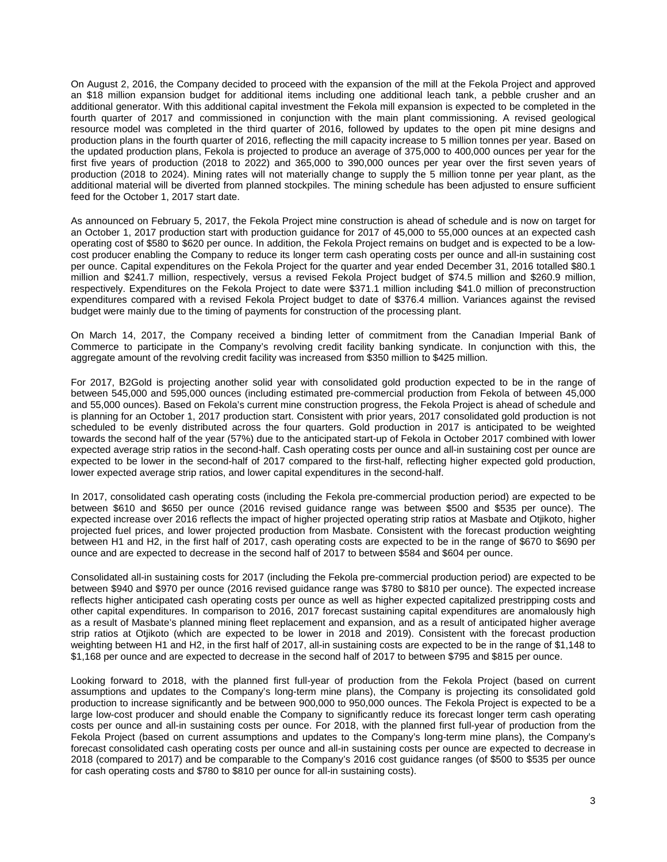On August 2, 2016, the Company decided to proceed with the expansion of the mill at the Fekola Project and approved an \$18 million expansion budget for additional items including one additional leach tank, a pebble crusher and an additional generator. With this additional capital investment the Fekola mill expansion is expected to be completed in the fourth quarter of 2017 and commissioned in conjunction with the main plant commissioning. A revised geological resource model was completed in the third quarter of 2016, followed by updates to the open pit mine designs and production plans in the fourth quarter of 2016, reflecting the mill capacity increase to 5 million tonnes per year. Based on the updated production plans, Fekola is projected to produce an average of 375,000 to 400,000 ounces per year for the first five years of production (2018 to 2022) and 365,000 to 390,000 ounces per year over the first seven years of production (2018 to 2024). Mining rates will not materially change to supply the 5 million tonne per year plant, as the additional material will be diverted from planned stockpiles. The mining schedule has been adjusted to ensure sufficient feed for the October 1, 2017 start date.

As announced on February 5, 2017, the Fekola Project mine construction is ahead of schedule and is now on target for an October 1, 2017 production start with production guidance for 2017 of 45,000 to 55,000 ounces at an expected cash operating cost of \$580 to \$620 per ounce. In addition, the Fekola Project remains on budget and is expected to be a lowcost producer enabling the Company to reduce its longer term cash operating costs per ounce and all-in sustaining cost per ounce. Capital expenditures on the Fekola Project for the quarter and year ended December 31, 2016 totalled \$80.1 million and \$241.7 million, respectively, versus a revised Fekola Project budget of \$74.5 million and \$260.9 million, respectively. Expenditures on the Fekola Project to date were \$371.1 million including \$41.0 million of preconstruction expenditures compared with a revised Fekola Project budget to date of \$376.4 million. Variances against the revised budget were mainly due to the timing of payments for construction of the processing plant.

On March 14, 2017, the Company received a binding letter of commitment from the Canadian Imperial Bank of Commerce to participate in the Company's revolving credit facility banking syndicate. In conjunction with this, the aggregate amount of the revolving credit facility was increased from \$350 million to \$425 million.

For 2017, B2Gold is projecting another solid year with consolidated gold production expected to be in the range of between 545,000 and 595,000 ounces (including estimated pre-commercial production from Fekola of between 45,000 and 55,000 ounces). Based on Fekola's current mine construction progress, the Fekola Project is ahead of schedule and is planning for an October 1, 2017 production start. Consistent with prior years, 2017 consolidated gold production is not scheduled to be evenly distributed across the four quarters. Gold production in 2017 is anticipated to be weighted towards the second half of the year (57%) due to the anticipated start-up of Fekola in October 2017 combined with lower expected average strip ratios in the second-half. Cash operating costs per ounce and all-in sustaining cost per ounce are expected to be lower in the second-half of 2017 compared to the first-half, reflecting higher expected gold production, lower expected average strip ratios, and lower capital expenditures in the second-half.

In 2017, consolidated cash operating costs (including the Fekola pre-commercial production period) are expected to be between \$610 and \$650 per ounce (2016 revised guidance range was between \$500 and \$535 per ounce). The expected increase over 2016 reflects the impact of higher projected operating strip ratios at Masbate and Otjikoto, higher projected fuel prices, and lower projected production from Masbate. Consistent with the forecast production weighting between H1 and H2, in the first half of 2017, cash operating costs are expected to be in the range of \$670 to \$690 per ounce and are expected to decrease in the second half of 2017 to between \$584 and \$604 per ounce.

Consolidated all-in sustaining costs for 2017 (including the Fekola pre-commercial production period) are expected to be between \$940 and \$970 per ounce (2016 revised guidance range was \$780 to \$810 per ounce). The expected increase reflects higher anticipated cash operating costs per ounce as well as higher expected capitalized prestripping costs and other capital expenditures. In comparison to 2016, 2017 forecast sustaining capital expenditures are anomalously high as a result of Masbate's planned mining fleet replacement and expansion, and as a result of anticipated higher average strip ratios at Otjikoto (which are expected to be lower in 2018 and 2019). Consistent with the forecast production weighting between H1 and H2, in the first half of 2017, all-in sustaining costs are expected to be in the range of \$1,148 to \$1,168 per ounce and are expected to decrease in the second half of 2017 to between \$795 and \$815 per ounce.

Looking forward to 2018, with the planned first full-year of production from the Fekola Project (based on current assumptions and updates to the Company's long-term mine plans), the Company is projecting its consolidated gold production to increase significantly and be between 900,000 to 950,000 ounces. The Fekola Project is expected to be a large low-cost producer and should enable the Company to significantly reduce its forecast longer term cash operating costs per ounce and all-in sustaining costs per ounce. For 2018, with the planned first full-year of production from the Fekola Project (based on current assumptions and updates to the Company's long-term mine plans), the Company's forecast consolidated cash operating costs per ounce and all-in sustaining costs per ounce are expected to decrease in 2018 (compared to 2017) and be comparable to the Company's 2016 cost guidance ranges (of \$500 to \$535 per ounce for cash operating costs and \$780 to \$810 per ounce for all-in sustaining costs).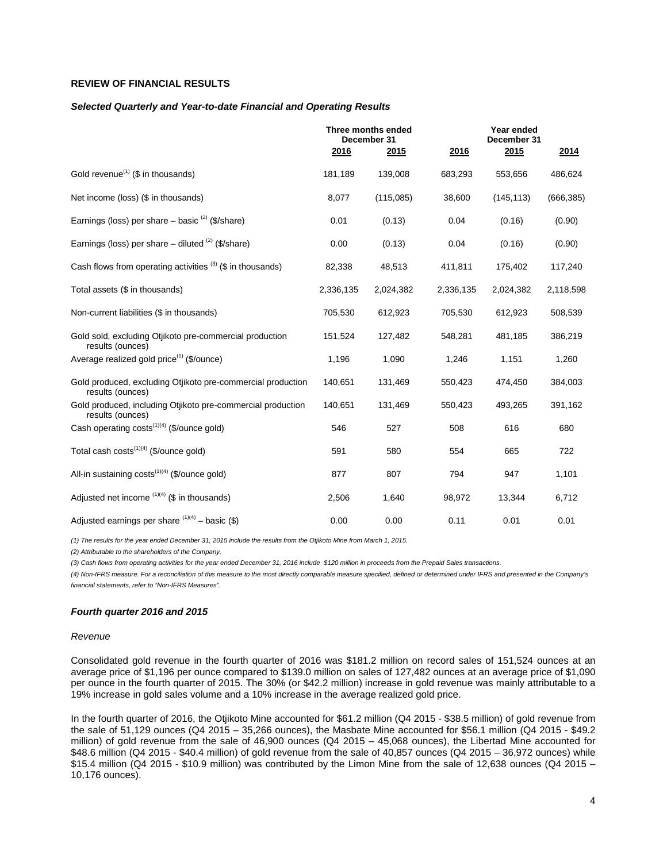# **REVIEW OF FINANCIAL RESULTS**

#### *Selected Quarterly and Year-to-date Financial and Operating Results*

|                                                                                 | Three months ended<br>December 31 |           | Year ended<br>December 31 |            |            |
|---------------------------------------------------------------------------------|-----------------------------------|-----------|---------------------------|------------|------------|
|                                                                                 | 2016                              | 2015      | 2016                      | 2015       | 2014       |
| Gold revenue <sup>(1)</sup> ( $$$ in thousands)                                 | 181,189                           | 139,008   | 683,293                   | 553,656    | 486,624    |
| Net income (loss) (\$ in thousands)                                             | 8,077                             | (115,085) | 38,600                    | (145, 113) | (666, 385) |
| Earnings (loss) per share $-$ basic $(2)$ (\$/share)                            | 0.01                              | (0.13)    | 0.04                      | (0.16)     | (0.90)     |
| Earnings (loss) per share $-$ diluted $(2)$ (\$/share)                          | 0.00                              | (0.13)    | 0.04                      | (0.16)     | (0.90)     |
| Cash flows from operating activities $(3)$ (\$ in thousands)                    | 82,338                            | 48,513    | 411,811                   | 175,402    | 117,240    |
| Total assets (\$ in thousands)                                                  | 2,336,135                         | 2,024,382 | 2,336,135                 | 2,024,382  | 2,118,598  |
| Non-current liabilities (\$ in thousands)                                       | 705,530                           | 612,923   | 705,530                   | 612,923    | 508,539    |
| Gold sold, excluding Otjikoto pre-commercial production<br>results (ounces)     | 151,524                           | 127,482   | 548,281                   | 481,185    | 386,219    |
| Average realized gold price <sup>(1)</sup> (\$/ounce)                           | 1,196                             | 1,090     | 1,246                     | 1,151      | 1,260      |
| Gold produced, excluding Otjikoto pre-commercial production<br>results (ounces) | 140,651                           | 131,469   | 550,423                   | 474,450    | 384,003    |
| Gold produced, including Otiikoto pre-commercial production<br>results (ounces) | 140,651                           | 131,469   | 550,423                   | 493,265    | 391,162    |
| Cash operating costs <sup>(1)(4)</sup> (\$/ounce gold)                          | 546                               | 527       | 508                       | 616        | 680        |
| Total cash costs <sup>(1)(4)</sup> (\$/ounce gold)                              | 591                               | 580       | 554                       | 665        | 722        |
| All-in sustaining $costs^{(1)(4)}$ (\$/ounce gold)                              | 877                               | 807       | 794                       | 947        | 1,101      |
| Adjusted net income $(1)(4)$ (\$ in thousands)                                  | 2,506                             | 1,640     | 98,972                    | 13,344     | 6,712      |
| Adjusted earnings per share $(1)(4)$ – basic (\$)                               | 0.00                              | 0.00      | 0.11                      | 0.01       | 0.01       |

*(1) The results for the year ended December 31, 2015 include the results from the Otjikoto Mine from March 1, 2015.*

*(2) Attributable to the shareholders of the Company.*

*(3) Cash flows from operating activities for the year ended December 31, 2016 include \$120 million in proceeds from the Prepaid Sales transactions.*

*(4) Non-IFRS measure. For a reconciliation of this measure to the most directly comparable measure specified, defined or determined under IFRS and presented in the Company's financial statements, refer to "Non-IFRS Measures".*

#### *Fourth quarter 2016 and 2015*

#### *Revenue*

Consolidated gold revenue in the fourth quarter of 2016 was \$181.2 million on record sales of 151,524 ounces at an average price of \$1,196 per ounce compared to \$139.0 million on sales of 127,482 ounces at an average price of \$1,090 per ounce in the fourth quarter of 2015. The 30% (or \$42.2 million) increase in gold revenue was mainly attributable to a 19% increase in gold sales volume and a 10% increase in the average realized gold price.

In the fourth quarter of 2016, the Otjikoto Mine accounted for \$61.2 million (Q4 2015 - \$38.5 million) of gold revenue from the sale of 51,129 ounces (Q4 2015 – 35,266 ounces), the Masbate Mine accounted for \$56.1 million (Q4 2015 - \$49.2 million) of gold revenue from the sale of 46,900 ounces (Q4 2015 – 45,068 ounces), the Libertad Mine accounted for \$48.6 million (Q4 2015 - \$40.4 million) of gold revenue from the sale of 40,857 ounces (Q4 2015 – 36,972 ounces) while \$15.4 million (Q4 2015 - \$10.9 million) was contributed by the Limon Mine from the sale of 12,638 ounces (Q4 2015 – 10,176 ounces).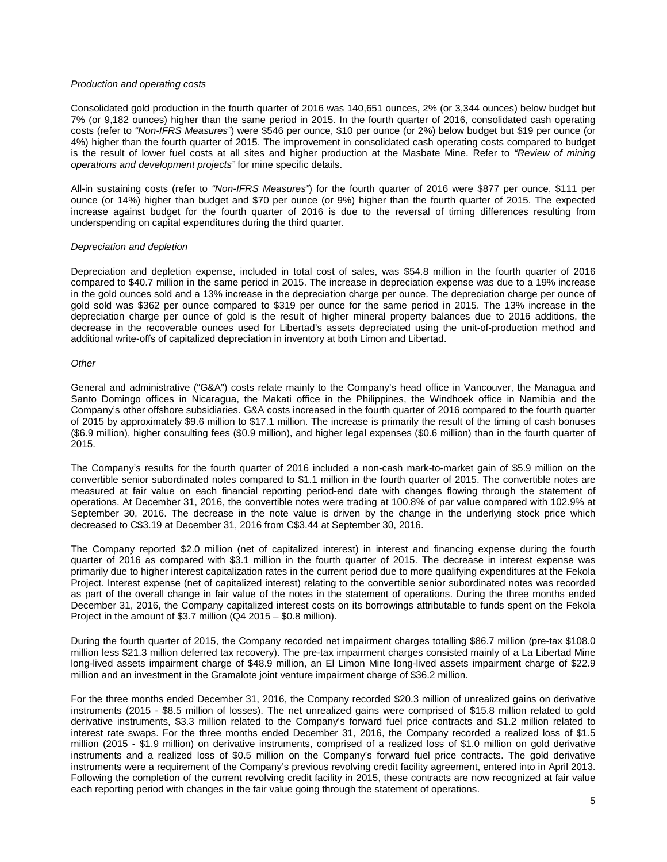### *Production and operating costs*

Consolidated gold production in the fourth quarter of 2016 was 140,651 ounces, 2% (or 3,344 ounces) below budget but 7% (or 9,182 ounces) higher than the same period in 2015. In the fourth quarter of 2016, consolidated cash operating costs (refer to *"Non-IFRS Measures"*) were \$546 per ounce, \$10 per ounce (or 2%) below budget but \$19 per ounce (or 4%) higher than the fourth quarter of 2015. The improvement in consolidated cash operating costs compared to budget is the result of lower fuel costs at all sites and higher production at the Masbate Mine. Refer to *"Review of mining operations and development projects"* for mine specific details.

All-in sustaining costs (refer to *"Non-IFRS Measures"*) for the fourth quarter of 2016 were \$877 per ounce, \$111 per ounce (or 14%) higher than budget and \$70 per ounce (or 9%) higher than the fourth quarter of 2015. The expected increase against budget for the fourth quarter of 2016 is due to the reversal of timing differences resulting from underspending on capital expenditures during the third quarter.

## *Depreciation and depletion*

Depreciation and depletion expense, included in total cost of sales, was \$54.8 million in the fourth quarter of 2016 compared to \$40.7 million in the same period in 2015. The increase in depreciation expense was due to a 19% increase in the gold ounces sold and a 13% increase in the depreciation charge per ounce. The depreciation charge per ounce of gold sold was \$362 per ounce compared to \$319 per ounce for the same period in 2015. The 13% increase in the depreciation charge per ounce of gold is the result of higher mineral property balances due to 2016 additions, the decrease in the recoverable ounces used for Libertad's assets depreciated using the unit-of-production method and additional write-offs of capitalized depreciation in inventory at both Limon and Libertad.

### *Other*

General and administrative ("G&A") costs relate mainly to the Company's head office in Vancouver, the Managua and Santo Domingo offices in Nicaragua, the Makati office in the Philippines, the Windhoek office in Namibia and the Company's other offshore subsidiaries. G&A costs increased in the fourth quarter of 2016 compared to the fourth quarter of 2015 by approximately \$9.6 million to \$17.1 million. The increase is primarily the result of the timing of cash bonuses (\$6.9 million), higher consulting fees (\$0.9 million), and higher legal expenses (\$0.6 million) than in the fourth quarter of 2015.

The Company's results for the fourth quarter of 2016 included a non-cash mark-to-market gain of \$5.9 million on the convertible senior subordinated notes compared to \$1.1 million in the fourth quarter of 2015. The convertible notes are measured at fair value on each financial reporting period-end date with changes flowing through the statement of operations. At December 31, 2016, the convertible notes were trading at 100.8% of par value compared with 102.9% at September 30, 2016. The decrease in the note value is driven by the change in the underlying stock price which decreased to C\$3.19 at December 31, 2016 from C\$3.44 at September 30, 2016.

The Company reported \$2.0 million (net of capitalized interest) in interest and financing expense during the fourth quarter of 2016 as compared with \$3.1 million in the fourth quarter of 2015. The decrease in interest expense was primarily due to higher interest capitalization rates in the current period due to more qualifying expenditures at the Fekola Project. Interest expense (net of capitalized interest) relating to the convertible senior subordinated notes was recorded as part of the overall change in fair value of the notes in the statement of operations. During the three months ended December 31, 2016, the Company capitalized interest costs on its borrowings attributable to funds spent on the Fekola Project in the amount of \$3.7 million (Q4 2015 – \$0.8 million).

During the fourth quarter of 2015, the Company recorded net impairment charges totalling \$86.7 million (pre-tax \$108.0 million less \$21.3 million deferred tax recovery). The pre-tax impairment charges consisted mainly of a La Libertad Mine long-lived assets impairment charge of \$48.9 million, an El Limon Mine long-lived assets impairment charge of \$22.9 million and an investment in the Gramalote joint venture impairment charge of \$36.2 million.

For the three months ended December 31, 2016, the Company recorded \$20.3 million of unrealized gains on derivative instruments (2015 - \$8.5 million of losses). The net unrealized gains were comprised of \$15.8 million related to gold derivative instruments, \$3.3 million related to the Company's forward fuel price contracts and \$1.2 million related to interest rate swaps. For the three months ended December 31, 2016, the Company recorded a realized loss of \$1.5 million (2015 - \$1.9 million) on derivative instruments, comprised of a realized loss of \$1.0 million on gold derivative instruments and a realized loss of \$0.5 million on the Company's forward fuel price contracts. The gold derivative instruments were a requirement of the Company's previous revolving credit facility agreement, entered into in April 2013. Following the completion of the current revolving credit facility in 2015, these contracts are now recognized at fair value each reporting period with changes in the fair value going through the statement of operations.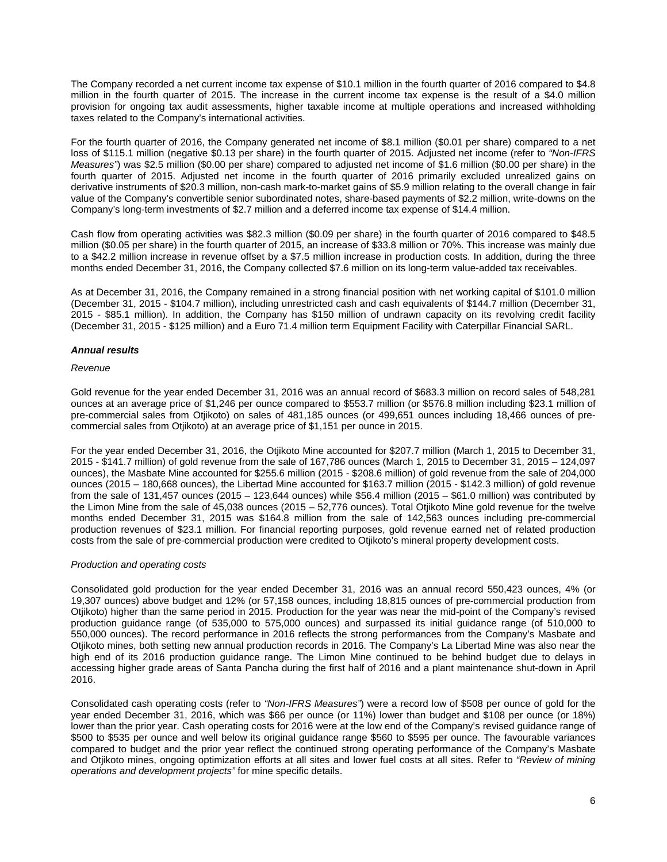The Company recorded a net current income tax expense of \$10.1 million in the fourth quarter of 2016 compared to \$4.8 million in the fourth quarter of 2015. The increase in the current income tax expense is the result of a \$4.0 million provision for ongoing tax audit assessments, higher taxable income at multiple operations and increased withholding taxes related to the Company's international activities.

For the fourth quarter of 2016, the Company generated net income of \$8.1 million (\$0.01 per share) compared to a net loss of \$115.1 million (negative \$0.13 per share) in the fourth quarter of 2015. Adjusted net income (refer to *"Non-IFRS Measures"*) was \$2.5 million (\$0.00 per share) compared to adjusted net income of \$1.6 million (\$0.00 per share) in the fourth quarter of 2015. Adjusted net income in the fourth quarter of 2016 primarily excluded unrealized gains on derivative instruments of \$20.3 million, non-cash mark-to-market gains of \$5.9 million relating to the overall change in fair value of the Company's convertible senior subordinated notes, share-based payments of \$2.2 million, write-downs on the Company's long-term investments of \$2.7 million and a deferred income tax expense of \$14.4 million.

Cash flow from operating activities was \$82.3 million (\$0.09 per share) in the fourth quarter of 2016 compared to \$48.5 million (\$0.05 per share) in the fourth quarter of 2015, an increase of \$33.8 million or 70%. This increase was mainly due to a \$42.2 million increase in revenue offset by a \$7.5 million increase in production costs. In addition, during the three months ended December 31, 2016, the Company collected \$7.6 million on its long-term value-added tax receivables.

As at December 31, 2016, the Company remained in a strong financial position with net working capital of \$101.0 million (December 31, 2015 - \$104.7 million), including unrestricted cash and cash equivalents of \$144.7 million (December 31, 2015 - \$85.1 million). In addition, the Company has \$150 million of undrawn capacity on its revolving credit facility (December 31, 2015 - \$125 million) and a Euro 71.4 million term Equipment Facility with Caterpillar Financial SARL.

# *Annual results*

## *Revenue*

Gold revenue for the year ended December 31, 2016 was an annual record of \$683.3 million on record sales of 548,281 ounces at an average price of \$1,246 per ounce compared to \$553.7 million (or \$576.8 million including \$23.1 million of pre-commercial sales from Otjikoto) on sales of 481,185 ounces (or 499,651 ounces including 18,466 ounces of precommercial sales from Otjikoto) at an average price of \$1,151 per ounce in 2015.

For the year ended December 31, 2016, the Otjikoto Mine accounted for \$207.7 million (March 1, 2015 to December 31, 2015 - \$141.7 million) of gold revenue from the sale of 167,786 ounces (March 1, 2015 to December 31, 2015 – 124,097 ounces), the Masbate Mine accounted for \$255.6 million (2015 - \$208.6 million) of gold revenue from the sale of 204,000 ounces (2015 – 180,668 ounces), the Libertad Mine accounted for \$163.7 million (2015 - \$142.3 million) of gold revenue from the sale of 131,457 ounces (2015 – 123,644 ounces) while \$56.4 million (2015 – \$61.0 million) was contributed by the Limon Mine from the sale of 45,038 ounces (2015 – 52,776 ounces). Total Otjikoto Mine gold revenue for the twelve months ended December 31, 2015 was \$164.8 million from the sale of 142,563 ounces including pre-commercial production revenues of \$23.1 million. For financial reporting purposes, gold revenue earned net of related production costs from the sale of pre-commercial production were credited to Otjikoto's mineral property development costs.

# *Production and operating costs*

Consolidated gold production for the year ended December 31, 2016 was an annual record 550,423 ounces, 4% (or 19,307 ounces) above budget and 12% (or 57,158 ounces, including 18,815 ounces of pre-commercial production from Otjikoto) higher than the same period in 2015. Production for the year was near the mid-point of the Company's revised production guidance range (of 535,000 to 575,000 ounces) and surpassed its initial guidance range (of 510,000 to 550,000 ounces). The record performance in 2016 reflects the strong performances from the Company's Masbate and Otjikoto mines, both setting new annual production records in 2016. The Company's La Libertad Mine was also near the high end of its 2016 production guidance range. The Limon Mine continued to be behind budget due to delays in accessing higher grade areas of Santa Pancha during the first half of 2016 and a plant maintenance shut-down in April 2016.

Consolidated cash operating costs (refer to *"Non-IFRS Measures"*) were a record low of \$508 per ounce of gold for the year ended December 31, 2016, which was \$66 per ounce (or 11%) lower than budget and \$108 per ounce (or 18%) lower than the prior year. Cash operating costs for 2016 were at the low end of the Company's revised guidance range of \$500 to \$535 per ounce and well below its original guidance range \$560 to \$595 per ounce. The favourable variances compared to budget and the prior year reflect the continued strong operating performance of the Company's Masbate and Otjikoto mines, ongoing optimization efforts at all sites and lower fuel costs at all sites. Refer to *"Review of mining operations and development projects"* for mine specific details.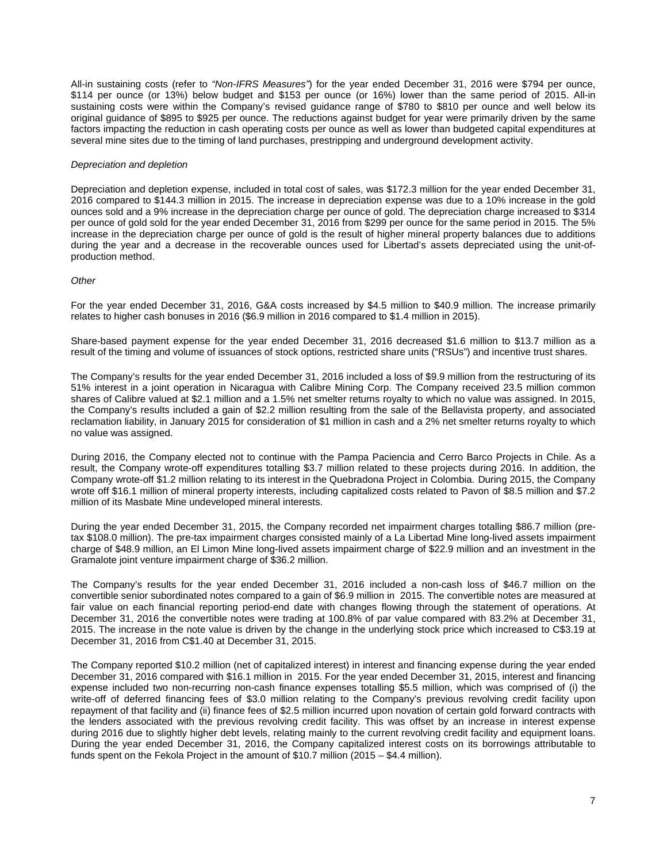All-in sustaining costs (refer to *"Non-IFRS Measures"*) for the year ended December 31, 2016 were \$794 per ounce, \$114 per ounce (or 13%) below budget and \$153 per ounce (or 16%) lower than the same period of 2015. All-in sustaining costs were within the Company's revised guidance range of \$780 to \$810 per ounce and well below its original guidance of \$895 to \$925 per ounce. The reductions against budget for year were primarily driven by the same factors impacting the reduction in cash operating costs per ounce as well as lower than budgeted capital expenditures at several mine sites due to the timing of land purchases, prestripping and underground development activity.

## *Depreciation and depletion*

Depreciation and depletion expense, included in total cost of sales, was \$172.3 million for the year ended December 31, 2016 compared to \$144.3 million in 2015. The increase in depreciation expense was due to a 10% increase in the gold ounces sold and a 9% increase in the depreciation charge per ounce of gold. The depreciation charge increased to \$314 per ounce of gold sold for the year ended December 31, 2016 from \$299 per ounce for the same period in 2015. The 5% increase in the depreciation charge per ounce of gold is the result of higher mineral property balances due to additions during the year and a decrease in the recoverable ounces used for Libertad's assets depreciated using the unit-ofproduction method.

### *Other*

For the year ended December 31, 2016, G&A costs increased by \$4.5 million to \$40.9 million. The increase primarily relates to higher cash bonuses in 2016 (\$6.9 million in 2016 compared to \$1.4 million in 2015).

Share-based payment expense for the year ended December 31, 2016 decreased \$1.6 million to \$13.7 million as a result of the timing and volume of issuances of stock options, restricted share units ("RSUs") and incentive trust shares.

The Company's results for the year ended December 31, 2016 included a loss of \$9.9 million from the restructuring of its 51% interest in a joint operation in Nicaragua with Calibre Mining Corp. The Company received 23.5 million common shares of Calibre valued at \$2.1 million and a 1.5% net smelter returns royalty to which no value was assigned. In 2015, the Company's results included a gain of \$2.2 million resulting from the sale of the Bellavista property, and associated reclamation liability, in January 2015 for consideration of \$1 million in cash and a 2% net smelter returns royalty to which no value was assigned.

During 2016, the Company elected not to continue with the Pampa Paciencia and Cerro Barco Projects in Chile. As a result, the Company wrote-off expenditures totalling \$3.7 million related to these projects during 2016. In addition, the Company wrote-off \$1.2 million relating to its interest in the Quebradona Project in Colombia. During 2015, the Company wrote off \$16.1 million of mineral property interests, including capitalized costs related to Pavon of \$8.5 million and \$7.2 million of its Masbate Mine undeveloped mineral interests.

During the year ended December 31, 2015, the Company recorded net impairment charges totalling \$86.7 million (pretax \$108.0 million). The pre-tax impairment charges consisted mainly of a La Libertad Mine long-lived assets impairment charge of \$48.9 million, an El Limon Mine long-lived assets impairment charge of \$22.9 million and an investment in the Gramalote joint venture impairment charge of \$36.2 million.

The Company's results for the year ended December 31, 2016 included a non-cash loss of \$46.7 million on the convertible senior subordinated notes compared to a gain of \$6.9 million in 2015. The convertible notes are measured at fair value on each financial reporting period-end date with changes flowing through the statement of operations. At December 31, 2016 the convertible notes were trading at 100.8% of par value compared with 83.2% at December 31, 2015. The increase in the note value is driven by the change in the underlying stock price which increased to C\$3.19 at December 31, 2016 from C\$1.40 at December 31, 2015.

The Company reported \$10.2 million (net of capitalized interest) in interest and financing expense during the year ended December 31, 2016 compared with \$16.1 million in 2015. For the year ended December 31, 2015, interest and financing expense included two non-recurring non-cash finance expenses totalling \$5.5 million, which was comprised of (i) the write-off of deferred financing fees of \$3.0 million relating to the Company's previous revolving credit facility upon repayment of that facility and (ii) finance fees of \$2.5 million incurred upon novation of certain gold forward contracts with the lenders associated with the previous revolving credit facility. This was offset by an increase in interest expense during 2016 due to slightly higher debt levels, relating mainly to the current revolving credit facility and equipment loans. During the year ended December 31, 2016, the Company capitalized interest costs on its borrowings attributable to funds spent on the Fekola Project in the amount of  $$10.7$  million (2015 – \$4.4 million).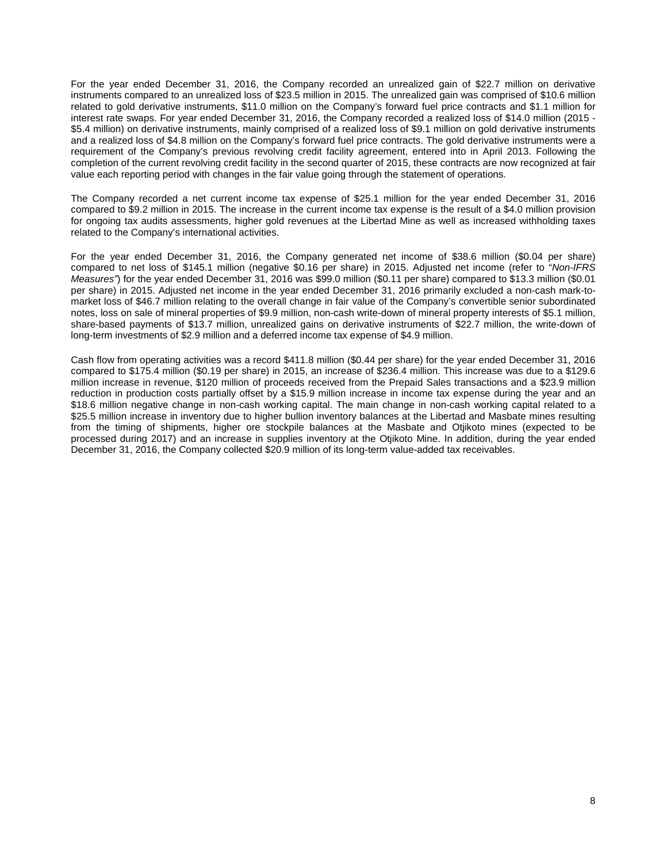For the year ended December 31, 2016, the Company recorded an unrealized gain of \$22.7 million on derivative instruments compared to an unrealized loss of \$23.5 million in 2015. The unrealized gain was comprised of \$10.6 million related to gold derivative instruments, \$11.0 million on the Company's forward fuel price contracts and \$1.1 million for interest rate swaps. For year ended December 31, 2016, the Company recorded a realized loss of \$14.0 million (2015 - \$5.4 million) on derivative instruments, mainly comprised of a realized loss of \$9.1 million on gold derivative instruments and a realized loss of \$4.8 million on the Company's forward fuel price contracts. The gold derivative instruments were a requirement of the Company's previous revolving credit facility agreement, entered into in April 2013. Following the completion of the current revolving credit facility in the second quarter of 2015, these contracts are now recognized at fair value each reporting period with changes in the fair value going through the statement of operations.

The Company recorded a net current income tax expense of \$25.1 million for the year ended December 31, 2016 compared to \$9.2 million in 2015. The increase in the current income tax expense is the result of a \$4.0 million provision for ongoing tax audits assessments, higher gold revenues at the Libertad Mine as well as increased withholding taxes related to the Company's international activities.

For the year ended December 31, 2016, the Company generated net income of \$38.6 million (\$0.04 per share) compared to net loss of \$145.1 million (negative \$0.16 per share) in 2015. Adjusted net income (refer to "*Non-IFRS Measures"*) for the year ended December 31, 2016 was \$99.0 million (\$0.11 per share) compared to \$13.3 million (\$0.01 per share) in 2015. Adjusted net income in the year ended December 31, 2016 primarily excluded a non-cash mark-tomarket loss of \$46.7 million relating to the overall change in fair value of the Company's convertible senior subordinated notes, loss on sale of mineral properties of \$9.9 million, non-cash write-down of mineral property interests of \$5.1 million, share-based payments of \$13.7 million, unrealized gains on derivative instruments of \$22.7 million, the write-down of long-term investments of \$2.9 million and a deferred income tax expense of \$4.9 million.

Cash flow from operating activities was a record \$411.8 million (\$0.44 per share) for the year ended December 31, 2016 compared to \$175.4 million (\$0.19 per share) in 2015, an increase of \$236.4 million. This increase was due to a \$129.6 million increase in revenue, \$120 million of proceeds received from the Prepaid Sales transactions and a \$23.9 million reduction in production costs partially offset by a \$15.9 million increase in income tax expense during the year and an \$18.6 million negative change in non-cash working capital. The main change in non-cash working capital related to a \$25.5 million increase in inventory due to higher bullion inventory balances at the Libertad and Masbate mines resulting from the timing of shipments, higher ore stockpile balances at the Masbate and Otjikoto mines (expected to be processed during 2017) and an increase in supplies inventory at the Otjikoto Mine. In addition, during the year ended December 31, 2016, the Company collected \$20.9 million of its long-term value-added tax receivables.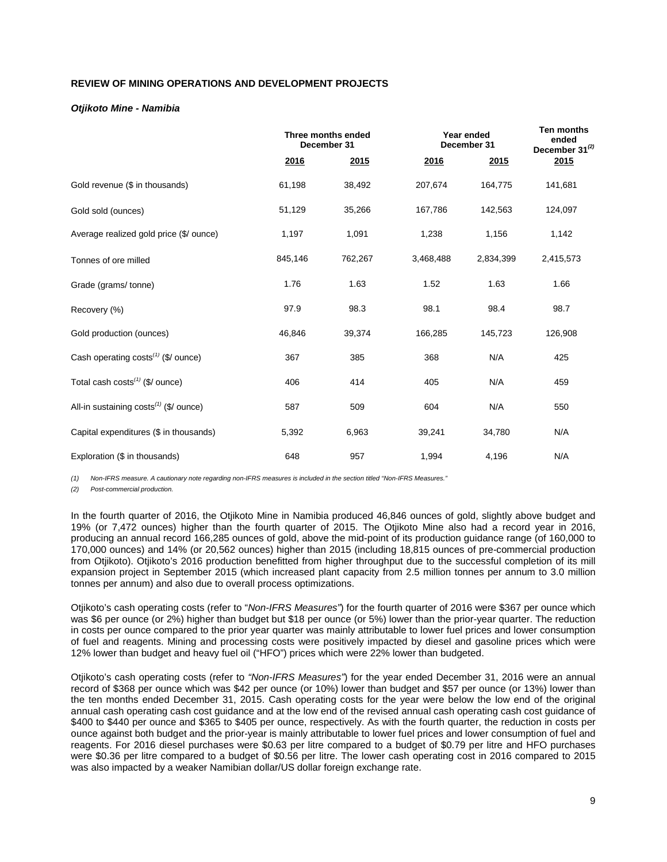# **REVIEW OF MINING OPERATIONS AND DEVELOPMENT PROJECTS**

# *Otjikoto Mine - Namibia*

|                                                 | Three months ended<br>December 31 |         | Year ended<br>December 31 |           |           |  | Ten months<br>ended<br>December $31^{(2)}$ |
|-------------------------------------------------|-----------------------------------|---------|---------------------------|-----------|-----------|--|--------------------------------------------|
|                                                 | 2016                              | 2015    | 2016                      | 2015      | 2015      |  |                                            |
| Gold revenue (\$ in thousands)                  | 61,198                            | 38,492  | 207,674                   | 164,775   | 141,681   |  |                                            |
| Gold sold (ounces)                              | 51,129                            | 35,266  | 167,786                   | 142,563   | 124,097   |  |                                            |
| Average realized gold price (\$/ ounce)         | 1,197                             | 1,091   | 1,238                     | 1,156     | 1,142     |  |                                            |
| Tonnes of ore milled                            | 845,146                           | 762,267 | 3,468,488                 | 2,834,399 | 2,415,573 |  |                                            |
| Grade (grams/tonne)                             | 1.76                              | 1.63    | 1.52                      | 1.63      | 1.66      |  |                                            |
| Recovery (%)                                    | 97.9                              | 98.3    | 98.1                      | 98.4      | 98.7      |  |                                            |
| Gold production (ounces)                        | 46,846                            | 39,374  | 166,285                   | 145,723   | 126,908   |  |                                            |
| Cash operating costs <sup>(1)</sup> (\$/ ounce) | 367                               | 385     | 368                       | N/A       | 425       |  |                                            |
| Total cash $costs^{(1)}$ (\$/ ounce)            | 406                               | 414     | 405                       | N/A       | 459       |  |                                            |
| All-in sustaining $costs^{(1)}$ (\$/ ounce)     | 587                               | 509     | 604                       | N/A       | 550       |  |                                            |
| Capital expenditures (\$ in thousands)          | 5,392                             | 6,963   | 39,241                    | 34,780    | N/A       |  |                                            |
| Exploration (\$ in thousands)                   | 648                               | 957     | 1,994                     | 4,196     | N/A       |  |                                            |

*(1) Non-IFRS measure. A cautionary note regarding non-IFRS measures is included in the section titled "Non-IFRS Measures."*

*(2) Post-commercial production.*

In the fourth quarter of 2016, the Otjikoto Mine in Namibia produced 46,846 ounces of gold, slightly above budget and 19% (or 7,472 ounces) higher than the fourth quarter of 2015. The Otjikoto Mine also had a record year in 2016, producing an annual record 166,285 ounces of gold, above the mid-point of its production guidance range (of 160,000 to 170,000 ounces) and 14% (or 20,562 ounces) higher than 2015 (including 18,815 ounces of pre-commercial production from Otjikoto). Otjikoto's 2016 production benefitted from higher throughput due to the successful completion of its mill expansion project in September 2015 (which increased plant capacity from 2.5 million tonnes per annum to 3.0 million tonnes per annum) and also due to overall process optimizations.

Otjikoto's cash operating costs (refer to "*Non-IFRS Measures"*) for the fourth quarter of 2016 were \$367 per ounce which was \$6 per ounce (or 2%) higher than budget but \$18 per ounce (or 5%) lower than the prior-year quarter. The reduction in costs per ounce compared to the prior year quarter was mainly attributable to lower fuel prices and lower consumption of fuel and reagents. Mining and processing costs were positively impacted by diesel and gasoline prices which were 12% lower than budget and heavy fuel oil ("HFO") prices which were 22% lower than budgeted.

Otjikoto's cash operating costs (refer to *"Non-IFRS Measures"*) for the year ended December 31, 2016 were an annual record of \$368 per ounce which was \$42 per ounce (or 10%) lower than budget and \$57 per ounce (or 13%) lower than the ten months ended December 31, 2015. Cash operating costs for the year were below the low end of the original annual cash operating cash cost guidance and at the low end of the revised annual cash operating cash cost guidance of \$400 to \$440 per ounce and \$365 to \$405 per ounce, respectively. As with the fourth quarter, the reduction in costs per ounce against both budget and the prior-year is mainly attributable to lower fuel prices and lower consumption of fuel and reagents. For 2016 diesel purchases were \$0.63 per litre compared to a budget of \$0.79 per litre and HFO purchases were \$0.36 per litre compared to a budget of \$0.56 per litre. The lower cash operating cost in 2016 compared to 2015 was also impacted by a weaker Namibian dollar/US dollar foreign exchange rate.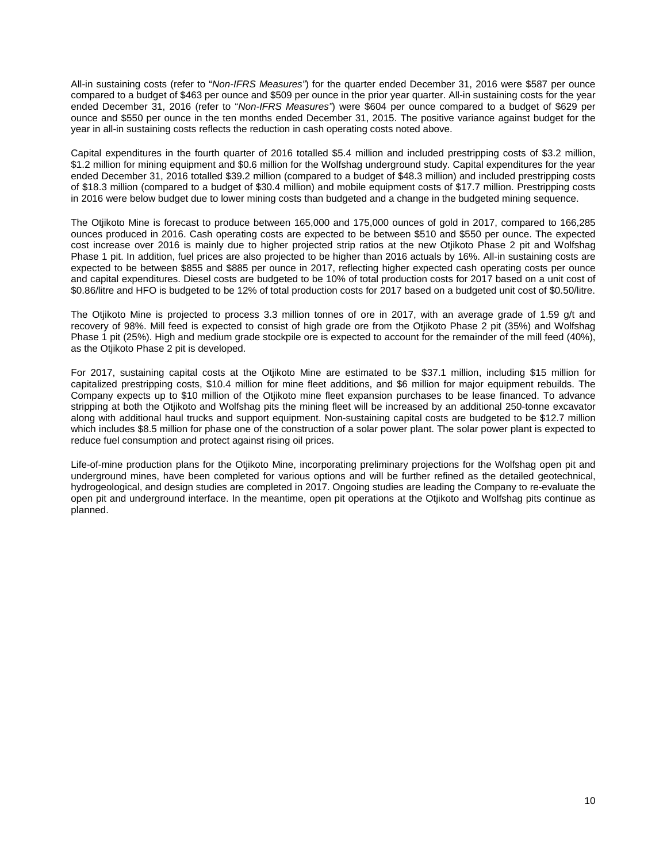All-in sustaining costs (refer to "*Non-IFRS Measures"*) for the quarter ended December 31, 2016 were \$587 per ounce compared to a budget of \$463 per ounce and \$509 per ounce in the prior year quarter. All-in sustaining costs for the year ended December 31, 2016 (refer to "*Non-IFRS Measures"*) were \$604 per ounce compared to a budget of \$629 per ounce and \$550 per ounce in the ten months ended December 31, 2015. The positive variance against budget for the year in all-in sustaining costs reflects the reduction in cash operating costs noted above.

Capital expenditures in the fourth quarter of 2016 totalled \$5.4 million and included prestripping costs of \$3.2 million, \$1.2 million for mining equipment and \$0.6 million for the Wolfshag underground study. Capital expenditures for the year ended December 31, 2016 totalled \$39.2 million (compared to a budget of \$48.3 million) and included prestripping costs of \$18.3 million (compared to a budget of \$30.4 million) and mobile equipment costs of \$17.7 million. Prestripping costs in 2016 were below budget due to lower mining costs than budgeted and a change in the budgeted mining sequence.

The Otjikoto Mine is forecast to produce between 165,000 and 175,000 ounces of gold in 2017, compared to 166,285 ounces produced in 2016. Cash operating costs are expected to be between \$510 and \$550 per ounce. The expected cost increase over 2016 is mainly due to higher projected strip ratios at the new Otjikoto Phase 2 pit and Wolfshag Phase 1 pit. In addition, fuel prices are also projected to be higher than 2016 actuals by 16%. All-in sustaining costs are expected to be between \$855 and \$885 per ounce in 2017, reflecting higher expected cash operating costs per ounce and capital expenditures. Diesel costs are budgeted to be 10% of total production costs for 2017 based on a unit cost of \$0.86/litre and HFO is budgeted to be 12% of total production costs for 2017 based on a budgeted unit cost of \$0.50/litre.

The Otjikoto Mine is projected to process 3.3 million tonnes of ore in 2017, with an average grade of 1.59 g/t and recovery of 98%. Mill feed is expected to consist of high grade ore from the Otjikoto Phase 2 pit (35%) and Wolfshag Phase 1 pit (25%). High and medium grade stockpile ore is expected to account for the remainder of the mill feed (40%), as the Otjikoto Phase 2 pit is developed.

For 2017, sustaining capital costs at the Otjikoto Mine are estimated to be \$37.1 million, including \$15 million for capitalized prestripping costs, \$10.4 million for mine fleet additions, and \$6 million for major equipment rebuilds. The Company expects up to \$10 million of the Otjikoto mine fleet expansion purchases to be lease financed. To advance stripping at both the Otjikoto and Wolfshag pits the mining fleet will be increased by an additional 250-tonne excavator along with additional haul trucks and support equipment. Non-sustaining capital costs are budgeted to be \$12.7 million which includes \$8.5 million for phase one of the construction of a solar power plant. The solar power plant is expected to reduce fuel consumption and protect against rising oil prices.

Life-of-mine production plans for the Otjikoto Mine, incorporating preliminary projections for the Wolfshag open pit and underground mines, have been completed for various options and will be further refined as the detailed geotechnical, hydrogeological, and design studies are completed in 2017. Ongoing studies are leading the Company to re-evaluate the open pit and underground interface. In the meantime, open pit operations at the Otjikoto and Wolfshag pits continue as planned.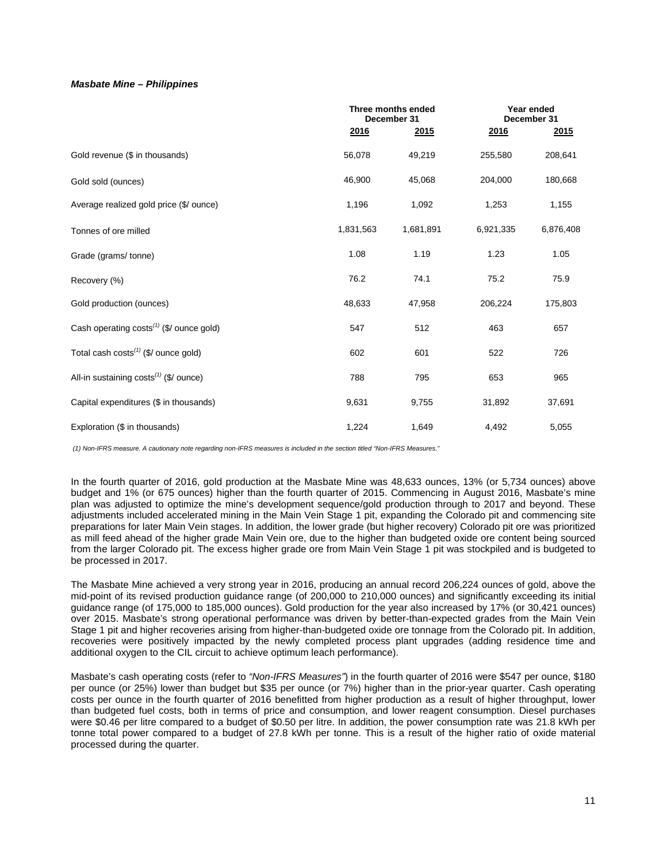## *Masbate Mine – Philippines*

|                                                      |           | Three months ended<br>December 31 |             | Year ended<br>December 31 |
|------------------------------------------------------|-----------|-----------------------------------|-------------|---------------------------|
|                                                      | 2016      | 2015                              | <u>2016</u> | 2015                      |
| Gold revenue (\$ in thousands)                       | 56,078    | 49,219                            | 255,580     | 208,641                   |
| Gold sold (ounces)                                   | 46,900    | 45,068                            | 204,000     | 180,668                   |
| Average realized gold price (\$/ ounce)              | 1,196     | 1,092                             | 1,253       | 1,155                     |
| Tonnes of ore milled                                 | 1,831,563 | 1,681,891                         | 6,921,335   | 6,876,408                 |
| Grade (grams/tonne)                                  | 1.08      | 1.19                              | 1.23        | 1.05                      |
| Recovery (%)                                         | 76.2      | 74.1                              | 75.2        | 75.9                      |
| Gold production (ounces)                             | 48,633    | 47,958                            | 206,224     | 175,803                   |
| Cash operating costs <sup>(1)</sup> (\$/ ounce gold) | 547       | 512                               | 463         | 657                       |
| Total cash $costs^{(1)}$ (\$/ ounce gold)            | 602       | 601                               | 522         | 726                       |
| All-in sustaining costs <sup>(1)</sup> (\$/ ounce)   | 788       | 795                               | 653         | 965                       |
| Capital expenditures (\$ in thousands)               | 9,631     | 9,755                             | 31,892      | 37,691                    |
| Exploration (\$ in thousands)                        | 1,224     | 1,649                             | 4,492       | 5,055                     |

*(1) Non-IFRS measure. A cautionary note regarding non-IFRS measures is included in the section titled "Non-IFRS Measures."* 

In the fourth quarter of 2016, gold production at the Masbate Mine was 48,633 ounces, 13% (or 5,734 ounces) above budget and 1% (or 675 ounces) higher than the fourth quarter of 2015. Commencing in August 2016, Masbate's mine plan was adjusted to optimize the mine's development sequence/gold production through to 2017 and beyond. These adjustments included accelerated mining in the Main Vein Stage 1 pit, expanding the Colorado pit and commencing site preparations for later Main Vein stages. In addition, the lower grade (but higher recovery) Colorado pit ore was prioritized as mill feed ahead of the higher grade Main Vein ore, due to the higher than budgeted oxide ore content being sourced from the larger Colorado pit. The excess higher grade ore from Main Vein Stage 1 pit was stockpiled and is budgeted to be processed in 2017.

The Masbate Mine achieved a very strong year in 2016, producing an annual record 206,224 ounces of gold, above the mid-point of its revised production guidance range (of 200,000 to 210,000 ounces) and significantly exceeding its initial guidance range (of 175,000 to 185,000 ounces). Gold production for the year also increased by 17% (or 30,421 ounces) over 2015. Masbate's strong operational performance was driven by better-than-expected grades from the Main Vein Stage 1 pit and higher recoveries arising from higher-than-budgeted oxide ore tonnage from the Colorado pit. In addition, recoveries were positively impacted by the newly completed process plant upgrades (adding residence time and additional oxygen to the CIL circuit to achieve optimum leach performance).

Masbate's cash operating costs (refer to *"Non-IFRS Measures"*) in the fourth quarter of 2016 were \$547 per ounce, \$180 per ounce (or 25%) lower than budget but \$35 per ounce (or 7%) higher than in the prior-year quarter. Cash operating costs per ounce in the fourth quarter of 2016 benefitted from higher production as a result of higher throughput, lower than budgeted fuel costs, both in terms of price and consumption, and lower reagent consumption. Diesel purchases were \$0.46 per litre compared to a budget of \$0.50 per litre. In addition, the power consumption rate was 21.8 kWh per tonne total power compared to a budget of 27.8 kWh per tonne. This is a result of the higher ratio of oxide material processed during the quarter.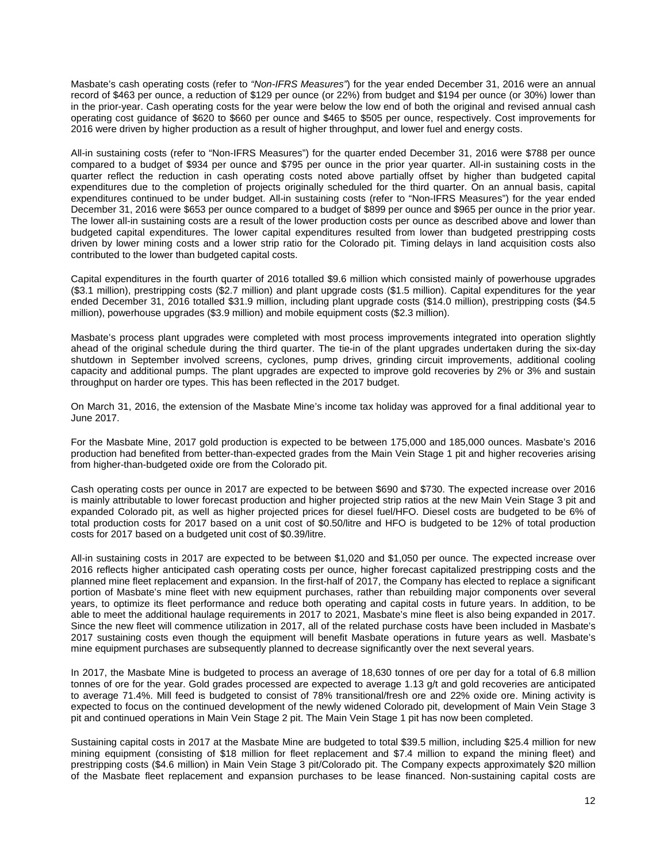Masbate's cash operating costs (refer to *"Non-IFRS Measures"*) for the year ended December 31, 2016 were an annual record of \$463 per ounce, a reduction of \$129 per ounce (or 22%) from budget and \$194 per ounce (or 30%) lower than in the prior-year. Cash operating costs for the year were below the low end of both the original and revised annual cash operating cost guidance of \$620 to \$660 per ounce and \$465 to \$505 per ounce, respectively. Cost improvements for 2016 were driven by higher production as a result of higher throughput, and lower fuel and energy costs.

All-in sustaining costs (refer to "Non-IFRS Measures") for the quarter ended December 31, 2016 were \$788 per ounce compared to a budget of \$934 per ounce and \$795 per ounce in the prior year quarter. All-in sustaining costs in the quarter reflect the reduction in cash operating costs noted above partially offset by higher than budgeted capital expenditures due to the completion of projects originally scheduled for the third quarter. On an annual basis, capital expenditures continued to be under budget. All-in sustaining costs (refer to "Non-IFRS Measures") for the year ended December 31, 2016 were \$653 per ounce compared to a budget of \$899 per ounce and \$965 per ounce in the prior year. The lower all-in sustaining costs are a result of the lower production costs per ounce as described above and lower than budgeted capital expenditures. The lower capital expenditures resulted from lower than budgeted prestripping costs driven by lower mining costs and a lower strip ratio for the Colorado pit. Timing delays in land acquisition costs also contributed to the lower than budgeted capital costs.

Capital expenditures in the fourth quarter of 2016 totalled \$9.6 million which consisted mainly of powerhouse upgrades (\$3.1 million), prestripping costs (\$2.7 million) and plant upgrade costs (\$1.5 million). Capital expenditures for the year ended December 31, 2016 totalled \$31.9 million, including plant upgrade costs (\$14.0 million), prestripping costs (\$4.5 million), powerhouse upgrades (\$3.9 million) and mobile equipment costs (\$2.3 million).

Masbate's process plant upgrades were completed with most process improvements integrated into operation slightly ahead of the original schedule during the third quarter. The tie-in of the plant upgrades undertaken during the six-day shutdown in September involved screens, cyclones, pump drives, grinding circuit improvements, additional cooling capacity and additional pumps. The plant upgrades are expected to improve gold recoveries by 2% or 3% and sustain throughput on harder ore types. This has been reflected in the 2017 budget.

On March 31, 2016, the extension of the Masbate Mine's income tax holiday was approved for a final additional year to June 2017.

For the Masbate Mine, 2017 gold production is expected to be between 175,000 and 185,000 ounces. Masbate's 2016 production had benefited from better-than-expected grades from the Main Vein Stage 1 pit and higher recoveries arising from higher-than-budgeted oxide ore from the Colorado pit.

Cash operating costs per ounce in 2017 are expected to be between \$690 and \$730. The expected increase over 2016 is mainly attributable to lower forecast production and higher projected strip ratios at the new Main Vein Stage 3 pit and expanded Colorado pit, as well as higher projected prices for diesel fuel/HFO. Diesel costs are budgeted to be 6% of total production costs for 2017 based on a unit cost of \$0.50/litre and HFO is budgeted to be 12% of total production costs for 2017 based on a budgeted unit cost of \$0.39/litre.

All-in sustaining costs in 2017 are expected to be between \$1,020 and \$1,050 per ounce. The expected increase over 2016 reflects higher anticipated cash operating costs per ounce, higher forecast capitalized prestripping costs and the planned mine fleet replacement and expansion. In the first-half of 2017, the Company has elected to replace a significant portion of Masbate's mine fleet with new equipment purchases, rather than rebuilding major components over several years, to optimize its fleet performance and reduce both operating and capital costs in future years. In addition, to be able to meet the additional haulage requirements in 2017 to 2021, Masbate's mine fleet is also being expanded in 2017. Since the new fleet will commence utilization in 2017, all of the related purchase costs have been included in Masbate's 2017 sustaining costs even though the equipment will benefit Masbate operations in future years as well. Masbate's mine equipment purchases are subsequently planned to decrease significantly over the next several years.

In 2017, the Masbate Mine is budgeted to process an average of 18,630 tonnes of ore per day for a total of 6.8 million tonnes of ore for the year. Gold grades processed are expected to average 1.13 g/t and gold recoveries are anticipated to average 71.4%. Mill feed is budgeted to consist of 78% transitional/fresh ore and 22% oxide ore. Mining activity is expected to focus on the continued development of the newly widened Colorado pit, development of Main Vein Stage 3 pit and continued operations in Main Vein Stage 2 pit. The Main Vein Stage 1 pit has now been completed.

Sustaining capital costs in 2017 at the Masbate Mine are budgeted to total \$39.5 million, including \$25.4 million for new mining equipment (consisting of \$18 million for fleet replacement and \$7.4 million to expand the mining fleet) and prestripping costs (\$4.6 million) in Main Vein Stage 3 pit/Colorado pit. The Company expects approximately \$20 million of the Masbate fleet replacement and expansion purchases to be lease financed. Non-sustaining capital costs are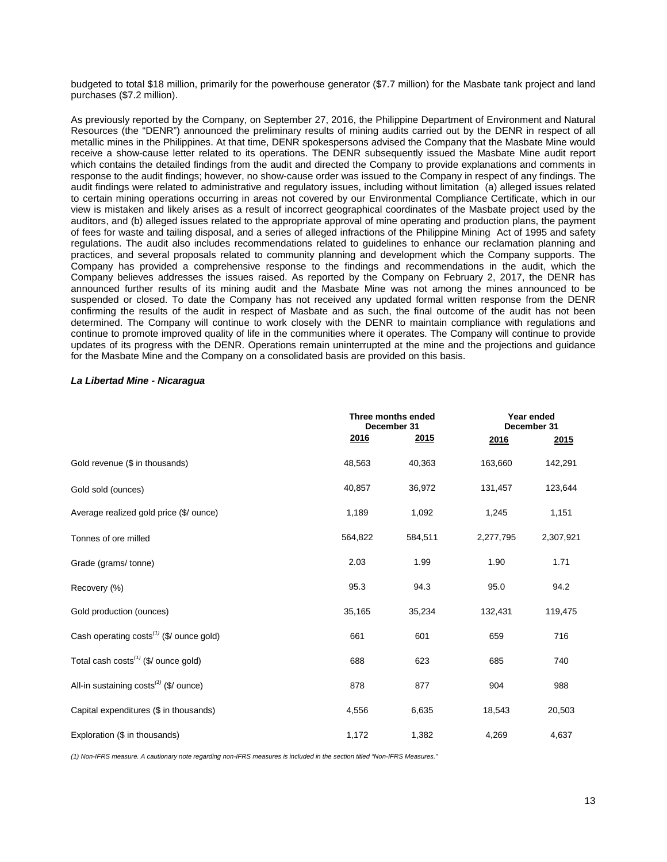budgeted to total \$18 million, primarily for the powerhouse generator (\$7.7 million) for the Masbate tank project and land purchases (\$7.2 million).

As previously reported by the Company, on September 27, 2016, the Philippine Department of Environment and Natural Resources (the "DENR") announced the preliminary results of mining audits carried out by the DENR in respect of all metallic mines in the Philippines. At that time, DENR spokespersons advised the Company that the Masbate Mine would receive a show-cause letter related to its operations. The DENR subsequently issued the Masbate Mine audit report which contains the detailed findings from the audit and directed the Company to provide explanations and comments in response to the audit findings; however, no show-cause order was issued to the Company in respect of any findings. The audit findings were related to administrative and regulatory issues, including without limitation (a) alleged issues related to certain mining operations occurring in areas not covered by our Environmental Compliance Certificate, which in our view is mistaken and likely arises as a result of incorrect geographical coordinates of the Masbate project used by the auditors, and (b) alleged issues related to the appropriate approval of mine operating and production plans, the payment of fees for waste and tailing disposal, and a series of alleged infractions of the Philippine Mining Act of 1995 and safety regulations. The audit also includes recommendations related to guidelines to enhance our reclamation planning and practices, and several proposals related to community planning and development which the Company supports. The Company has provided a comprehensive response to the findings and recommendations in the audit, which the Company believes addresses the issues raised. As reported by the Company on February 2, 2017, the DENR has announced further results of its mining audit and the Masbate Mine was not among the mines announced to be suspended or closed. To date the Company has not received any updated formal written response from the DENR confirming the results of the audit in respect of Masbate and as such, the final outcome of the audit has not been determined. The Company will continue to work closely with the DENR to maintain compliance with regulations and continue to promote improved quality of life in the communities where it operates. The Company will continue to provide updates of its progress with the DENR. Operations remain uninterrupted at the mine and the projections and guidance for the Masbate Mine and the Company on a consolidated basis are provided on this basis.

## *La Libertad Mine - Nicaragua*

|                                                      |         | Three months ended<br>December 31 |           | Year ended<br>December 31 |
|------------------------------------------------------|---------|-----------------------------------|-----------|---------------------------|
|                                                      | 2016    | <u> 2015</u>                      | 2016      | 2015                      |
| Gold revenue (\$ in thousands)                       | 48,563  | 40,363                            | 163,660   | 142,291                   |
| Gold sold (ounces)                                   | 40,857  | 36,972                            | 131,457   | 123,644                   |
| Average realized gold price (\$/ ounce)              | 1,189   | 1,092                             | 1,245     | 1,151                     |
| Tonnes of ore milled                                 | 564,822 | 584,511                           | 2,277,795 | 2,307,921                 |
| Grade (grams/tonne)                                  | 2.03    | 1.99                              | 1.90      | 1.71                      |
| Recovery (%)                                         | 95.3    | 94.3                              | 95.0      | 94.2                      |
| Gold production (ounces)                             | 35,165  | 35,234                            | 132,431   | 119,475                   |
| Cash operating costs <sup>(1)</sup> (\$/ ounce gold) | 661     | 601                               | 659       | 716                       |
| Total cash $costs^{(1)}$ (\$/ ounce gold)            | 688     | 623                               | 685       | 740                       |
| All-in sustaining $costs^{(1)}$ (\$/ ounce)          | 878     | 877                               | 904       | 988                       |
| Capital expenditures (\$ in thousands)               | 4,556   | 6,635                             | 18,543    | 20,503                    |
| Exploration (\$ in thousands)                        | 1,172   | 1,382                             | 4,269     | 4,637                     |

*(1) Non-IFRS measure. A cautionary note regarding non-IFRS measures is included in the section titled "Non-IFRS Measures."*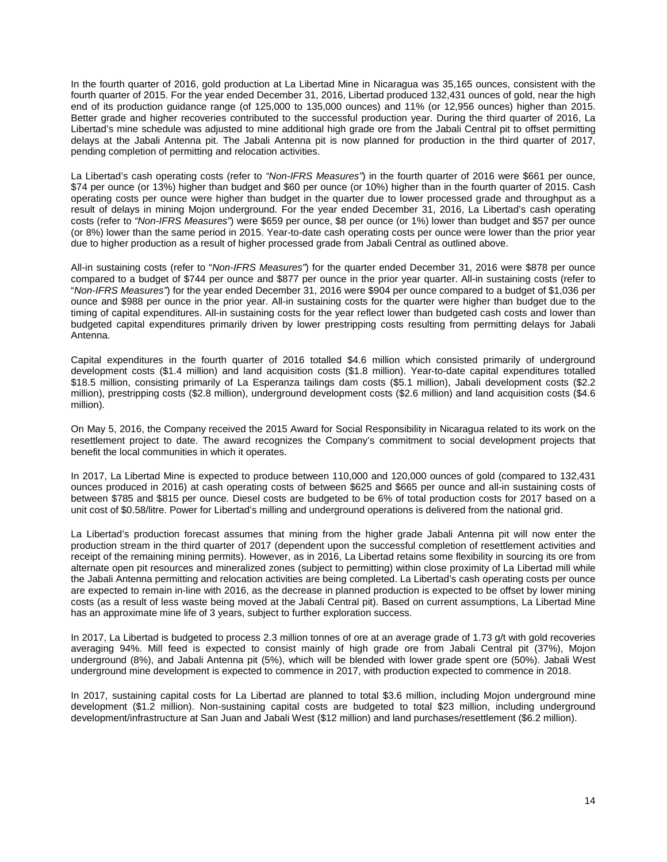In the fourth quarter of 2016, gold production at La Libertad Mine in Nicaragua was 35,165 ounces, consistent with the fourth quarter of 2015. For the year ended December 31, 2016, Libertad produced 132,431 ounces of gold, near the high end of its production guidance range (of 125,000 to 135,000 ounces) and 11% (or 12,956 ounces) higher than 2015. Better grade and higher recoveries contributed to the successful production year. During the third quarter of 2016, La Libertad's mine schedule was adjusted to mine additional high grade ore from the Jabali Central pit to offset permitting delays at the Jabali Antenna pit. The Jabali Antenna pit is now planned for production in the third quarter of 2017, pending completion of permitting and relocation activities.

La Libertad's cash operating costs (refer to *"Non-IFRS Measures"*) in the fourth quarter of 2016 were \$661 per ounce, \$74 per ounce (or 13%) higher than budget and \$60 per ounce (or 10%) higher than in the fourth quarter of 2015. Cash operating costs per ounce were higher than budget in the quarter due to lower processed grade and throughput as a result of delays in mining Mojon underground. For the year ended December 31, 2016, La Libertad's cash operating costs (refer to *"Non-IFRS Measures"*) were \$659 per ounce, \$8 per ounce (or 1%) lower than budget and \$57 per ounce (or 8%) lower than the same period in 2015. Year-to-date cash operating costs per ounce were lower than the prior year due to higher production as a result of higher processed grade from Jabali Central as outlined above.

All-in sustaining costs (refer to "*Non-IFRS Measures"*) for the quarter ended December 31, 2016 were \$878 per ounce compared to a budget of \$744 per ounce and \$877 per ounce in the prior year quarter. All-in sustaining costs (refer to "*Non-IFRS Measures"*) for the year ended December 31, 2016 were \$904 per ounce compared to a budget of \$1,036 per ounce and \$988 per ounce in the prior year. All-in sustaining costs for the quarter were higher than budget due to the timing of capital expenditures. All-in sustaining costs for the year reflect lower than budgeted cash costs and lower than budgeted capital expenditures primarily driven by lower prestripping costs resulting from permitting delays for Jabali Antenna.

Capital expenditures in the fourth quarter of 2016 totalled \$4.6 million which consisted primarily of underground development costs (\$1.4 million) and land acquisition costs (\$1.8 million). Year-to-date capital expenditures totalled \$18.5 million, consisting primarily of La Esperanza tailings dam costs (\$5.1 million), Jabali development costs (\$2.2 million), prestripping costs (\$2.8 million), underground development costs (\$2.6 million) and land acquisition costs (\$4.6 million).

On May 5, 2016, the Company received the 2015 Award for Social Responsibility in Nicaragua related to its work on the resettlement project to date. The award recognizes the Company's commitment to social development projects that benefit the local communities in which it operates.

In 2017, La Libertad Mine is expected to produce between 110,000 and 120,000 ounces of gold (compared to 132,431 ounces produced in 2016) at cash operating costs of between \$625 and \$665 per ounce and all-in sustaining costs of between \$785 and \$815 per ounce. Diesel costs are budgeted to be 6% of total production costs for 2017 based on a unit cost of \$0.58/litre. Power for Libertad's milling and underground operations is delivered from the national grid.

La Libertad's production forecast assumes that mining from the higher grade Jabali Antenna pit will now enter the production stream in the third quarter of 2017 (dependent upon the successful completion of resettlement activities and receipt of the remaining mining permits). However, as in 2016, La Libertad retains some flexibility in sourcing its ore from alternate open pit resources and mineralized zones (subject to permitting) within close proximity of La Libertad mill while the Jabali Antenna permitting and relocation activities are being completed. La Libertad's cash operating costs per ounce are expected to remain in-line with 2016, as the decrease in planned production is expected to be offset by lower mining costs (as a result of less waste being moved at the Jabali Central pit). Based on current assumptions, La Libertad Mine has an approximate mine life of 3 years, subject to further exploration success.

In 2017, La Libertad is budgeted to process 2.3 million tonnes of ore at an average grade of 1.73 g/t with gold recoveries averaging 94%. Mill feed is expected to consist mainly of high grade ore from Jabali Central pit (37%), Mojon underground (8%), and Jabali Antenna pit (5%), which will be blended with lower grade spent ore (50%). Jabali West underground mine development is expected to commence in 2017, with production expected to commence in 2018.

In 2017, sustaining capital costs for La Libertad are planned to total \$3.6 million, including Mojon underground mine development (\$1.2 million). Non-sustaining capital costs are budgeted to total \$23 million, including underground development/infrastructure at San Juan and Jabali West (\$12 million) and land purchases/resettlement (\$6.2 million).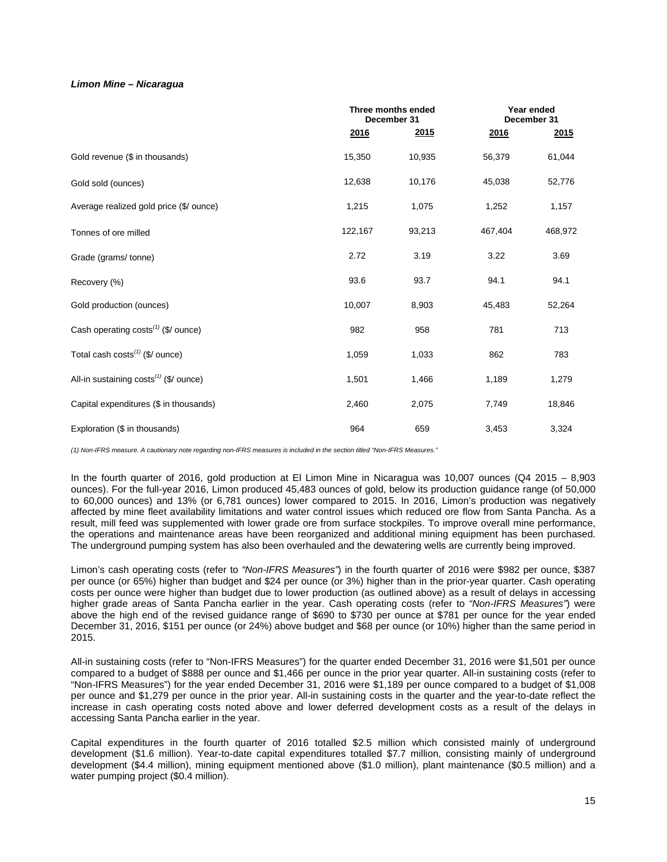# *Limon Mine – Nicaragua*

|                                                 |         | Three months ended<br>December 31 |         | Year ended<br>December 31 |
|-------------------------------------------------|---------|-----------------------------------|---------|---------------------------|
|                                                 | 2016    | <u>2015</u>                       | 2016    | 2015                      |
| Gold revenue (\$ in thousands)                  | 15,350  | 10,935                            | 56,379  | 61,044                    |
| Gold sold (ounces)                              | 12,638  | 10,176                            | 45,038  | 52,776                    |
| Average realized gold price (\$/ ounce)         | 1,215   | 1,075                             | 1,252   | 1,157                     |
| Tonnes of ore milled                            | 122,167 | 93,213                            | 467,404 | 468,972                   |
| Grade (grams/ tonne)                            | 2.72    | 3.19                              | 3.22    | 3.69                      |
| Recovery (%)                                    | 93.6    | 93.7                              | 94.1    | 94.1                      |
| Gold production (ounces)                        | 10,007  | 8,903                             | 45,483  | 52,264                    |
| Cash operating costs <sup>(1)</sup> (\$/ ounce) | 982     | 958                               | 781     | 713                       |
| Total cash $costs^{(1)}$ (\$/ ounce)            | 1,059   | 1,033                             | 862     | 783                       |
| All-in sustaining $costs^{(1)}$ (\$/ ounce)     | 1,501   | 1,466                             | 1,189   | 1,279                     |
| Capital expenditures (\$ in thousands)          | 2,460   | 2,075                             | 7,749   | 18,846                    |
| Exploration (\$ in thousands)                   | 964     | 659                               | 3,453   | 3,324                     |

*(1) Non-IFRS measure. A cautionary note regarding non-IFRS measures is included in the section titled "Non-IFRS Measures."*

In the fourth quarter of 2016, gold production at El Limon Mine in Nicaragua was 10,007 ounces (Q4 2015 – 8,903 ounces). For the full-year 2016, Limon produced 45,483 ounces of gold, below its production guidance range (of 50,000 to 60,000 ounces) and 13% (or 6,781 ounces) lower compared to 2015. In 2016, Limon's production was negatively affected by mine fleet availability limitations and water control issues which reduced ore flow from Santa Pancha. As a result, mill feed was supplemented with lower grade ore from surface stockpiles. To improve overall mine performance, the operations and maintenance areas have been reorganized and additional mining equipment has been purchased. The underground pumping system has also been overhauled and the dewatering wells are currently being improved.

Limon's cash operating costs (refer to *"Non-IFRS Measures"*) in the fourth quarter of 2016 were \$982 per ounce, \$387 per ounce (or 65%) higher than budget and \$24 per ounce (or 3%) higher than in the prior-year quarter. Cash operating costs per ounce were higher than budget due to lower production (as outlined above) as a result of delays in accessing higher grade areas of Santa Pancha earlier in the year. Cash operating costs (refer to *"Non-IFRS Measures"*) were above the high end of the revised guidance range of \$690 to \$730 per ounce at \$781 per ounce for the year ended December 31, 2016, \$151 per ounce (or 24%) above budget and \$68 per ounce (or 10%) higher than the same period in 2015.

All-in sustaining costs (refer to "Non-IFRS Measures") for the quarter ended December 31, 2016 were \$1,501 per ounce compared to a budget of \$888 per ounce and \$1,466 per ounce in the prior year quarter. All-in sustaining costs (refer to "Non-IFRS Measures") for the year ended December 31, 2016 were \$1,189 per ounce compared to a budget of \$1,008 per ounce and \$1,279 per ounce in the prior year. All-in sustaining costs in the quarter and the year-to-date reflect the increase in cash operating costs noted above and lower deferred development costs as a result of the delays in accessing Santa Pancha earlier in the year.

Capital expenditures in the fourth quarter of 2016 totalled \$2.5 million which consisted mainly of underground development (\$1.6 million). Year-to-date capital expenditures totalled \$7.7 million, consisting mainly of underground development (\$4.4 million), mining equipment mentioned above (\$1.0 million), plant maintenance (\$0.5 million) and a water pumping project (\$0.4 million).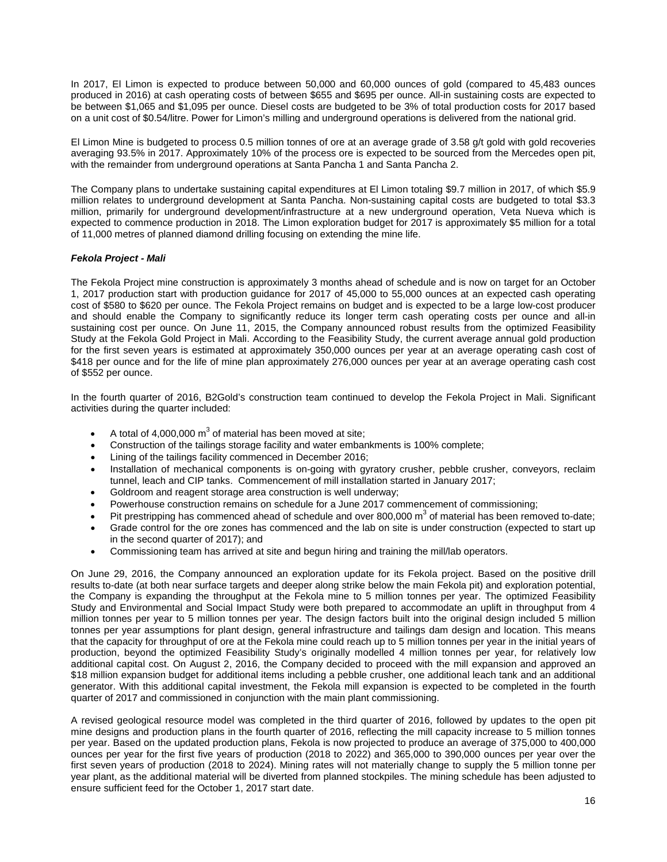In 2017, El Limon is expected to produce between 50,000 and 60,000 ounces of gold (compared to 45,483 ounces produced in 2016) at cash operating costs of between \$655 and \$695 per ounce. All-in sustaining costs are expected to be between \$1,065 and \$1,095 per ounce. Diesel costs are budgeted to be 3% of total production costs for 2017 based on a unit cost of \$0.54/litre. Power for Limon's milling and underground operations is delivered from the national grid.

El Limon Mine is budgeted to process 0.5 million tonnes of ore at an average grade of 3.58 g/t gold with gold recoveries averaging 93.5% in 2017. Approximately 10% of the process ore is expected to be sourced from the Mercedes open pit, with the remainder from underground operations at Santa Pancha 1 and Santa Pancha 2.

The Company plans to undertake sustaining capital expenditures at El Limon totaling \$9.7 million in 2017, of which \$5.9 million relates to underground development at Santa Pancha. Non-sustaining capital costs are budgeted to total \$3.3 million, primarily for underground development/infrastructure at a new underground operation, Veta Nueva which is expected to commence production in 2018. The Limon exploration budget for 2017 is approximately \$5 million for a total of 11,000 metres of planned diamond drilling focusing on extending the mine life.

# *Fekola Project - Mali*

The Fekola Project mine construction is approximately 3 months ahead of schedule and is now on target for an October 1, 2017 production start with production guidance for 2017 of 45,000 to 55,000 ounces at an expected cash operating cost of \$580 to \$620 per ounce. The Fekola Project remains on budget and is expected to be a large low-cost producer and should enable the Company to significantly reduce its longer term cash operating costs per ounce and all-in sustaining cost per ounce. On June 11, 2015, the Company announced robust results from the optimized Feasibility Study at the Fekola Gold Project in Mali. According to the Feasibility Study, the current average annual gold production for the first seven years is estimated at approximately 350,000 ounces per year at an average operating cash cost of \$418 per ounce and for the life of mine plan approximately 276,000 ounces per year at an average operating cash cost of \$552 per ounce.

In the fourth quarter of 2016, B2Gold's construction team continued to develop the Fekola Project in Mali. Significant activities during the quarter included:

- A total of 4,000,000  $m^3$  of material has been moved at site;
- Construction of the tailings storage facility and water embankments is 100% complete;
- Lining of the tailings facility commenced in December 2016;
- Installation of mechanical components is on-going with gyratory crusher, pebble crusher, conveyors, reclaim tunnel, leach and CIP tanks. Commencement of mill installation started in January 2017;
- Goldroom and reagent storage area construction is well underway;
- Powerhouse construction remains on schedule for a June 2017 commencement of commissioning;
- Pit prestripping has commenced ahead of schedule and over 800,000  $\text{m}^3$  of material has been removed to-date; • Grade control for the ore zones has commenced and the lab on site is under construction (expected to start up
- in the second quarter of 2017); and
- Commissioning team has arrived at site and begun hiring and training the mill/lab operators.

On June 29, 2016, the Company announced an exploration update for its Fekola project. Based on the positive drill results to-date (at both near surface targets and deeper along strike below the main Fekola pit) and exploration potential, the Company is expanding the throughput at the Fekola mine to 5 million tonnes per year. The optimized Feasibility Study and Environmental and Social Impact Study were both prepared to accommodate an uplift in throughput from 4 million tonnes per year to 5 million tonnes per year. The design factors built into the original design included 5 million tonnes per year assumptions for plant design, general infrastructure and tailings dam design and location. This means that the capacity for throughput of ore at the Fekola mine could reach up to 5 million tonnes per year in the initial years of production, beyond the optimized Feasibility Study's originally modelled 4 million tonnes per year, for relatively low additional capital cost. On August 2, 2016, the Company decided to proceed with the mill expansion and approved an \$18 million expansion budget for additional items including a pebble crusher, one additional leach tank and an additional generator. With this additional capital investment, the Fekola mill expansion is expected to be completed in the fourth quarter of 2017 and commissioned in conjunction with the main plant commissioning.

A revised geological resource model was completed in the third quarter of 2016, followed by updates to the open pit mine designs and production plans in the fourth quarter of 2016, reflecting the mill capacity increase to 5 million tonnes per year. Based on the updated production plans, Fekola is now projected to produce an average of 375,000 to 400,000 ounces per year for the first five years of production (2018 to 2022) and 365,000 to 390,000 ounces per year over the first seven years of production (2018 to 2024). Mining rates will not materially change to supply the 5 million tonne per year plant, as the additional material will be diverted from planned stockpiles. The mining schedule has been adjusted to ensure sufficient feed for the October 1, 2017 start date.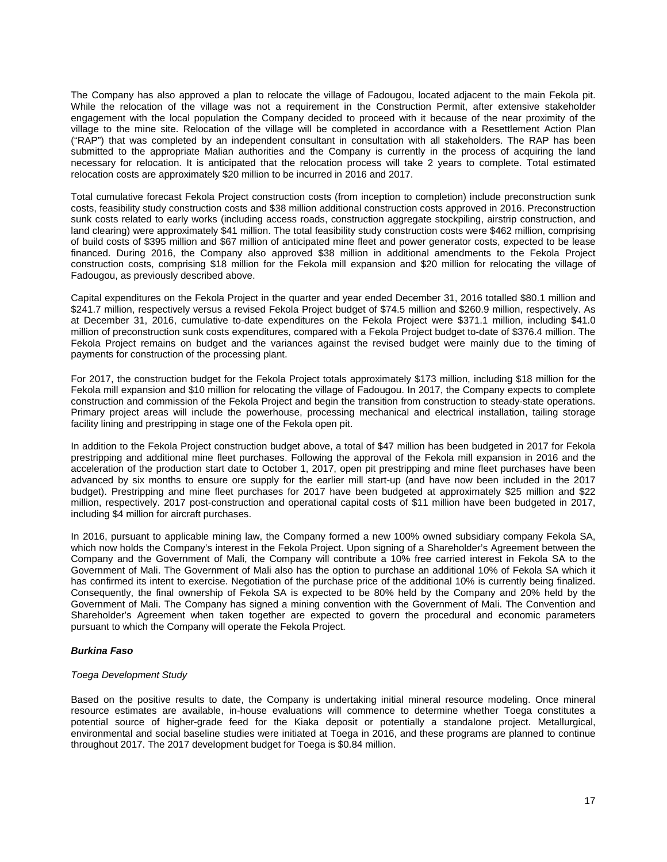The Company has also approved a plan to relocate the village of Fadougou, located adjacent to the main Fekola pit. While the relocation of the village was not a requirement in the Construction Permit, after extensive stakeholder engagement with the local population the Company decided to proceed with it because of the near proximity of the village to the mine site. Relocation of the village will be completed in accordance with a Resettlement Action Plan ("RAP") that was completed by an independent consultant in consultation with all stakeholders. The RAP has been submitted to the appropriate Malian authorities and the Company is currently in the process of acquiring the land necessary for relocation. It is anticipated that the relocation process will take 2 years to complete. Total estimated relocation costs are approximately \$20 million to be incurred in 2016 and 2017.

Total cumulative forecast Fekola Project construction costs (from inception to completion) include preconstruction sunk costs, feasibility study construction costs and \$38 million additional construction costs approved in 2016. Preconstruction sunk costs related to early works (including access roads, construction aggregate stockpiling, airstrip construction, and land clearing) were approximately \$41 million. The total feasibility study construction costs were \$462 million, comprising of build costs of \$395 million and \$67 million of anticipated mine fleet and power generator costs, expected to be lease financed. During 2016, the Company also approved \$38 million in additional amendments to the Fekola Project construction costs, comprising \$18 million for the Fekola mill expansion and \$20 million for relocating the village of Fadougou, as previously described above.

Capital expenditures on the Fekola Project in the quarter and year ended December 31, 2016 totalled \$80.1 million and \$241.7 million, respectively versus a revised Fekola Project budget of \$74.5 million and \$260.9 million, respectively. As at December 31, 2016, cumulative to-date expenditures on the Fekola Project were \$371.1 million, including \$41.0 million of preconstruction sunk costs expenditures, compared with a Fekola Project budget to-date of \$376.4 million. The Fekola Project remains on budget and the variances against the revised budget were mainly due to the timing of payments for construction of the processing plant.

For 2017, the construction budget for the Fekola Project totals approximately \$173 million, including \$18 million for the Fekola mill expansion and \$10 million for relocating the village of Fadougou. In 2017, the Company expects to complete construction and commission of the Fekola Project and begin the transition from construction to steady-state operations. Primary project areas will include the powerhouse, processing mechanical and electrical installation, tailing storage facility lining and prestripping in stage one of the Fekola open pit.

In addition to the Fekola Project construction budget above, a total of \$47 million has been budgeted in 2017 for Fekola prestripping and additional mine fleet purchases. Following the approval of the Fekola mill expansion in 2016 and the acceleration of the production start date to October 1, 2017, open pit prestripping and mine fleet purchases have been advanced by six months to ensure ore supply for the earlier mill start-up (and have now been included in the 2017 budget). Prestripping and mine fleet purchases for 2017 have been budgeted at approximately \$25 million and \$22 million, respectively. 2017 post-construction and operational capital costs of \$11 million have been budgeted in 2017, including \$4 million for aircraft purchases.

In 2016, pursuant to applicable mining law, the Company formed a new 100% owned subsidiary company Fekola SA, which now holds the Company's interest in the Fekola Project. Upon signing of a Shareholder's Agreement between the Company and the Government of Mali, the Company will contribute a 10% free carried interest in Fekola SA to the Government of Mali. The Government of Mali also has the option to purchase an additional 10% of Fekola SA which it has confirmed its intent to exercise. Negotiation of the purchase price of the additional 10% is currently being finalized. Consequently, the final ownership of Fekola SA is expected to be 80% held by the Company and 20% held by the Government of Mali. The Company has signed a mining convention with the Government of Mali. The Convention and Shareholder's Agreement when taken together are expected to govern the procedural and economic parameters pursuant to which the Company will operate the Fekola Project.

# *Burkina Faso*

### *Toega Development Study*

Based on the positive results to date, the Company is undertaking initial mineral resource modeling. Once mineral resource estimates are available, in-house evaluations will commence to determine whether Toega constitutes a potential source of higher-grade feed for the Kiaka deposit or potentially a standalone project. Metallurgical, environmental and social baseline studies were initiated at Toega in 2016, and these programs are planned to continue throughout 2017. The 2017 development budget for Toega is \$0.84 million.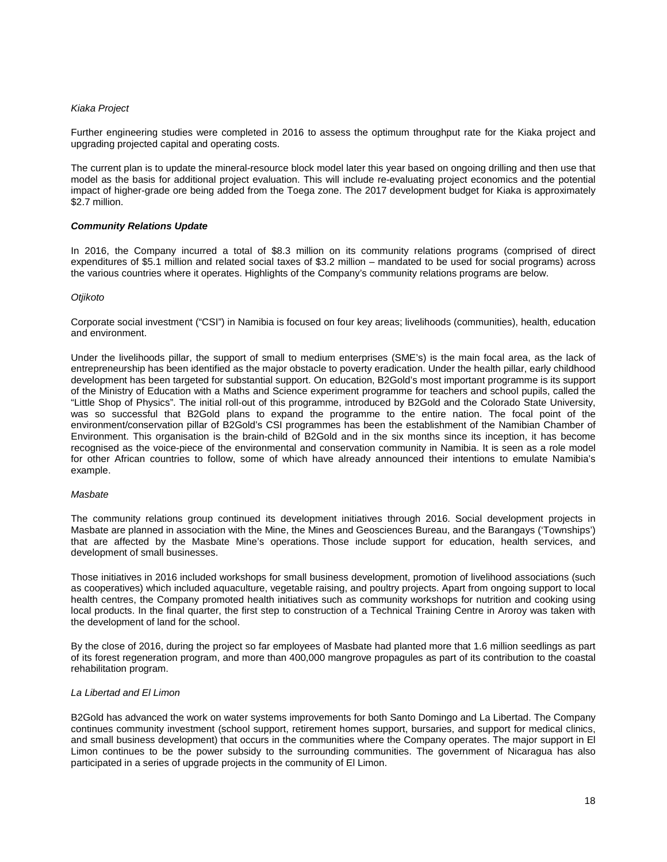## *Kiaka Project*

Further engineering studies were completed in 2016 to assess the optimum throughput rate for the Kiaka project and upgrading projected capital and operating costs.

The current plan is to update the mineral-resource block model later this year based on ongoing drilling and then use that model as the basis for additional project evaluation. This will include re-evaluating project economics and the potential impact of higher-grade ore being added from the Toega zone. The 2017 development budget for Kiaka is approximately \$2.7 million.

## *Community Relations Update*

In 2016, the Company incurred a total of \$8.3 million on its community relations programs (comprised of direct expenditures of \$5.1 million and related social taxes of \$3.2 million – mandated to be used for social programs) across the various countries where it operates. Highlights of the Company's community relations programs are below.

### *Otjikoto*

Corporate social investment ("CSI") in Namibia is focused on four key areas; livelihoods (communities), health, education and environment.

Under the livelihoods pillar, the support of small to medium enterprises (SME's) is the main focal area, as the lack of entrepreneurship has been identified as the major obstacle to poverty eradication. Under the health pillar, early childhood development has been targeted for substantial support. On education, B2Gold's most important programme is its support of the Ministry of Education with a Maths and Science experiment programme for teachers and school pupils, called the "Little Shop of Physics". The initial roll-out of this programme, introduced by B2Gold and the Colorado State University, was so successful that B2Gold plans to expand the programme to the entire nation. The focal point of the environment/conservation pillar of B2Gold's CSI programmes has been the establishment of the Namibian Chamber of Environment. This organisation is the brain-child of B2Gold and in the six months since its inception, it has become recognised as the voice-piece of the environmental and conservation community in Namibia. It is seen as a role model for other African countries to follow, some of which have already announced their intentions to emulate Namibia's example.

### *Masbate*

The community relations group continued its development initiatives through 2016. Social development projects in Masbate are planned in association with the Mine, the Mines and Geosciences Bureau, and the Barangays ('Townships') that are affected by the Masbate Mine's operations. Those include support for education, health services, and development of small businesses.

Those initiatives in 2016 included workshops for small business development, promotion of livelihood associations (such as cooperatives) which included aquaculture, vegetable raising, and poultry projects. Apart from ongoing support to local health centres, the Company promoted health initiatives such as community workshops for nutrition and cooking using local products. In the final quarter, the first step to construction of a Technical Training Centre in Aroroy was taken with the development of land for the school.

By the close of 2016, during the project so far employees of Masbate had planted more that 1.6 million seedlings as part of its forest regeneration program, and more than 400,000 mangrove propagules as part of its contribution to the coastal rehabilitation program.

### *La Libertad and El Limon*

B2Gold has advanced the work on water systems improvements for both Santo Domingo and La Libertad. The Company continues community investment (school support, retirement homes support, bursaries, and support for medical clinics, and small business development) that occurs in the communities where the Company operates. The major support in El Limon continues to be the power subsidy to the surrounding communities. The government of Nicaragua has also participated in a series of upgrade projects in the community of El Limon.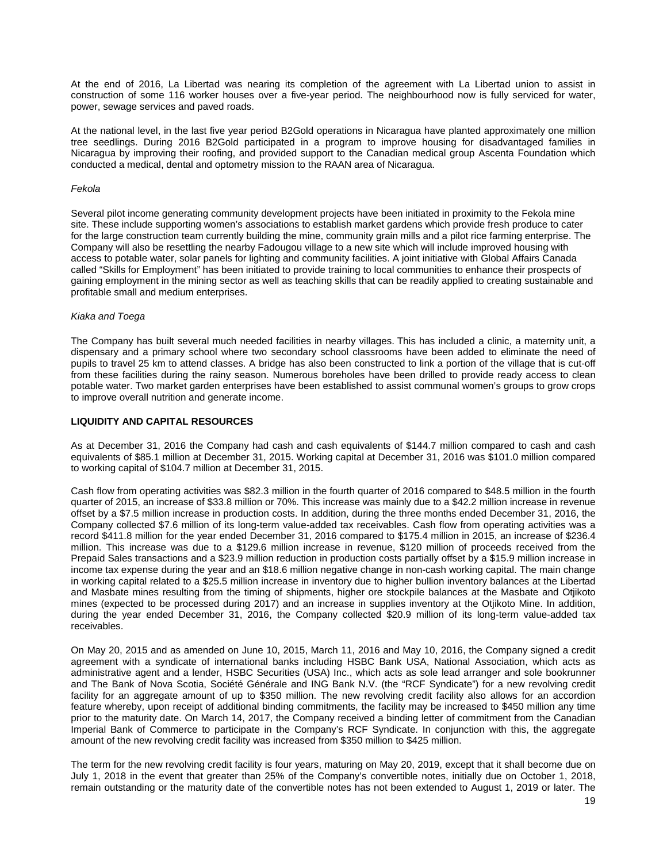At the end of 2016, La Libertad was nearing its completion of the agreement with La Libertad union to assist in construction of some 116 worker houses over a five-year period. The neighbourhood now is fully serviced for water, power, sewage services and paved roads.

At the national level, in the last five year period B2Gold operations in Nicaragua have planted approximately one million tree seedlings. During 2016 B2Gold participated in a program to improve housing for disadvantaged families in Nicaragua by improving their roofing, and provided support to the Canadian medical group Ascenta Foundation which conducted a medical, dental and optometry mission to the RAAN area of Nicaragua.

## *Fekola*

Several pilot income generating community development projects have been initiated in proximity to the Fekola mine site. These include supporting women's associations to establish market gardens which provide fresh produce to cater for the large construction team currently building the mine, community grain mills and a pilot rice farming enterprise. The Company will also be resettling the nearby Fadougou village to a new site which will include improved housing with access to potable water, solar panels for lighting and community facilities. A joint initiative with Global Affairs Canada called "Skills for Employment" has been initiated to provide training to local communities to enhance their prospects of gaining employment in the mining sector as well as teaching skills that can be readily applied to creating sustainable and profitable small and medium enterprises.

### *Kiaka and Toega*

The Company has built several much needed facilities in nearby villages. This has included a clinic, a maternity unit, a dispensary and a primary school where two secondary school classrooms have been added to eliminate the need of pupils to travel 25 km to attend classes. A bridge has also been constructed to link a portion of the village that is cut-off from these facilities during the rainy season. Numerous boreholes have been drilled to provide ready access to clean potable water. Two market garden enterprises have been established to assist communal women's groups to grow crops to improve overall nutrition and generate income.

## **LIQUIDITY AND CAPITAL RESOURCES**

As at December 31, 2016 the Company had cash and cash equivalents of \$144.7 million compared to cash and cash equivalents of \$85.1 million at December 31, 2015. Working capital at December 31, 2016 was \$101.0 million compared to working capital of \$104.7 million at December 31, 2015.

Cash flow from operating activities was \$82.3 million in the fourth quarter of 2016 compared to \$48.5 million in the fourth quarter of 2015, an increase of \$33.8 million or 70%. This increase was mainly due to a \$42.2 million increase in revenue offset by a \$7.5 million increase in production costs. In addition, during the three months ended December 31, 2016, the Company collected \$7.6 million of its long-term value-added tax receivables. Cash flow from operating activities was a record \$411.8 million for the year ended December 31, 2016 compared to \$175.4 million in 2015, an increase of \$236.4 million. This increase was due to a \$129.6 million increase in revenue, \$120 million of proceeds received from the Prepaid Sales transactions and a \$23.9 million reduction in production costs partially offset by a \$15.9 million increase in income tax expense during the year and an \$18.6 million negative change in non-cash working capital. The main change in working capital related to a \$25.5 million increase in inventory due to higher bullion inventory balances at the Libertad and Masbate mines resulting from the timing of shipments, higher ore stockpile balances at the Masbate and Otjikoto mines (expected to be processed during 2017) and an increase in supplies inventory at the Otjikoto Mine. In addition, during the year ended December 31, 2016, the Company collected \$20.9 million of its long-term value-added tax receivables.

On May 20, 2015 and as amended on June 10, 2015, March 11, 2016 and May 10, 2016, the Company signed a credit agreement with a syndicate of international banks including HSBC Bank USA, National Association, which acts as administrative agent and a lender, HSBC Securities (USA) Inc., which acts as sole lead arranger and sole bookrunner and The Bank of Nova Scotia, Société Générale and ING Bank N.V. (the "RCF Syndicate") for a new revolving credit facility for an aggregate amount of up to \$350 million. The new revolving credit facility also allows for an accordion feature whereby, upon receipt of additional binding commitments, the facility may be increased to \$450 million any time prior to the maturity date. On March 14, 2017, the Company received a binding letter of commitment from the Canadian Imperial Bank of Commerce to participate in the Company's RCF Syndicate. In conjunction with this, the aggregate amount of the new revolving credit facility was increased from \$350 million to \$425 million.

The term for the new revolving credit facility is four years, maturing on May 20, 2019, except that it shall become due on July 1, 2018 in the event that greater than 25% of the Company's convertible notes, initially due on October 1, 2018, remain outstanding or the maturity date of the convertible notes has not been extended to August 1, 2019 or later. The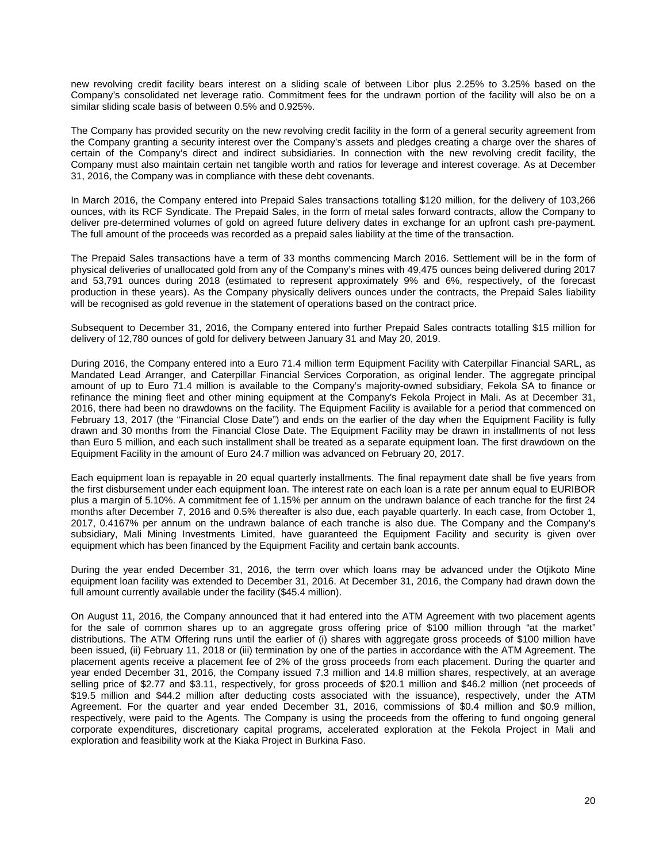new revolving credit facility bears interest on a sliding scale of between Libor plus 2.25% to 3.25% based on the Company's consolidated net leverage ratio. Commitment fees for the undrawn portion of the facility will also be on a similar sliding scale basis of between 0.5% and 0.925%.

The Company has provided security on the new revolving credit facility in the form of a general security agreement from the Company granting a security interest over the Company's assets and pledges creating a charge over the shares of certain of the Company's direct and indirect subsidiaries. In connection with the new revolving credit facility, the Company must also maintain certain net tangible worth and ratios for leverage and interest coverage. As at December 31, 2016, the Company was in compliance with these debt covenants.

In March 2016, the Company entered into Prepaid Sales transactions totalling \$120 million, for the delivery of 103,266 ounces, with its RCF Syndicate. The Prepaid Sales, in the form of metal sales forward contracts, allow the Company to deliver pre-determined volumes of gold on agreed future delivery dates in exchange for an upfront cash pre-payment. The full amount of the proceeds was recorded as a prepaid sales liability at the time of the transaction.

The Prepaid Sales transactions have a term of 33 months commencing March 2016. Settlement will be in the form of physical deliveries of unallocated gold from any of the Company's mines with 49,475 ounces being delivered during 2017 and 53,791 ounces during 2018 (estimated to represent approximately 9% and 6%, respectively, of the forecast production in these years). As the Company physically delivers ounces under the contracts, the Prepaid Sales liability will be recognised as gold revenue in the statement of operations based on the contract price.

Subsequent to December 31, 2016, the Company entered into further Prepaid Sales contracts totalling \$15 million for delivery of 12,780 ounces of gold for delivery between January 31 and May 20, 2019.

During 2016, the Company entered into a Euro 71.4 million term Equipment Facility with Caterpillar Financial SARL, as Mandated Lead Arranger, and Caterpillar Financial Services Corporation, as original lender. The aggregate principal amount of up to Euro 71.4 million is available to the Company's majority-owned subsidiary, Fekola SA to finance or refinance the mining fleet and other mining equipment at the Company's Fekola Project in Mali. As at December 31, 2016, there had been no drawdowns on the facility. The Equipment Facility is available for a period that commenced on February 13, 2017 (the "Financial Close Date") and ends on the earlier of the day when the Equipment Facility is fully drawn and 30 months from the Financial Close Date. The Equipment Facility may be drawn in installments of not less than Euro 5 million, and each such installment shall be treated as a separate equipment loan. The first drawdown on the Equipment Facility in the amount of Euro 24.7 million was advanced on February 20, 2017.

Each equipment loan is repayable in 20 equal quarterly installments. The final repayment date shall be five years from the first disbursement under each equipment loan. The interest rate on each loan is a rate per annum equal to EURIBOR plus a margin of 5.10%. A commitment fee of 1.15% per annum on the undrawn balance of each tranche for the first 24 months after December 7, 2016 and 0.5% thereafter is also due, each payable quarterly. In each case, from October 1, 2017, 0.4167% per annum on the undrawn balance of each tranche is also due. The Company and the Company's subsidiary, Mali Mining Investments Limited, have guaranteed the Equipment Facility and security is given over equipment which has been financed by the Equipment Facility and certain bank accounts.

During the year ended December 31, 2016, the term over which loans may be advanced under the Otjikoto Mine equipment loan facility was extended to December 31, 2016. At December 31, 2016, the Company had drawn down the full amount currently available under the facility (\$45.4 million).

On August 11, 2016, the Company announced that it had entered into the ATM Agreement with two placement agents for the sale of common shares up to an aggregate gross offering price of \$100 million through "at the market" distributions. The ATM Offering runs until the earlier of (i) shares with aggregate gross proceeds of \$100 million have been issued, (ii) February 11, 2018 or (iii) termination by one of the parties in accordance with the ATM Agreement. The placement agents receive a placement fee of 2% of the gross proceeds from each placement. During the quarter and year ended December 31, 2016, the Company issued 7.3 million and 14.8 million shares, respectively, at an average selling price of \$2.77 and \$3.11, respectively, for gross proceeds of \$20.1 million and \$46.2 million (net proceeds of \$19.5 million and \$44.2 million after deducting costs associated with the issuance), respectively, under the ATM Agreement. For the quarter and year ended December 31, 2016, commissions of \$0.4 million and \$0.9 million, respectively, were paid to the Agents. The Company is using the proceeds from the offering to fund ongoing general corporate expenditures, discretionary capital programs, accelerated exploration at the Fekola Project in Mali and exploration and feasibility work at the Kiaka Project in Burkina Faso.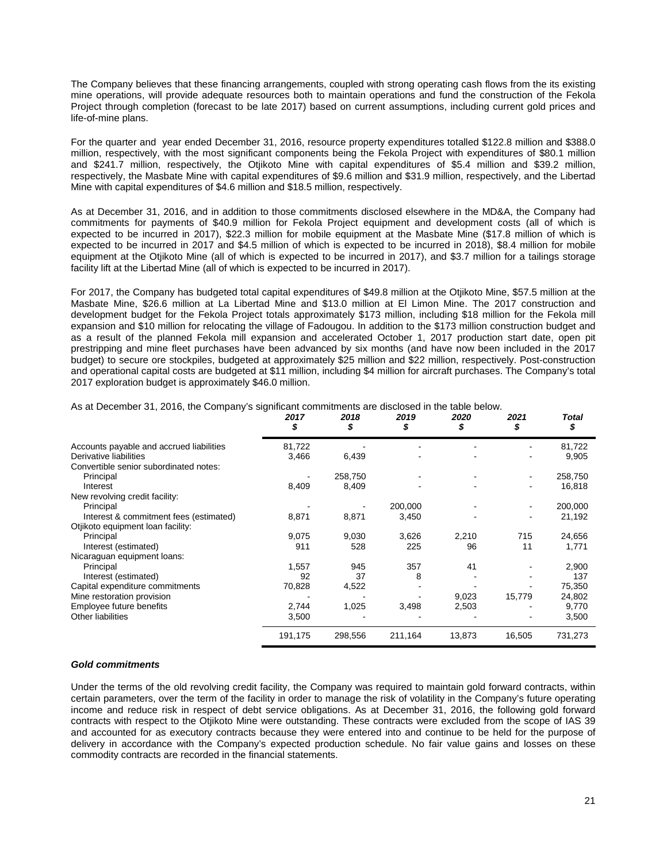The Company believes that these financing arrangements, coupled with strong operating cash flows from the its existing mine operations, will provide adequate resources both to maintain operations and fund the construction of the Fekola Project through completion (forecast to be late 2017) based on current assumptions, including current gold prices and life-of-mine plans.

For the quarter and year ended December 31, 2016, resource property expenditures totalled \$122.8 million and \$388.0 million, respectively, with the most significant components being the Fekola Project with expenditures of \$80.1 million and \$241.7 million, respectively, the Otjikoto Mine with capital expenditures of \$5.4 million and \$39.2 million, respectively, the Masbate Mine with capital expenditures of \$9.6 million and \$31.9 million, respectively, and the Libertad Mine with capital expenditures of \$4.6 million and \$18.5 million, respectively.

As at December 31, 2016, and in addition to those commitments disclosed elsewhere in the MD&A, the Company had commitments for payments of \$40.9 million for Fekola Project equipment and development costs (all of which is expected to be incurred in 2017), \$22.3 million for mobile equipment at the Masbate Mine (\$17.8 million of which is expected to be incurred in 2017 and \$4.5 million of which is expected to be incurred in 2018), \$8.4 million for mobile equipment at the Otjikoto Mine (all of which is expected to be incurred in 2017), and \$3.7 million for a tailings storage facility lift at the Libertad Mine (all of which is expected to be incurred in 2017).

For 2017, the Company has budgeted total capital expenditures of \$49.8 million at the Otjikoto Mine, \$57.5 million at the Masbate Mine, \$26.6 million at La Libertad Mine and \$13.0 million at El Limon Mine. The 2017 construction and development budget for the Fekola Project totals approximately \$173 million, including \$18 million for the Fekola mill expansion and \$10 million for relocating the village of Fadougou. In addition to the \$173 million construction budget and as a result of the planned Fekola mill expansion and accelerated October 1, 2017 production start date, open pit prestripping and mine fleet purchases have been advanced by six months (and have now been included in the 2017 budget) to secure ore stockpiles, budgeted at approximately \$25 million and \$22 million, respectively. Post-construction and operational capital costs are budgeted at \$11 million, including \$4 million for aircraft purchases. The Company's total 2017 exploration budget is approximately \$46.0 million.

|                                          | 2017<br>\$ | 2018<br>\$ | 2019<br>\$ | 2020<br>S | 2021<br>S | Total<br>\$ |
|------------------------------------------|------------|------------|------------|-----------|-----------|-------------|
| Accounts payable and accrued liabilities | 81,722     |            |            |           |           | 81,722      |
| Derivative liabilities                   | 3,466      | 6,439      |            |           |           | 9,905       |
| Convertible senior subordinated notes:   |            |            |            |           |           |             |
| Principal                                |            | 258,750    |            |           |           | 258,750     |
| Interest                                 | 8,409      | 8,409      |            |           |           | 16,818      |
| New revolving credit facility:           |            |            |            |           |           |             |
| Principal                                |            |            | 200,000    |           |           | 200,000     |
| Interest & commitment fees (estimated)   | 8,871      | 8,871      | 3,450      |           |           | 21,192      |
| Otjikoto equipment loan facility:        |            |            |            |           |           |             |
| Principal                                | 9,075      | 9,030      | 3,626      | 2,210     | 715       | 24,656      |
| Interest (estimated)                     | 911        | 528        | 225        | 96        | 11        | 1,771       |
| Nicaraguan equipment loans:              |            |            |            |           |           |             |
| Principal                                | 1,557      | 945        | 357        | 41        |           | 2,900       |
| Interest (estimated)                     | 92         | 37         | 8          |           |           | 137         |
| Capital expenditure commitments          | 70,828     | 4,522      |            |           |           | 75,350      |
| Mine restoration provision               |            |            |            | 9,023     | 15,779    | 24,802      |
| Employee future benefits                 | 2,744      | 1,025      | 3,498      | 2,503     |           | 9,770       |
| Other liabilities                        | 3,500      |            |            |           |           | 3,500       |
|                                          | 191,175    | 298,556    | 211,164    | 13,873    | 16,505    | 731,273     |

As at December 31, 2016, the Company's significant commitments are disclosed in the table below.

### *Gold commitments*

Under the terms of the old revolving credit facility, the Company was required to maintain gold forward contracts, within certain parameters, over the term of the facility in order to manage the risk of volatility in the Company's future operating income and reduce risk in respect of debt service obligations. As at December 31, 2016, the following gold forward contracts with respect to the Otjikoto Mine were outstanding. These contracts were excluded from the scope of IAS 39 and accounted for as executory contracts because they were entered into and continue to be held for the purpose of delivery in accordance with the Company's expected production schedule. No fair value gains and losses on these commodity contracts are recorded in the financial statements.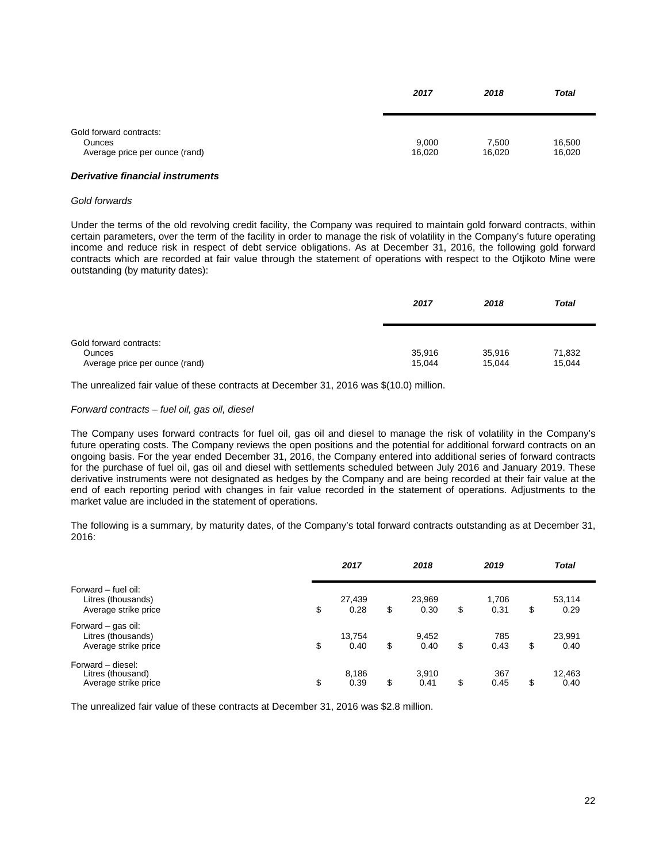|                                                                            | 2017            | 2018            | <b>Total</b>     |
|----------------------------------------------------------------------------|-----------------|-----------------|------------------|
| Gold forward contracts:<br><b>Ounces</b><br>Average price per ounce (rand) | 9,000<br>16,020 | 7,500<br>16,020 | 16,500<br>16,020 |

### *Derivative financial instruments*

### *Gold forwards*

Under the terms of the old revolving credit facility, the Company was required to maintain gold forward contracts, within certain parameters, over the term of the facility in order to manage the risk of volatility in the Company's future operating income and reduce risk in respect of debt service obligations. As at December 31, 2016, the following gold forward contracts which are recorded at fair value through the statement of operations with respect to the Otjikoto Mine were outstanding (by maturity dates):

|                                                                            | 2017             | 2018             | <b>Total</b>     |
|----------------------------------------------------------------------------|------------------|------------------|------------------|
| Gold forward contracts:<br><b>Ounces</b><br>Average price per ounce (rand) | 35,916<br>15,044 | 35,916<br>15.044 | 71,832<br>15,044 |

The unrealized fair value of these contracts at December 31, 2016 was \$(10.0) million.

#### *Forward contracts – fuel oil, gas oil, diesel*

The Company uses forward contracts for fuel oil, gas oil and diesel to manage the risk of volatility in the Company's future operating costs. The Company reviews the open positions and the potential for additional forward contracts on an ongoing basis. For the year ended December 31, 2016, the Company entered into additional series of forward contracts for the purchase of fuel oil, gas oil and diesel with settlements scheduled between July 2016 and January 2019. These derivative instruments were not designated as hedges by the Company and are being recorded at their fair value at the end of each reporting period with changes in fair value recorded in the statement of operations. Adjustments to the market value are included in the statement of operations.

The following is a summary, by maturity dates, of the Company's total forward contracts outstanding as at December 31, 2016:

|                                                                   | 2017                 | 2018                 | 2019                | <b>Total</b>         |  |
|-------------------------------------------------------------------|----------------------|----------------------|---------------------|----------------------|--|
| Forward – fuel oil:<br>Litres (thousands)<br>Average strike price | \$<br>27,439<br>0.28 | \$<br>23,969<br>0.30 | \$<br>1,706<br>0.31 | \$<br>53,114<br>0.29 |  |
| Forward – gas oil:<br>Litres (thousands)<br>Average strike price  | \$<br>13.754<br>0.40 | \$<br>9,452<br>0.40  | \$<br>785<br>0.43   | \$<br>23,991<br>0.40 |  |
| Forward - diesel:<br>Litres (thousand)<br>Average strike price    | \$<br>8,186<br>0.39  | \$<br>3,910<br>0.41  | \$<br>367<br>0.45   | \$<br>12,463<br>0.40 |  |

The unrealized fair value of these contracts at December 31, 2016 was \$2.8 million.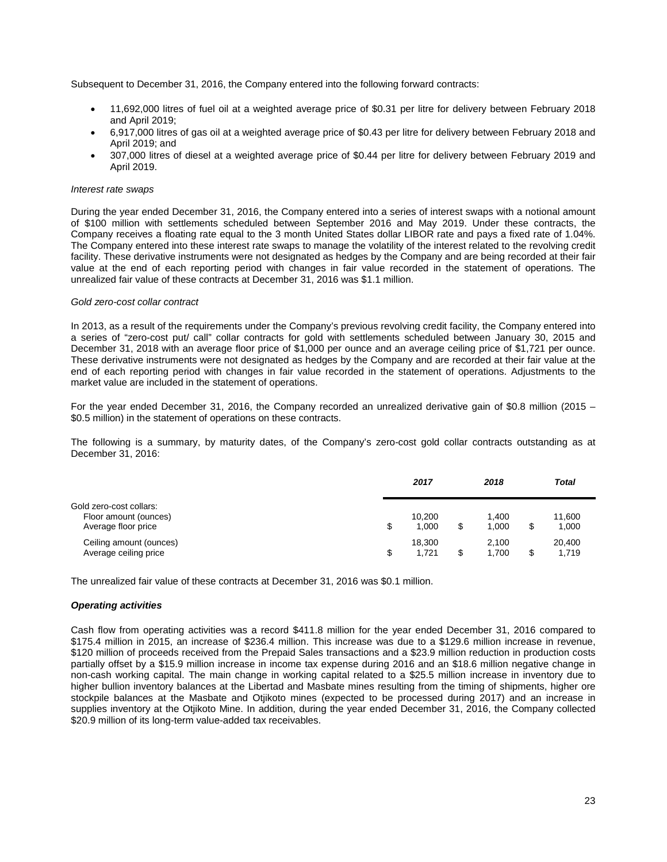Subsequent to December 31, 2016, the Company entered into the following forward contracts:

- 11,692,000 litres of fuel oil at a weighted average price of \$0.31 per litre for delivery between February 2018 and April 2019;
- 6,917,000 litres of gas oil at a weighted average price of \$0.43 per litre for delivery between February 2018 and April 2019; and
- 307,000 litres of diesel at a weighted average price of \$0.44 per litre for delivery between February 2019 and April 2019.

## *Interest rate swaps*

During the year ended December 31, 2016, the Company entered into a series of interest swaps with a notional amount of \$100 million with settlements scheduled between September 2016 and May 2019. Under these contracts, the Company receives a floating rate equal to the 3 month United States dollar LIBOR rate and pays a fixed rate of 1.04%. The Company entered into these interest rate swaps to manage the volatility of the interest related to the revolving credit facility. These derivative instruments were not designated as hedges by the Company and are being recorded at their fair value at the end of each reporting period with changes in fair value recorded in the statement of operations. The unrealized fair value of these contracts at December 31, 2016 was \$1.1 million.

## *Gold zero-cost collar contract*

In 2013, as a result of the requirements under the Company's previous revolving credit facility, the Company entered into a series of "zero-cost put/ call" collar contracts for gold with settlements scheduled between January 30, 2015 and December 31, 2018 with an average floor price of \$1,000 per ounce and an average ceiling price of \$1,721 per ounce. These derivative instruments were not designated as hedges by the Company and are recorded at their fair value at the end of each reporting period with changes in fair value recorded in the statement of operations. Adjustments to the market value are included in the statement of operations.

For the year ended December 31, 2016, the Company recorded an unrealized derivative gain of \$0.8 million (2015 – \$0.5 million) in the statement of operations on these contracts.

The following is a summary, by maturity dates, of the Company's zero-cost gold collar contracts outstanding as at December 31, 2016:

|                                                                         |   | 2017            | 2018           | <b>Total</b>          |  |
|-------------------------------------------------------------------------|---|-----------------|----------------|-----------------------|--|
| Gold zero-cost collars:<br>Floor amount (ounces)<br>Average floor price | S | 10.200<br>1.000 | 1.400<br>1.000 | \$<br>11.600<br>1,000 |  |
| Ceiling amount (ounces)<br>Average ceiling price                        |   | 18.300<br>1.721 | 2.100<br>1.700 | \$<br>20.400<br>1,719 |  |

The unrealized fair value of these contracts at December 31, 2016 was \$0.1 million.

# *Operating activities*

Cash flow from operating activities was a record \$411.8 million for the year ended December 31, 2016 compared to \$175.4 million in 2015, an increase of \$236.4 million. This increase was due to a \$129.6 million increase in revenue, \$120 million of proceeds received from the Prepaid Sales transactions and a \$23.9 million reduction in production costs partially offset by a \$15.9 million increase in income tax expense during 2016 and an \$18.6 million negative change in non-cash working capital. The main change in working capital related to a \$25.5 million increase in inventory due to higher bullion inventory balances at the Libertad and Masbate mines resulting from the timing of shipments, higher ore stockpile balances at the Masbate and Otjikoto mines (expected to be processed during 2017) and an increase in supplies inventory at the Otjikoto Mine. In addition, during the year ended December 31, 2016, the Company collected \$20.9 million of its long-term value-added tax receivables.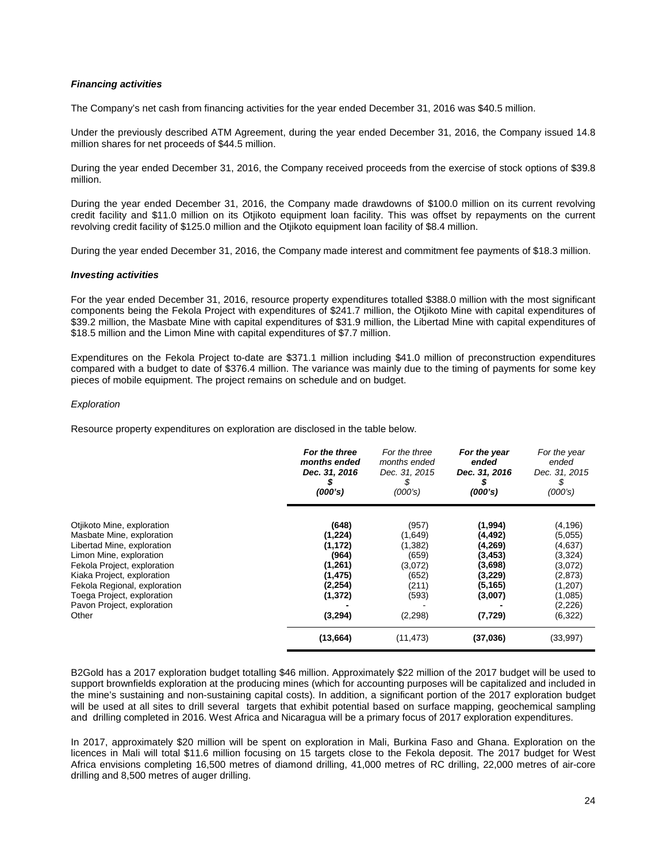# *Financing activities*

The Company's net cash from financing activities for the year ended December 31, 2016 was \$40.5 million.

Under the previously described ATM Agreement, during the year ended December 31, 2016, the Company issued 14.8 million shares for net proceeds of \$44.5 million.

During the year ended December 31, 2016, the Company received proceeds from the exercise of stock options of \$39.8 million.

During the year ended December 31, 2016, the Company made drawdowns of \$100.0 million on its current revolving credit facility and \$11.0 million on its Otjikoto equipment loan facility. This was offset by repayments on the current revolving credit facility of \$125.0 million and the Otjikoto equipment loan facility of \$8.4 million.

During the year ended December 31, 2016, the Company made interest and commitment fee payments of \$18.3 million.

## *Investing activities*

For the year ended December 31, 2016, resource property expenditures totalled \$388.0 million with the most significant components being the Fekola Project with expenditures of \$241.7 million, the Otjikoto Mine with capital expenditures of \$39.2 million, the Masbate Mine with capital expenditures of \$31.9 million, the Libertad Mine with capital expenditures of \$18.5 million and the Limon Mine with capital expenditures of \$7.7 million.

Expenditures on the Fekola Project to-date are \$371.1 million including \$41.0 million of preconstruction expenditures compared with a budget to date of \$376.4 million. The variance was mainly due to the timing of payments for some key pieces of mobile equipment. The project remains on schedule and on budget.

## *Exploration*

Resource property expenditures on exploration are disclosed in the table below.

|                                                                                                                                                                                                                                                                                    | For the three<br>months ended<br>Dec. 31, 2016<br>(000's)                                        | For the three<br>months ended<br>Dec. 31, 2015<br>S.<br>(000's)                        | For the year<br>ended<br>Dec. 31, 2016<br>(000's)                                                   | For the year<br>ended<br>Dec. 31, 2015<br>S<br>(000's)                                                        |
|------------------------------------------------------------------------------------------------------------------------------------------------------------------------------------------------------------------------------------------------------------------------------------|--------------------------------------------------------------------------------------------------|----------------------------------------------------------------------------------------|-----------------------------------------------------------------------------------------------------|---------------------------------------------------------------------------------------------------------------|
| Otjikoto Mine, exploration<br>Masbate Mine, exploration<br>Libertad Mine, exploration<br>Limon Mine, exploration<br>Fekola Project, exploration<br>Kiaka Project, exploration<br>Fekola Regional, exploration<br>Toega Project, exploration<br>Pavon Project, exploration<br>Other | (648)<br>(1,224)<br>(1, 172)<br>(964)<br>(1, 261)<br>(1, 475)<br>(2, 254)<br>(1, 372)<br>(3,294) | (957)<br>(1,649)<br>(1,382)<br>(659)<br>(3,072)<br>(652)<br>(211)<br>(593)<br>(2, 298) | (1,994)<br>(4, 492)<br>(4,269)<br>(3, 453)<br>(3,698)<br>(3,229)<br>(5, 165)<br>(3,007)<br>(7, 729) | (4, 196)<br>(5,055)<br>(4,637)<br>(3, 324)<br>(3,072)<br>(2,873)<br>(1,207)<br>(1,085)<br>(2,226)<br>(6, 322) |
|                                                                                                                                                                                                                                                                                    | (13,664)                                                                                         | (11, 473)                                                                              | (37,036)                                                                                            | (33,997)                                                                                                      |

B2Gold has a 2017 exploration budget totalling \$46 million. Approximately \$22 million of the 2017 budget will be used to support brownfields exploration at the producing mines (which for accounting purposes will be capitalized and included in the mine's sustaining and non-sustaining capital costs). In addition, a significant portion of the 2017 exploration budget will be used at all sites to drill several targets that exhibit potential based on surface mapping, geochemical sampling and drilling completed in 2016. West Africa and Nicaragua will be a primary focus of 2017 exploration expenditures.

In 2017, approximately \$20 million will be spent on exploration in Mali, Burkina Faso and Ghana. Exploration on the licences in Mali will total \$11.6 million focusing on 15 targets close to the Fekola deposit. The 2017 budget for West Africa envisions completing 16,500 metres of diamond drilling, 41,000 metres of RC drilling, 22,000 metres of air-core drilling and 8,500 metres of auger drilling.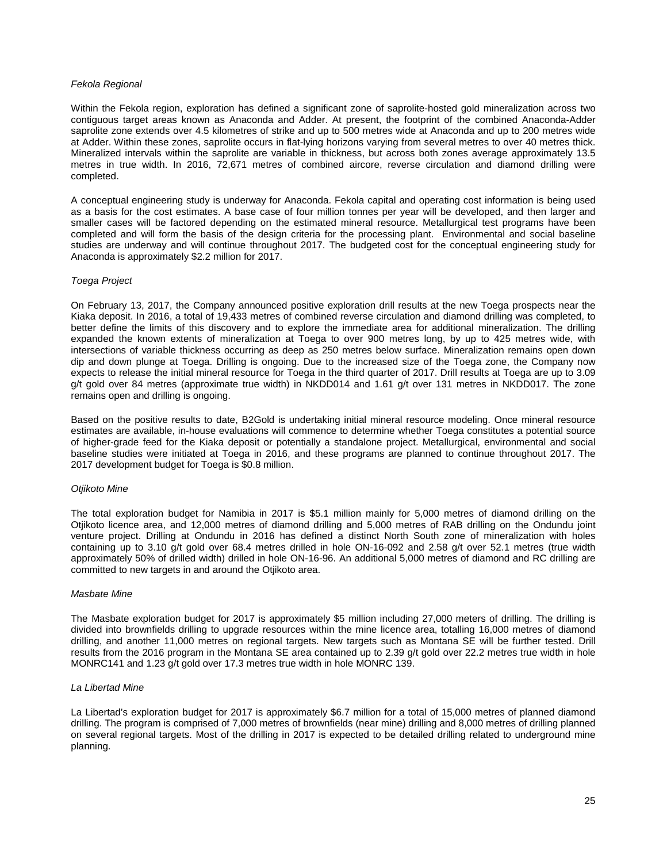## *Fekola Regional*

Within the Fekola region, exploration has defined a significant zone of saprolite-hosted gold mineralization across two contiguous target areas known as Anaconda and Adder. At present, the footprint of the combined Anaconda-Adder saprolite zone extends over 4.5 kilometres of strike and up to 500 metres wide at Anaconda and up to 200 metres wide at Adder. Within these zones, saprolite occurs in flat-lying horizons varying from several metres to over 40 metres thick. Mineralized intervals within the saprolite are variable in thickness, but across both zones average approximately 13.5 metres in true width. In 2016, 72,671 metres of combined aircore, reverse circulation and diamond drilling were completed.

A conceptual engineering study is underway for Anaconda. Fekola capital and operating cost information is being used as a basis for the cost estimates. A base case of four million tonnes per year will be developed, and then larger and smaller cases will be factored depending on the estimated mineral resource. Metallurgical test programs have been completed and will form the basis of the design criteria for the processing plant. Environmental and social baseline studies are underway and will continue throughout 2017. The budgeted cost for the conceptual engineering study for Anaconda is approximately \$2.2 million for 2017.

### *Toega Project*

On February 13, 2017, the Company announced positive exploration drill results at the new Toega prospects near the Kiaka deposit. In 2016, a total of 19,433 metres of combined reverse circulation and diamond drilling was completed, to better define the limits of this discovery and to explore the immediate area for additional mineralization. The drilling expanded the known extents of mineralization at Toega to over 900 metres long, by up to 425 metres wide, with intersections of variable thickness occurring as deep as 250 metres below surface. Mineralization remains open down dip and down plunge at Toega. Drilling is ongoing. Due to the increased size of the Toega zone, the Company now expects to release the initial mineral resource for Toega in the third quarter of 2017. Drill results at Toega are up to 3.09 g/t gold over 84 metres (approximate true width) in NKDD014 and 1.61 g/t over 131 metres in NKDD017. The zone remains open and drilling is ongoing.

Based on the positive results to date, B2Gold is undertaking initial mineral resource modeling. Once mineral resource estimates are available, in-house evaluations will commence to determine whether Toega constitutes a potential source of higher-grade feed for the Kiaka deposit or potentially a standalone project. Metallurgical, environmental and social baseline studies were initiated at Toega in 2016, and these programs are planned to continue throughout 2017. The 2017 development budget for Toega is \$0.8 million.

### *Otjikoto Mine*

The total exploration budget for Namibia in 2017 is \$5.1 million mainly for 5,000 metres of diamond drilling on the Otjikoto licence area, and 12,000 metres of diamond drilling and 5,000 metres of RAB drilling on the Ondundu joint venture project. Drilling at Ondundu in 2016 has defined a distinct North South zone of mineralization with holes containing up to 3.10 g/t gold over 68.4 metres drilled in hole ON-16-092 and 2.58 g/t over 52.1 metres (true width approximately 50% of drilled width) drilled in hole ON-16-96. An additional 5,000 metres of diamond and RC drilling are committed to new targets in and around the Otjikoto area.

### *Masbate Mine*

The Masbate exploration budget for 2017 is approximately \$5 million including 27,000 meters of drilling. The drilling is divided into brownfields drilling to upgrade resources within the mine licence area, totalling 16,000 metres of diamond drilling, and another 11,000 metres on regional targets. New targets such as Montana SE will be further tested. Drill results from the 2016 program in the Montana SE area contained up to 2.39 g/t gold over 22.2 metres true width in hole MONRC141 and 1.23 g/t gold over 17.3 metres true width in hole MONRC 139.

### *La Libertad Mine*

La Libertad's exploration budget for 2017 is approximately \$6.7 million for a total of 15,000 metres of planned diamond drilling. The program is comprised of 7,000 metres of brownfields (near mine) drilling and 8,000 metres of drilling planned on several regional targets. Most of the drilling in 2017 is expected to be detailed drilling related to underground mine planning.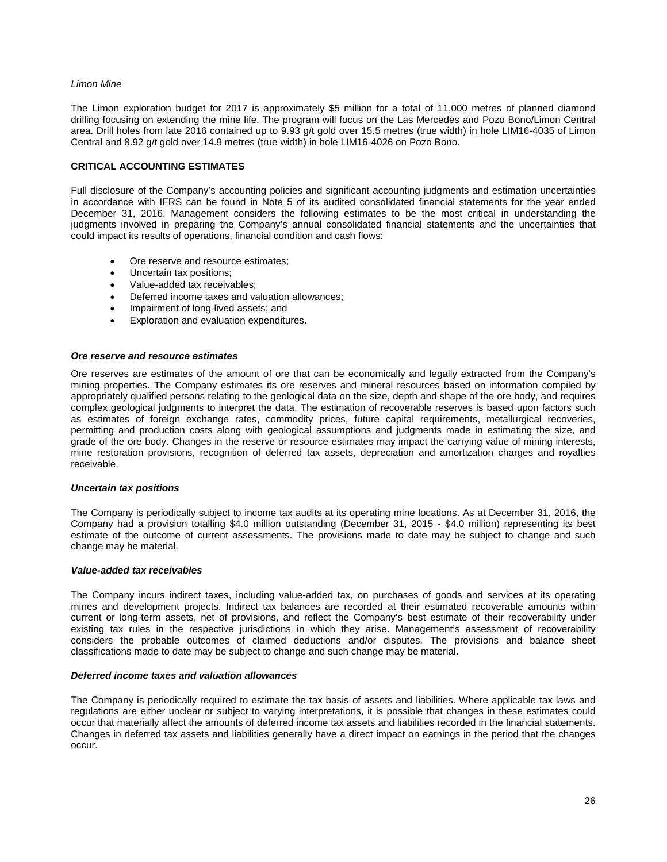## *Limon Mine*

The Limon exploration budget for 2017 is approximately \$5 million for a total of 11,000 metres of planned diamond drilling focusing on extending the mine life. The program will focus on the Las Mercedes and Pozo Bono/Limon Central area. Drill holes from late 2016 contained up to 9.93 g/t gold over 15.5 metres (true width) in hole LIM16-4035 of Limon Central and 8.92 g/t gold over 14.9 metres (true width) in hole LIM16-4026 on Pozo Bono.

## **CRITICAL ACCOUNTING ESTIMATES**

Full disclosure of the Company's accounting policies and significant accounting judgments and estimation uncertainties in accordance with IFRS can be found in Note 5 of its audited consolidated financial statements for the year ended December 31, 2016. Management considers the following estimates to be the most critical in understanding the judgments involved in preparing the Company's annual consolidated financial statements and the uncertainties that could impact its results of operations, financial condition and cash flows:

- Ore reserve and resource estimates;
- Uncertain tax positions;
- Value-added tax receivables;
- Deferred income taxes and valuation allowances;
- Impairment of long-lived assets; and
- Exploration and evaluation expenditures.

### *Ore reserve and resource estimates*

Ore reserves are estimates of the amount of ore that can be economically and legally extracted from the Company's mining properties. The Company estimates its ore reserves and mineral resources based on information compiled by appropriately qualified persons relating to the geological data on the size, depth and shape of the ore body, and requires complex geological judgments to interpret the data. The estimation of recoverable reserves is based upon factors such as estimates of foreign exchange rates, commodity prices, future capital requirements, metallurgical recoveries, permitting and production costs along with geological assumptions and judgments made in estimating the size, and grade of the ore body. Changes in the reserve or resource estimates may impact the carrying value of mining interests, mine restoration provisions, recognition of deferred tax assets, depreciation and amortization charges and royalties receivable.

### *Uncertain tax positions*

The Company is periodically subject to income tax audits at its operating mine locations. As at December 31, 2016, the Company had a provision totalling \$4.0 million outstanding (December 31, 2015 - \$4.0 million) representing its best estimate of the outcome of current assessments. The provisions made to date may be subject to change and such change may be material.

### *Value-added tax receivables*

The Company incurs indirect taxes, including value-added tax, on purchases of goods and services at its operating mines and development projects. Indirect tax balances are recorded at their estimated recoverable amounts within current or long-term assets, net of provisions, and reflect the Company's best estimate of their recoverability under existing tax rules in the respective jurisdictions in which they arise. Management's assessment of recoverability considers the probable outcomes of claimed deductions and/or disputes. The provisions and balance sheet classifications made to date may be subject to change and such change may be material.

## *Deferred income taxes and valuation allowances*

The Company is periodically required to estimate the tax basis of assets and liabilities. Where applicable tax laws and regulations are either unclear or subject to varying interpretations, it is possible that changes in these estimates could occur that materially affect the amounts of deferred income tax assets and liabilities recorded in the financial statements. Changes in deferred tax assets and liabilities generally have a direct impact on earnings in the period that the changes occur.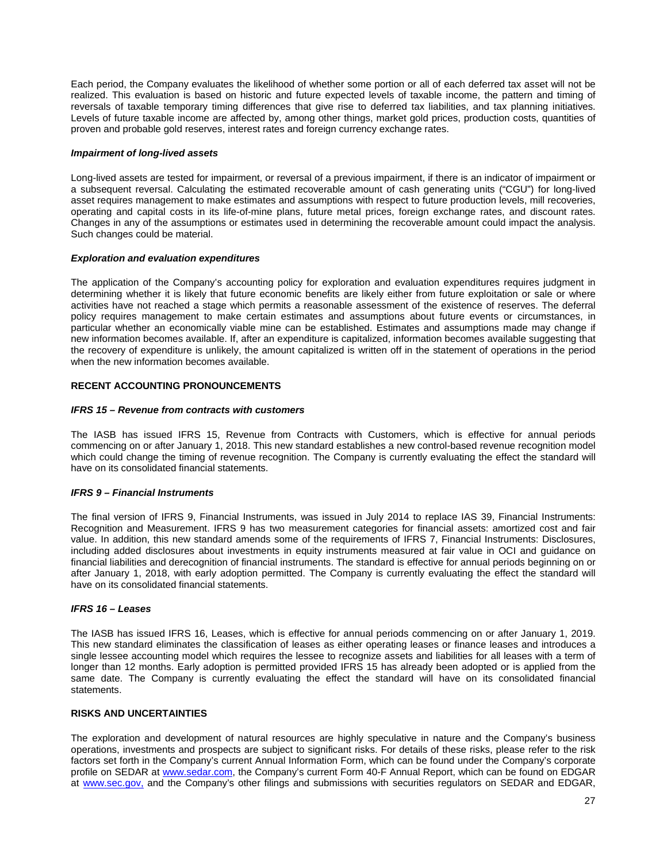Each period, the Company evaluates the likelihood of whether some portion or all of each deferred tax asset will not be realized. This evaluation is based on historic and future expected levels of taxable income, the pattern and timing of reversals of taxable temporary timing differences that give rise to deferred tax liabilities, and tax planning initiatives. Levels of future taxable income are affected by, among other things, market gold prices, production costs, quantities of proven and probable gold reserves, interest rates and foreign currency exchange rates.

## *Impairment of long-lived assets*

Long-lived assets are tested for impairment, or reversal of a previous impairment, if there is an indicator of impairment or a subsequent reversal. Calculating the estimated recoverable amount of cash generating units ("CGU") for long-lived asset requires management to make estimates and assumptions with respect to future production levels, mill recoveries, operating and capital costs in its life-of-mine plans, future metal prices, foreign exchange rates, and discount rates. Changes in any of the assumptions or estimates used in determining the recoverable amount could impact the analysis. Such changes could be material.

## *Exploration and evaluation expenditures*

The application of the Company's accounting policy for exploration and evaluation expenditures requires judgment in determining whether it is likely that future economic benefits are likely either from future exploitation or sale or where activities have not reached a stage which permits a reasonable assessment of the existence of reserves. The deferral policy requires management to make certain estimates and assumptions about future events or circumstances, in particular whether an economically viable mine can be established. Estimates and assumptions made may change if new information becomes available. If, after an expenditure is capitalized, information becomes available suggesting that the recovery of expenditure is unlikely, the amount capitalized is written off in the statement of operations in the period when the new information becomes available.

# **RECENT ACCOUNTING PRONOUNCEMENTS**

## *IFRS 15 – Revenue from contracts with customers*

The IASB has issued IFRS 15, Revenue from Contracts with Customers, which is effective for annual periods commencing on or after January 1, 2018. This new standard establishes a new control-based revenue recognition model which could change the timing of revenue recognition. The Company is currently evaluating the effect the standard will have on its consolidated financial statements.

# *IFRS 9 – Financial Instruments*

The final version of IFRS 9, Financial Instruments, was issued in July 2014 to replace IAS 39, Financial Instruments: Recognition and Measurement. IFRS 9 has two measurement categories for financial assets: amortized cost and fair value. In addition, this new standard amends some of the requirements of IFRS 7, Financial Instruments: Disclosures, including added disclosures about investments in equity instruments measured at fair value in OCI and guidance on financial liabilities and derecognition of financial instruments. The standard is effective for annual periods beginning on or after January 1, 2018, with early adoption permitted. The Company is currently evaluating the effect the standard will have on its consolidated financial statements.

### *IFRS 16 – Leases*

The IASB has issued IFRS 16, Leases, which is effective for annual periods commencing on or after January 1, 2019. This new standard eliminates the classification of leases as either operating leases or finance leases and introduces a single lessee accounting model which requires the lessee to recognize assets and liabilities for all leases with a term of longer than 12 months. Early adoption is permitted provided IFRS 15 has already been adopted or is applied from the same date. The Company is currently evaluating the effect the standard will have on its consolidated financial statements.

# **RISKS AND UNCERTAINTIES**

The exploration and development of natural resources are highly speculative in nature and the Company's business operations, investments and prospects are subject to significant risks. For details of these risks, please refer to the risk factors set forth in the Company's current Annual Information Form, which can be found under the Company's corporate profile on SEDAR at [www.sedar.com,](http://www.sedar.com/) the Company's current Form 40-F Annual Report, which can be found on EDGAR at [www.sec.gov,](http://www.sec.gov/) and the Company's other filings and submissions with securities regulators on SEDAR and EDGAR,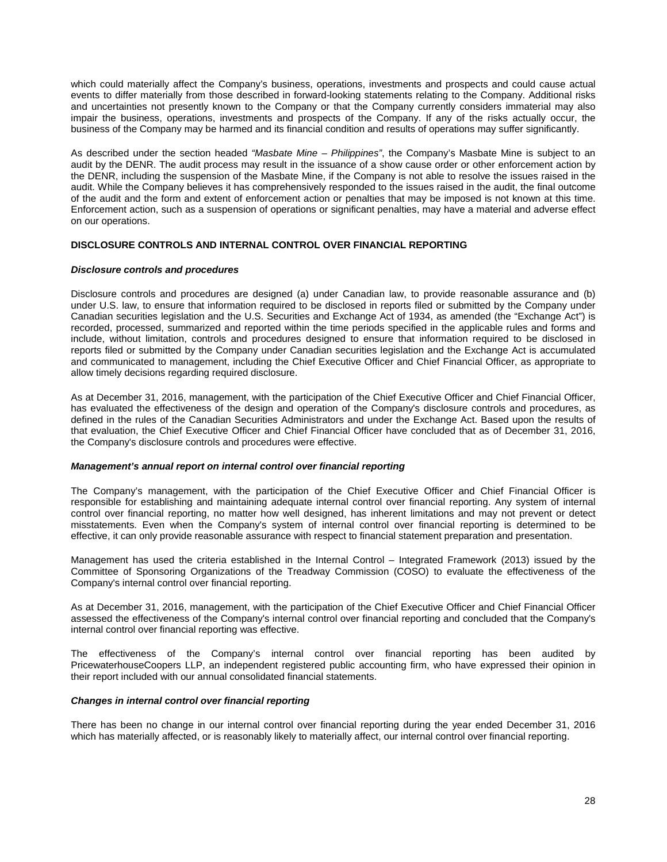which could materially affect the Company's business, operations, investments and prospects and could cause actual events to differ materially from those described in forward-looking statements relating to the Company. Additional risks and uncertainties not presently known to the Company or that the Company currently considers immaterial may also impair the business, operations, investments and prospects of the Company. If any of the risks actually occur, the business of the Company may be harmed and its financial condition and results of operations may suffer significantly.

As described under the section headed *"Masbate Mine – Philippines"*, the Company's Masbate Mine is subject to an audit by the DENR. The audit process may result in the issuance of a show cause order or other enforcement action by the DENR, including the suspension of the Masbate Mine, if the Company is not able to resolve the issues raised in the audit. While the Company believes it has comprehensively responded to the issues raised in the audit, the final outcome of the audit and the form and extent of enforcement action or penalties that may be imposed is not known at this time. Enforcement action, such as a suspension of operations or significant penalties, may have a material and adverse effect on our operations.

# **DISCLOSURE CONTROLS AND INTERNAL CONTROL OVER FINANCIAL REPORTING**

# *Disclosure controls and procedures*

Disclosure controls and procedures are designed (a) under Canadian law, to provide reasonable assurance and (b) under U.S. law, to ensure that information required to be disclosed in reports filed or submitted by the Company under Canadian securities legislation and the U.S. Securities and Exchange Act of 1934, as amended (the "Exchange Act") is recorded, processed, summarized and reported within the time periods specified in the applicable rules and forms and include, without limitation, controls and procedures designed to ensure that information required to be disclosed in reports filed or submitted by the Company under Canadian securities legislation and the Exchange Act is accumulated and communicated to management, including the Chief Executive Officer and Chief Financial Officer, as appropriate to allow timely decisions regarding required disclosure.

As at December 31, 2016, management, with the participation of the Chief Executive Officer and Chief Financial Officer, has evaluated the effectiveness of the design and operation of the Company's disclosure controls and procedures, as defined in the rules of the Canadian Securities Administrators and under the Exchange Act. Based upon the results of that evaluation, the Chief Executive Officer and Chief Financial Officer have concluded that as of December 31, 2016, the Company's disclosure controls and procedures were effective.

### *Management's annual report on internal control over financial reporting*

The Company's management, with the participation of the Chief Executive Officer and Chief Financial Officer is responsible for establishing and maintaining adequate internal control over financial reporting. Any system of internal control over financial reporting, no matter how well designed, has inherent limitations and may not prevent or detect misstatements. Even when the Company's system of internal control over financial reporting is determined to be effective, it can only provide reasonable assurance with respect to financial statement preparation and presentation.

Management has used the criteria established in the Internal Control – Integrated Framework (2013) issued by the Committee of Sponsoring Organizations of the Treadway Commission (COSO) to evaluate the effectiveness of the Company's internal control over financial reporting.

As at December 31, 2016, management, with the participation of the Chief Executive Officer and Chief Financial Officer assessed the effectiveness of the Company's internal control over financial reporting and concluded that the Company's internal control over financial reporting was effective.

The effectiveness of the Company's internal control over financial reporting has been audited by PricewaterhouseCoopers LLP, an independent registered public accounting firm, who have expressed their opinion in their report included with our annual consolidated financial statements.

# *Changes in internal control over financial reporting*

There has been no change in our internal control over financial reporting during the year ended December 31, 2016 which has materially affected, or is reasonably likely to materially affect, our internal control over financial reporting.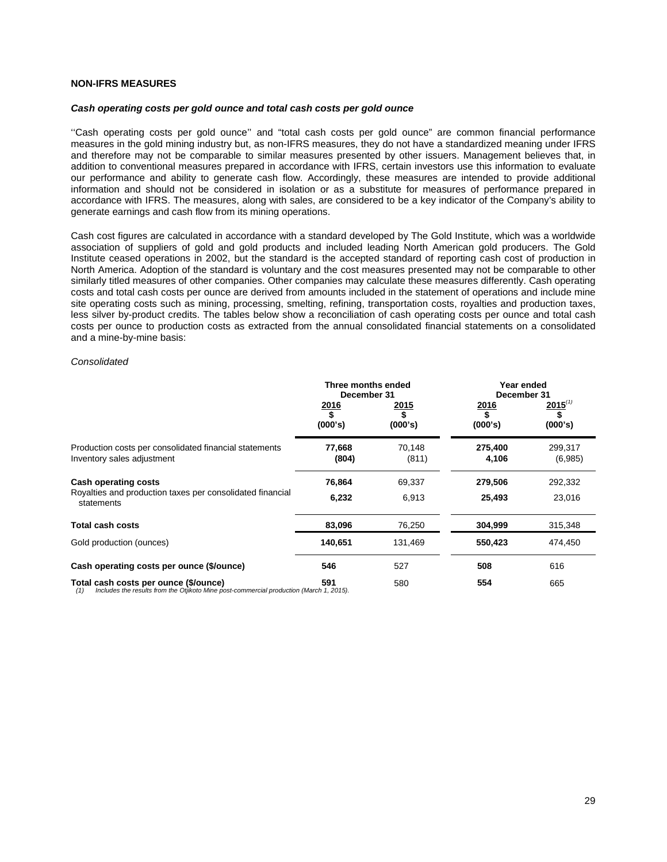# **NON-IFRS MEASURES**

#### *Cash operating costs per gold ounce and total cash costs per gold ounce*

''Cash operating costs per gold ounce'' and "total cash costs per gold ounce" are common financial performance measures in the gold mining industry but, as non-IFRS measures, they do not have a standardized meaning under IFRS and therefore may not be comparable to similar measures presented by other issuers. Management believes that, in addition to conventional measures prepared in accordance with IFRS, certain investors use this information to evaluate our performance and ability to generate cash flow. Accordingly, these measures are intended to provide additional information and should not be considered in isolation or as a substitute for measures of performance prepared in accordance with IFRS. The measures, along with sales, are considered to be a key indicator of the Company's ability to generate earnings and cash flow from its mining operations.

Cash cost figures are calculated in accordance with a standard developed by The Gold Institute, which was a worldwide association of suppliers of gold and gold products and included leading North American gold producers. The Gold Institute ceased operations in 2002, but the standard is the accepted standard of reporting cash cost of production in North America. Adoption of the standard is voluntary and the cost measures presented may not be comparable to other similarly titled measures of other companies. Other companies may calculate these measures differently. Cash operating costs and total cash costs per ounce are derived from amounts included in the statement of operations and include mine site operating costs such as mining, processing, smelting, refining, transportation costs, royalties and production taxes, less silver by-product credits. The tables below show a reconciliation of cash operating costs per ounce and total cash costs per ounce to production costs as extracted from the annual consolidated financial statements on a consolidated and a mine-by-mine basis:

#### *Consolidated*

|                                                                                                                                         | Three months ended<br>December 31 |                         | Year ended<br>December 31    |                         |
|-----------------------------------------------------------------------------------------------------------------------------------------|-----------------------------------|-------------------------|------------------------------|-------------------------|
|                                                                                                                                         | <u>2016</u><br>(000's)            | <u> 2015</u><br>(000's) | <u>2016</u><br>\$<br>(000's) | $2015^{(1)}$<br>(000's) |
| Production costs per consolidated financial statements<br>Inventory sales adjustment                                                    | 77,668<br>(804)                   | 70,148<br>(811)         | 275,400<br>4,106             | 299,317<br>(6,985)      |
| <b>Cash operating costs</b><br>Royalties and production taxes per consolidated financial<br>statements                                  | 76,864<br>6,232                   | 69,337<br>6,913         | 279,506<br>25,493            | 292,332<br>23,016       |
| <b>Total cash costs</b>                                                                                                                 | 83,096                            | 76,250                  | 304,999                      | 315,348                 |
| Gold production (ounces)                                                                                                                | 140,651                           | 131,469                 | 550,423                      | 474,450                 |
| Cash operating costs per ounce (\$/ounce)                                                                                               | 546                               | 527                     | 508                          | 616                     |
| Total cash costs per ounce (\$/ounce)<br>Includes the results from the Otjikoto Mine post-commercial production (March 1, 2015).<br>(1) | 591                               | 580                     | 554                          | 665                     |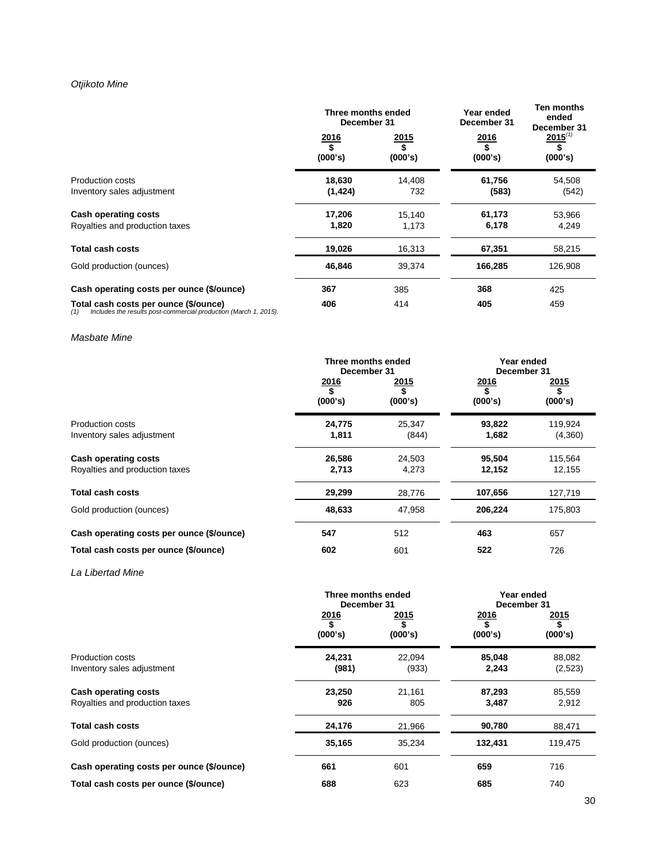# *Otjikoto Mine*

|                                                                                                                  | Three months ended<br>December 31 |                              | Year ended<br>December 31 | <b>Ten months</b><br>ended<br>December 31 |
|------------------------------------------------------------------------------------------------------------------|-----------------------------------|------------------------------|---------------------------|-------------------------------------------|
|                                                                                                                  | 2016<br>\$<br>(000's)             | <u>2015</u><br>\$<br>(000's) | 2016<br>\$<br>(000's)     | $2015^{(1)}$<br>(000's)                   |
| <b>Production costs</b><br>Inventory sales adjustment                                                            | 18,630<br>(1, 424)                | 14,408<br>732                | 61,756<br>(583)           | 54,508<br>(542)                           |
| Cash operating costs<br>Royalties and production taxes                                                           | 17,206<br>1,820                   | 15,140<br>1,173              | 61,173<br>6,178           | 53,966<br>4,249                           |
| <b>Total cash costs</b>                                                                                          | 19,026                            | 16,313                       | 67,351                    | 58,215                                    |
| Gold production (ounces)                                                                                         | 46,846                            | 39,374                       | 166,285                   | 126,908                                   |
| Cash operating costs per ounce (\$/ounce)                                                                        | 367                               | 385                          | 368                       | 425                                       |
| Total cash costs per ounce (\$/ounce)<br>Includes the results post-commercial production (March 1, 2015).<br>(1) | 406                               | 414                          | 405                       | 459                                       |

# *Masbate Mine*

|                                           | Three months ended<br>December 31 |                               |                        | Year ended<br>December 31      |  |
|-------------------------------------------|-----------------------------------|-------------------------------|------------------------|--------------------------------|--|
|                                           | <u>2016</u><br>(000's)            | <u> 2015</u><br>\$<br>(000's) | <u>2016</u><br>(000's) | <u> 2015 </u><br>\$<br>(000's) |  |
| <b>Production costs</b>                   | 24,775                            | 25.347                        | 93,822                 | 119,924                        |  |
| Inventory sales adjustment                | 1,811                             | (844)                         | 1,682                  | (4,360)                        |  |
| <b>Cash operating costs</b>               | 26,586                            | 24,503                        | 95,504                 | 115,564                        |  |
| Royalties and production taxes            | 2,713                             | 4,273                         | 12,152                 | 12,155                         |  |
| Total cash costs                          | 29,299                            | 28,776                        | 107,656                | 127,719                        |  |
| Gold production (ounces)                  | 48,633                            | 47,958                        | 206,224                | 175,803                        |  |
| Cash operating costs per ounce (\$/ounce) | 547                               | 512                           | 463                    | 657                            |  |
| Total cash costs per ounce (\$/ounce)     | 602                               | 601                           | 522                    | 726                            |  |

# *La Libertad Mine*

|                                                        | Three months ended<br>December 31 |                 | Year ended<br>December 31    |                              |
|--------------------------------------------------------|-----------------------------------|-----------------|------------------------------|------------------------------|
|                                                        | <u>2016</u><br>(000's)            | 2015<br>(000's) | <u>2016</u><br>\$<br>(000's) | <u>2015</u><br>\$<br>(000's) |
| <b>Production costs</b><br>Inventory sales adjustment  | 24,231<br>(981)                   | 22.094<br>(933) | 85,048<br>2,243              | 88.082<br>(2,523)            |
| Cash operating costs<br>Royalties and production taxes | 23,250<br>926                     | 21.161<br>805   | 87,293<br>3,487              | 85,559<br>2,912              |
| <b>Total cash costs</b>                                | 24,176                            | 21,966          | 90,780                       | 88,471                       |
| Gold production (ounces)                               | 35,165                            | 35,234          | 132,431                      | 119,475                      |
| Cash operating costs per ounce (\$/ounce)              | 661                               | 601             | 659                          | 716                          |
| Total cash costs per ounce (\$/ounce)                  | 688                               | 623             | 685                          | 740                          |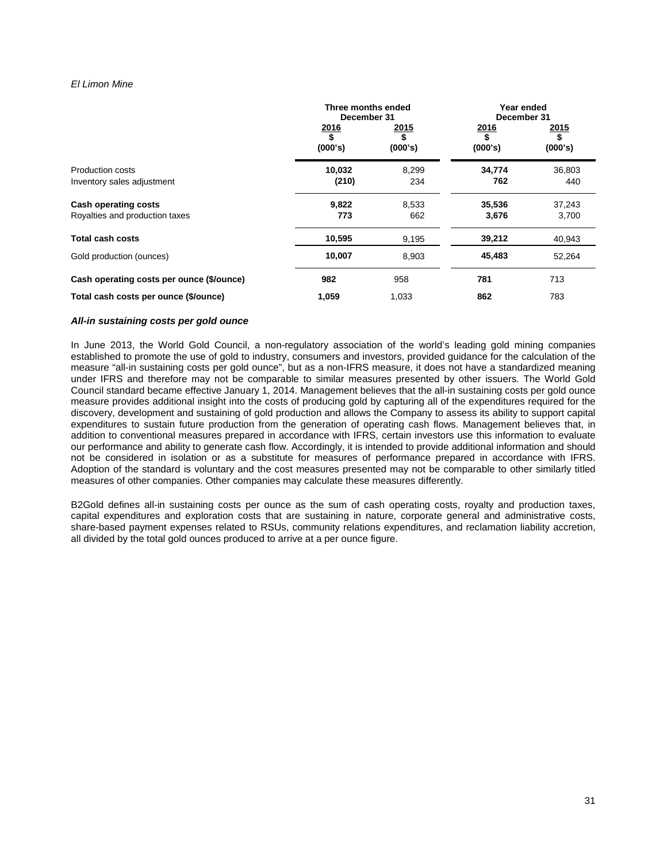# *El Limon Mine*

|                                           | Three months ended<br>December 31                 |                 | Year ended<br>December 31 |                               |
|-------------------------------------------|---------------------------------------------------|-----------------|---------------------------|-------------------------------|
|                                           | <u>2016</u><br>$\overline{\mathbf{s}}$<br>(000's) | 2015<br>(000's) | <u>2016</u><br>(000's)    | <u> 2015</u><br>\$<br>(000's) |
| Production costs                          | 10,032                                            | 8,299           | 34,774                    | 36,803                        |
| Inventory sales adjustment                | (210)                                             | 234             | 762                       | 440                           |
| <b>Cash operating costs</b>               | 9,822                                             | 8,533           | 35,536                    | 37,243                        |
| Royalties and production taxes            | 773                                               | 662             | 3,676                     | 3,700                         |
| <b>Total cash costs</b>                   | 10,595                                            | 9,195           | 39,212                    | 40,943                        |
| Gold production (ounces)                  | 10,007                                            | 8,903           | 45,483                    | 52,264                        |
| Cash operating costs per ounce (\$/ounce) | 982                                               | 958             | 781                       | 713                           |
| Total cash costs per ounce (\$/ounce)     | 1,059                                             | 1,033           | 862                       | 783                           |

## *All-in sustaining costs per gold ounce*

In June 2013, the World Gold Council, a non-regulatory association of the world's leading gold mining companies established to promote the use of gold to industry, consumers and investors, provided guidance for the calculation of the measure "all-in sustaining costs per gold ounce", but as a non-IFRS measure, it does not have a standardized meaning under IFRS and therefore may not be comparable to similar measures presented by other issuers. The World Gold Council standard became effective January 1, 2014. Management believes that the all-in sustaining costs per gold ounce measure provides additional insight into the costs of producing gold by capturing all of the expenditures required for the discovery, development and sustaining of gold production and allows the Company to assess its ability to support capital expenditures to sustain future production from the generation of operating cash flows. Management believes that, in addition to conventional measures prepared in accordance with IFRS, certain investors use this information to evaluate our performance and ability to generate cash flow. Accordingly, it is intended to provide additional information and should not be considered in isolation or as a substitute for measures of performance prepared in accordance with IFRS. Adoption of the standard is voluntary and the cost measures presented may not be comparable to other similarly titled measures of other companies. Other companies may calculate these measures differently.

B2Gold defines all-in sustaining costs per ounce as the sum of cash operating costs, royalty and production taxes, capital expenditures and exploration costs that are sustaining in nature, corporate general and administrative costs, share-based payment expenses related to RSUs, community relations expenditures, and reclamation liability accretion, all divided by the total gold ounces produced to arrive at a per ounce figure.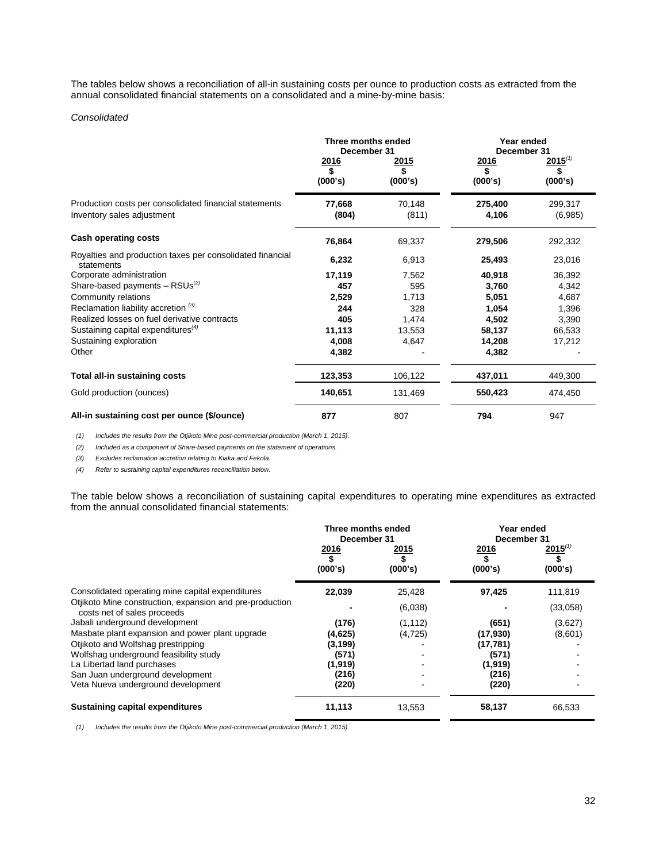The tables below shows a reconciliation of all-in sustaining costs per ounce to production costs as extracted from the annual consolidated financial statements on a consolidated and a mine-by-mine basis:

# *Consolidated*

|                                                                                      | Three months ended<br>December 31<br><u>2016</u><br>2015 |                 |                  | Year ended<br>December 31<br>$2015^{(1)}$<br>2016 |  |
|--------------------------------------------------------------------------------------|----------------------------------------------------------|-----------------|------------------|---------------------------------------------------|--|
|                                                                                      | \$<br>(000's)                                            | \$<br>(000's)   | \$<br>(000's)    | \$<br>(000's)                                     |  |
| Production costs per consolidated financial statements<br>Inventory sales adjustment | 77,668<br>(804)                                          | 70,148<br>(811) | 275,400<br>4,106 | 299,317<br>(6,985)                                |  |
| <b>Cash operating costs</b>                                                          | 76,864                                                   | 69,337          | 279,506          | 292,332                                           |  |
| Royalties and production taxes per consolidated financial<br>statements              | 6,232                                                    | 6,913           | 25,493           | 23,016                                            |  |
| Corporate administration                                                             | 17,119                                                   | 7,562           | 40,918           | 36,392                                            |  |
| Share-based payments $-$ RSUs <sup>(2)</sup>                                         | 457                                                      | 595             | 3,760            | 4,342                                             |  |
| Community relations                                                                  | 2,529                                                    | 1,713           | 5,051            | 4,687                                             |  |
| Reclamation liability accretion <sup>(3)</sup>                                       | 244                                                      | 328             | 1,054            | 1,396                                             |  |
| Realized losses on fuel derivative contracts                                         | 405                                                      | 1,474           | 4,502            | 3,390                                             |  |
| Sustaining capital expenditures $^{(4)}$                                             | 11,113                                                   | 13,553          | 58,137           | 66,533                                            |  |
| Sustaining exploration                                                               | 4,008                                                    | 4,647           | 14,208           | 17,212                                            |  |
| Other                                                                                | 4,382                                                    |                 | 4,382            |                                                   |  |
| Total all-in sustaining costs                                                        | 123,353                                                  | 106,122         | 437,011          | 449,300                                           |  |
| Gold production (ounces)                                                             | 140,651                                                  | 131,469         | 550,423          | 474,450                                           |  |
| All-in sustaining cost per ounce (\$/ounce)                                          | 877                                                      | 807             | 794              | 947                                               |  |

*(1) Includes the results from the Otjikoto Mine post-commercial production (March 1, 2015).*

*(2) Included as a component of Share-based payments on the statement of operations.* 

*(3) Excludes reclamation accretion relating to Kiaka and Fekola.* 

*(4) Refer to sustaining capital expenditures reconciliation below.*

The table below shows a reconciliation of sustaining capital expenditures to operating mine expenditures as extracted from the annual consolidated financial statements:

|                                                                                         | Three months ended<br>December 31 |                        | Year ended<br>December 31 |                         |
|-----------------------------------------------------------------------------------------|-----------------------------------|------------------------|---------------------------|-------------------------|
|                                                                                         | <u>2016</u><br>(000's)            | <u>2015</u><br>(000's) | <u>2016</u><br>(000's)    | $2015^{(1)}$<br>(000's) |
| Consolidated operating mine capital expenditures                                        | 22,039                            | 25,428                 | 97,425                    | 111,819                 |
| Otjikoto Mine construction, expansion and pre-production<br>costs net of sales proceeds |                                   | (6,038)                |                           | (33,058)                |
| Jabali underground development                                                          | (176)                             | (1, 112)               | (651)                     | (3,627)                 |
| Masbate plant expansion and power plant upgrade                                         | (4,625)                           | (4, 725)               | (17,930)                  | (8,601)                 |
| Otjikoto and Wolfshag prestripping                                                      | (3, 199)                          |                        | (17, 781)                 |                         |
| Wolfshag underground feasibility study                                                  | (571)                             |                        | (571)                     |                         |
| La Libertad land purchases                                                              | (1,919)                           |                        | (1, 919)                  |                         |
| San Juan underground development                                                        | (216)                             |                        | (216)                     |                         |
| Veta Nueva underground development                                                      | (220)                             |                        | (220)                     |                         |
| <b>Sustaining capital expenditures</b>                                                  | 11,113                            | 13,553                 | 58,137                    | 66,533                  |

*(1) Includes the results from the Otjikoto Mine post-commercial production (March 1, 2015).*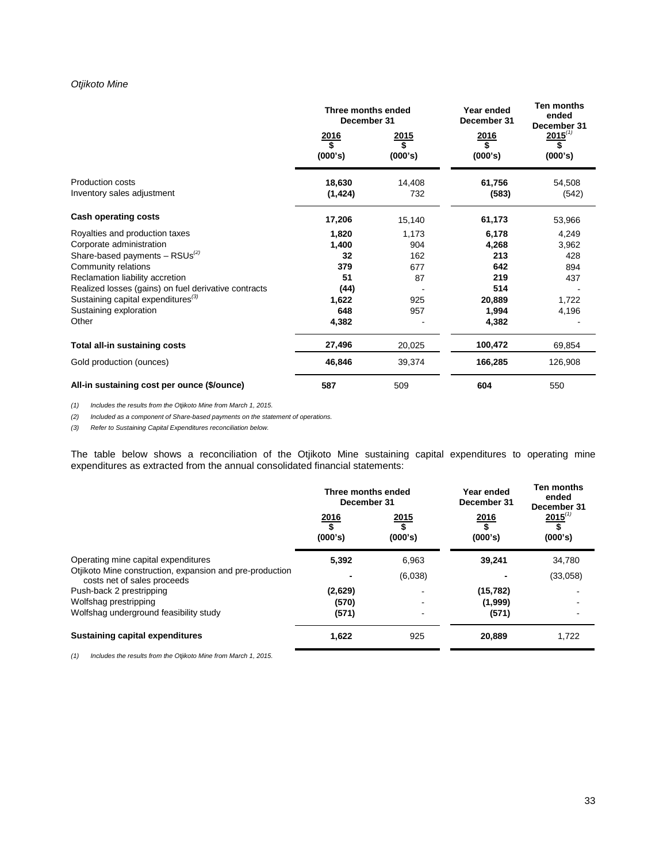# *Otjikoto Mine*

|                                                       | Three months ended<br>December 31 |                                                    | Year ended<br>December 31 | <b>Ten months</b><br>ended<br>December 31 |
|-------------------------------------------------------|-----------------------------------|----------------------------------------------------|---------------------------|-------------------------------------------|
|                                                       | $\frac{2016}{$}$<br>(000's)       | <u> 2015</u><br>$\overline{\mathbf{s}}$<br>(000's) | 2016<br>\$<br>(000's)     | $2015^{(1)}$<br>\$<br>(000's)             |
| <b>Production costs</b><br>Inventory sales adjustment | 18,630<br>(1, 424)                | 14,408<br>732                                      | 61,756<br>(583)           | 54,508<br>(542)                           |
| Cash operating costs                                  | 17,206                            | 15,140                                             | 61,173                    | 53,966                                    |
| Royalties and production taxes                        | 1,820                             | 1,173                                              | 6,178                     | 4,249                                     |
| Corporate administration                              | 1,400                             | 904                                                | 4,268                     | 3,962                                     |
| Share-based payments $-$ RSUs <sup>(2)</sup>          | 32                                | 162                                                | 213                       | 428                                       |
| Community relations                                   | 379                               | 677                                                | 642                       | 894                                       |
| Reclamation liability accretion                       | 51                                | 87                                                 | 219                       | 437                                       |
| Realized losses (gains) on fuel derivative contracts  | (44)                              |                                                    | 514                       |                                           |
| Sustaining capital expenditures <sup>(3)</sup>        | 1,622                             | 925                                                | 20,889                    | 1,722                                     |
| Sustaining exploration                                | 648                               | 957                                                | 1,994                     | 4,196                                     |
| Other                                                 | 4,382                             |                                                    | 4,382                     |                                           |
| Total all-in sustaining costs                         | 27,496                            | 20,025                                             | 100,472                   | 69,854                                    |
| Gold production (ounces)                              | 46,846                            | 39,374                                             | 166,285                   | 126,908                                   |
| All-in sustaining cost per ounce (\$/ounce)           | 587                               | 509                                                | 604                       | 550                                       |

*(1) Includes the results from the Otjikoto Mine from March 1, 2015.*

*(2) Included as a component of Share-based payments on the statement of operations.* 

*(3) Refer to Sustaining Capital Expenditures reconciliation below.*

The table below shows a reconciliation of the Otjikoto Mine sustaining capital expenditures to operating mine expenditures as extracted from the annual consolidated financial statements:

|                                                                                         | Three months ended<br>December 31 |                 | Year ended<br>December 31 | Ten months<br>ended<br>December 31 |
|-----------------------------------------------------------------------------------------|-----------------------------------|-----------------|---------------------------|------------------------------------|
|                                                                                         | 2016<br>(000's)                   | 2015<br>(000's) | 2016<br>(000's)           | $2015^{(1)}$<br>(000's)            |
| Operating mine capital expenditures                                                     | 5.392                             | 6,963           | 39,241                    | 34,780                             |
| Otjikoto Mine construction, expansion and pre-production<br>costs net of sales proceeds |                                   | (6,038)         |                           | (33,058)                           |
| Push-back 2 prestripping                                                                | (2,629)                           |                 | (15, 782)                 |                                    |
| Wolfshag prestripping                                                                   | (570)                             |                 | (1,999)                   |                                    |
| Wolfshag underground feasibility study                                                  | (571)                             |                 | (571)                     |                                    |
| <b>Sustaining capital expenditures</b>                                                  | 1,622                             | 925             | 20,889                    | 1,722                              |

*(1) Includes the results from the Otjikoto Mine from March 1, 2015.*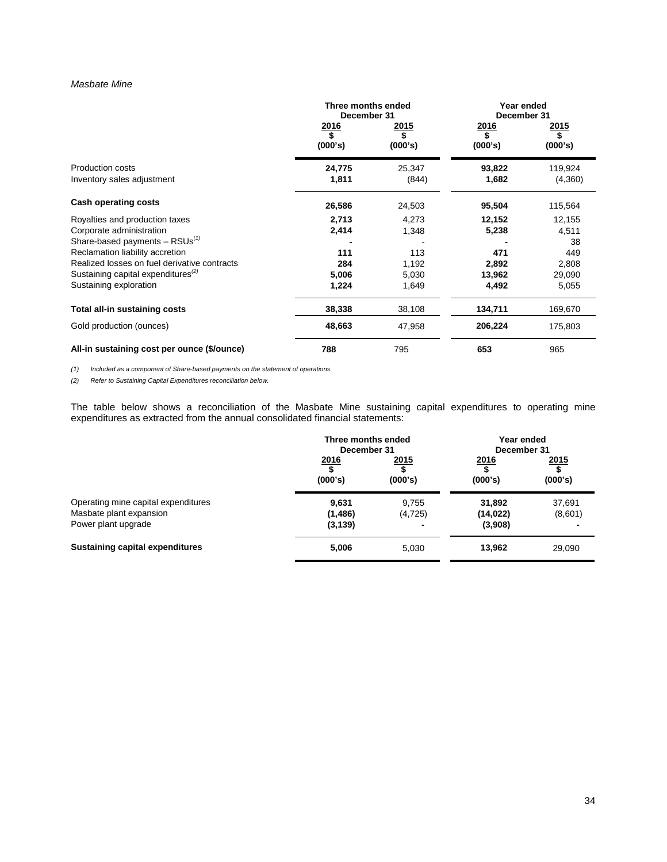## *Masbate Mine*

|                                                | Three months ended<br>December 31 |                        |                              | Year ended<br>December 31 |  |
|------------------------------------------------|-----------------------------------|------------------------|------------------------------|---------------------------|--|
|                                                | 2016<br>\$<br>(000's)             | <u>2015</u><br>(000's) | <u>2016</u><br>\$<br>(000's) | <u> 2015 </u><br>(000's)  |  |
| Production costs<br>Inventory sales adjustment | 24,775<br>1,811                   | 25,347<br>(844)        | 93,822<br>1,682              | 119,924<br>(4,360)        |  |
| Cash operating costs                           | 26,586                            | 24,503                 | 95,504                       | 115,564                   |  |
| Royalties and production taxes                 | 2,713                             | 4,273                  | 12,152                       | 12,155                    |  |
| Corporate administration                       | 2,414                             | 1,348                  | 5,238                        | 4,511                     |  |
| Share-based payments $-$ RSUs <sup>(1)</sup>   |                                   |                        |                              | 38                        |  |
| Reclamation liability accretion                | 111                               | 113                    | 471                          | 449                       |  |
| Realized losses on fuel derivative contracts   | 284                               | 1,192                  | 2,892                        | 2,808                     |  |
| Sustaining capital expenditures $^{(2)}$       | 5,006                             | 5,030                  | 13,962                       | 29,090                    |  |
| Sustaining exploration                         | 1,224                             | 1,649                  | 4,492                        | 5,055                     |  |
| Total all-in sustaining costs                  | 38,338                            | 38,108                 | 134,711                      | 169,670                   |  |
| Gold production (ounces)                       | 48,663                            | 47,958                 | 206,224                      | 175,803                   |  |
| All-in sustaining cost per ounce (\$/ounce)    | 788                               | 795                    | 653                          | 965                       |  |

*(1) Included as a component of Share-based payments on the statement of operations.*

*(2) Refer to Sustaining Capital Expenditures reconciliation below.* 

The table below shows a reconciliation of the Masbate Mine sustaining capital expenditures to operating mine expenditures as extracted from the annual consolidated financial statements:

|                                        | Three months ended<br>December 31 |                 | Year ended<br>December 31 |                         |
|----------------------------------------|-----------------------------------|-----------------|---------------------------|-------------------------|
|                                        | 2016<br>(000's)                   | 2015<br>(000's) | <u>2016</u><br>(000's)    | <u> 2015</u><br>(000's) |
| Operating mine capital expenditures    | 9,631                             | 9,755           | 31,892                    | 37,691                  |
| Masbate plant expansion                | (1, 486)                          | (4, 725)        | (14, 022)                 | (8,601)                 |
| Power plant upgrade                    | (3, 139)                          |                 | (3,908)                   |                         |
| <b>Sustaining capital expenditures</b> | 5,006                             | 5.030           | 13,962                    | 29,090                  |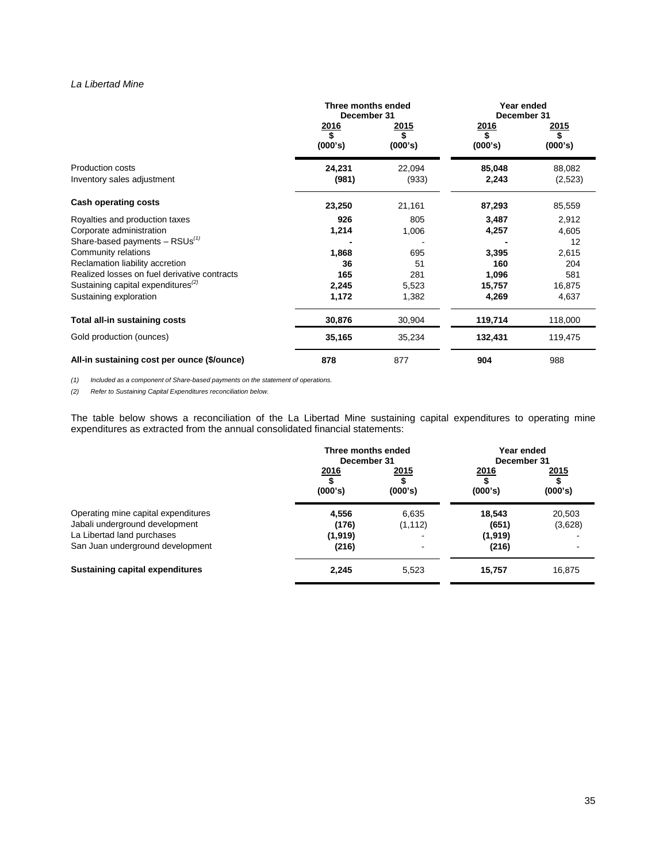# *La Libertad Mine*

|                                                             | Three months ended<br>December 31 |                        |                         | Year ended<br>December 31 |  |
|-------------------------------------------------------------|-----------------------------------|------------------------|-------------------------|---------------------------|--|
|                                                             | <u> 2016</u><br>\$<br>(000's)     | <u>2015</u><br>(000's) | <u> 2016</u><br>(000's) | <u> 2015</u><br>(000's)   |  |
| <b>Production costs</b><br>Inventory sales adjustment       | 24,231<br>(981)                   | 22,094<br>(933)        | 85,048<br>2,243         | 88,082<br>(2,523)         |  |
| Cash operating costs                                        | 23,250                            | 21,161                 | 87,293                  | 85,559                    |  |
| Royalties and production taxes                              | 926                               | 805                    | 3,487                   | 2,912                     |  |
| Corporate administration                                    | 1,214                             | 1,006                  | 4,257                   | 4,605                     |  |
| Share-based payments $-$ RSUs <sup>(1)</sup>                |                                   |                        |                         | 12                        |  |
| Community relations                                         | 1,868                             | 695                    | 3,395                   | 2,615                     |  |
| Reclamation liability accretion                             | 36                                | 51                     | 160                     | 204                       |  |
| Realized losses on fuel derivative contracts                | 165                               | 281                    | 1,096                   | 581                       |  |
| Sustaining capital expenditures <sup><math>(2)</math></sup> | 2,245                             | 5,523                  | 15,757                  | 16,875                    |  |
| Sustaining exploration                                      | 1,172                             | 1,382                  | 4,269                   | 4,637                     |  |
| <b>Total all-in sustaining costs</b>                        | 30,876                            | 30,904                 | 119,714                 | 118,000                   |  |
| Gold production (ounces)                                    | 35,165                            | 35,234                 | 132,431                 | 119,475                   |  |
| All-in sustaining cost per ounce (\$/ounce)                 | 878                               | 877                    | 904                     | 988                       |  |

*(1) Included as a component of Share-based payments on the statement of operations.*

*(2) Refer to Sustaining Capital Expenditures reconciliation below.* 

The table below shows a reconciliation of the La Libertad Mine sustaining capital expenditures to operating mine expenditures as extracted from the annual consolidated financial statements:

|                                                                                                                                         | Three months ended<br>December 31   |                   | Year ended<br>December 31           |                   |
|-----------------------------------------------------------------------------------------------------------------------------------------|-------------------------------------|-------------------|-------------------------------------|-------------------|
|                                                                                                                                         | 2016<br>(000's)                     | 2015<br>(000's)   | <u>2016</u><br>(000's)              | 2015<br>(000's)   |
| Operating mine capital expenditures<br>Jabali underground development<br>La Libertad land purchases<br>San Juan underground development | 4,556<br>(176)<br>(1, 919)<br>(216) | 6.635<br>(1, 112) | 18.543<br>(651)<br>(1,919)<br>(216) | 20.503<br>(3,628) |
| <b>Sustaining capital expenditures</b>                                                                                                  | 2,245                               | 5,523             | 15,757                              | 16,875            |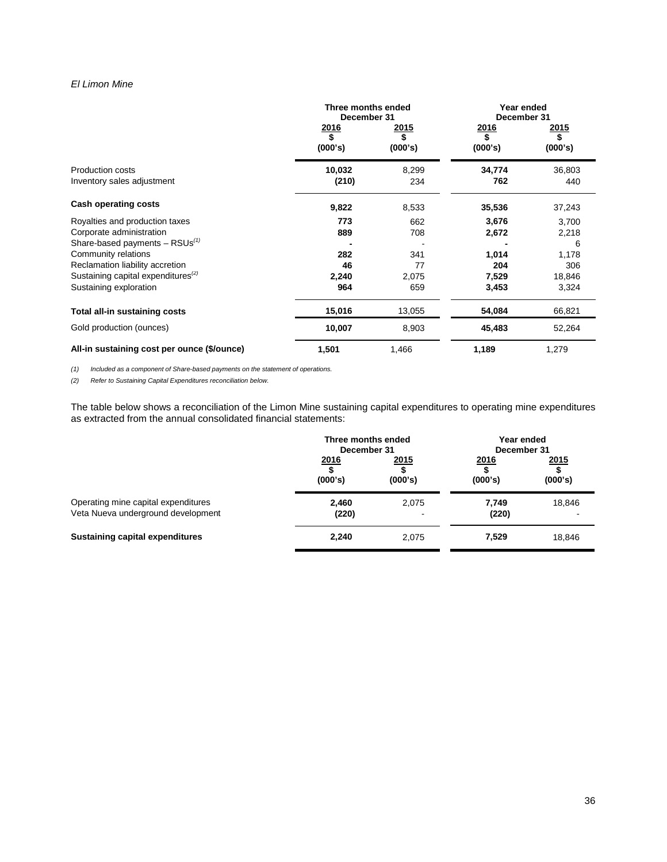# *El Limon Mine*

|                                                | Three months ended<br>December 31 |                         | Year ended<br>December 31     |                         |  |
|------------------------------------------------|-----------------------------------|-------------------------|-------------------------------|-------------------------|--|
|                                                | $\frac{2016}{s}$<br>(000's)       | <u> 2015</u><br>(000's) | <u> 2016</u><br>\$<br>(000's) | <u> 2015</u><br>(000's) |  |
| Production costs<br>Inventory sales adjustment | 10,032<br>(210)                   | 8,299<br>234            | 34,774<br>762                 | 36,803<br>440           |  |
| Cash operating costs                           | 9,822                             | 8,533                   | 35,536                        | 37,243                  |  |
| Royalties and production taxes                 | 773                               | 662                     | 3,676                         | 3,700                   |  |
| Corporate administration                       | 889                               | 708                     | 2,672                         | 2,218                   |  |
| Share-based payments $-$ RSUs <sup>(1)</sup>   |                                   |                         |                               | 6                       |  |
| Community relations                            | 282                               | 341                     | 1,014                         | 1,178                   |  |
| Reclamation liability accretion                | 46                                | 77                      | 204                           | 306                     |  |
| Sustaining capital expenditures <sup>(2)</sup> | 2,240                             | 2,075                   | 7,529                         | 18,846                  |  |
| Sustaining exploration                         | 964                               | 659                     | 3,453                         | 3,324                   |  |
| Total all-in sustaining costs                  | 15,016                            | 13,055                  | 54,084                        | 66,821                  |  |
| Gold production (ounces)                       | 10,007                            | 8,903                   | 45,483                        | 52,264                  |  |
| All-in sustaining cost per ounce (\$/ounce)    | 1,501                             | 1,466                   | 1,189                         | 1,279                   |  |

*(1) Included as a component of Share-based payments on the statement of operations.*

*(2) Refer to Sustaining Capital Expenditures reconciliation below.* 

The table below shows a reconciliation of the Limon Mine sustaining capital expenditures to operating mine expenditures as extracted from the annual consolidated financial statements:

|                                                                           | Three months ended<br>December 31 |                 | Year ended<br>December 31 |                         |
|---------------------------------------------------------------------------|-----------------------------------|-----------------|---------------------------|-------------------------|
|                                                                           | 2016<br>(000's)                   | 2015<br>(000's) | 2016<br>(000's)           | <u> 2015</u><br>(000's) |
| Operating mine capital expenditures<br>Veta Nueva underground development | 2.460<br>(220)                    | 2,075           | 7,749<br>(220)            | 18,846                  |
| <b>Sustaining capital expenditures</b>                                    | 2,240                             | 2,075           | 7,529                     | 18,846                  |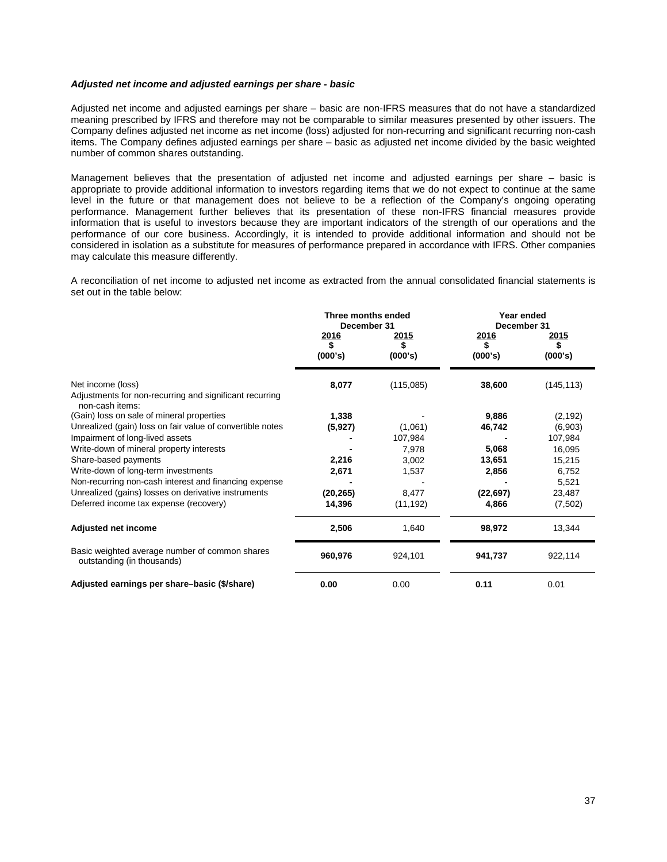## *Adjusted net income and adjusted earnings per share - basic*

Adjusted net income and adjusted earnings per share – basic are non-IFRS measures that do not have a standardized meaning prescribed by IFRS and therefore may not be comparable to similar measures presented by other issuers. The Company defines adjusted net income as net income (loss) adjusted for non-recurring and significant recurring non-cash items. The Company defines adjusted earnings per share – basic as adjusted net income divided by the basic weighted number of common shares outstanding.

Management believes that the presentation of adjusted net income and adjusted earnings per share – basic is appropriate to provide additional information to investors regarding items that we do not expect to continue at the same level in the future or that management does not believe to be a reflection of the Company's ongoing operating performance. Management further believes that its presentation of these non-IFRS financial measures provide information that is useful to investors because they are important indicators of the strength of our operations and the performance of our core business. Accordingly, it is intended to provide additional information and should not be considered in isolation as a substitute for measures of performance prepared in accordance with IFRS. Other companies may calculate this measure differently.

A reconciliation of net income to adjusted net income as extracted from the annual consolidated financial statements is set out in the table below:

|                                                                                                 | Three months ended<br>December 31 |                   | Year ended<br>December 31 |                    |
|-------------------------------------------------------------------------------------------------|-----------------------------------|-------------------|---------------------------|--------------------|
|                                                                                                 | <u>2016</u><br>\$                 | <u>2015</u><br>\$ | <u>2016</u><br>\$         | <u> 2015</u><br>\$ |
|                                                                                                 | (000's)                           | (000's)           | (000's)                   | (000's)            |
| Net income (loss)<br>Adjustments for non-recurring and significant recurring<br>non-cash items: | 8,077                             | (115,085)         | 38,600                    | (145, 113)         |
| (Gain) loss on sale of mineral properties                                                       | 1,338                             |                   | 9,886                     | (2, 192)           |
| Unrealized (gain) loss on fair value of convertible notes                                       | (5, 927)                          | (1,061)           | 46,742                    | (6,903)            |
| Impairment of long-lived assets                                                                 |                                   | 107,984           |                           | 107,984            |
| Write-down of mineral property interests                                                        |                                   | 7,978             | 5,068                     | 16,095             |
| Share-based payments                                                                            | 2,216                             | 3,002             | 13,651                    | 15,215             |
| Write-down of long-term investments                                                             | 2,671                             | 1,537             | 2,856                     | 6,752              |
| Non-recurring non-cash interest and financing expense                                           |                                   |                   |                           | 5,521              |
| Unrealized (gains) losses on derivative instruments                                             | (20, 265)                         | 8,477             | (22, 697)                 | 23,487             |
| Deferred income tax expense (recovery)                                                          | 14,396                            | (11, 192)         | 4,866                     | (7,502)            |
| <b>Adjusted net income</b>                                                                      | 2,506                             | 1,640             | 98,972                    | 13,344             |
| Basic weighted average number of common shares<br>outstanding (in thousands)                    | 960,976                           | 924,101           | 941,737                   | 922,114            |
| Adjusted earnings per share-basic (\$/share)                                                    | 0.00                              | 0.00              | 0.11                      | 0.01               |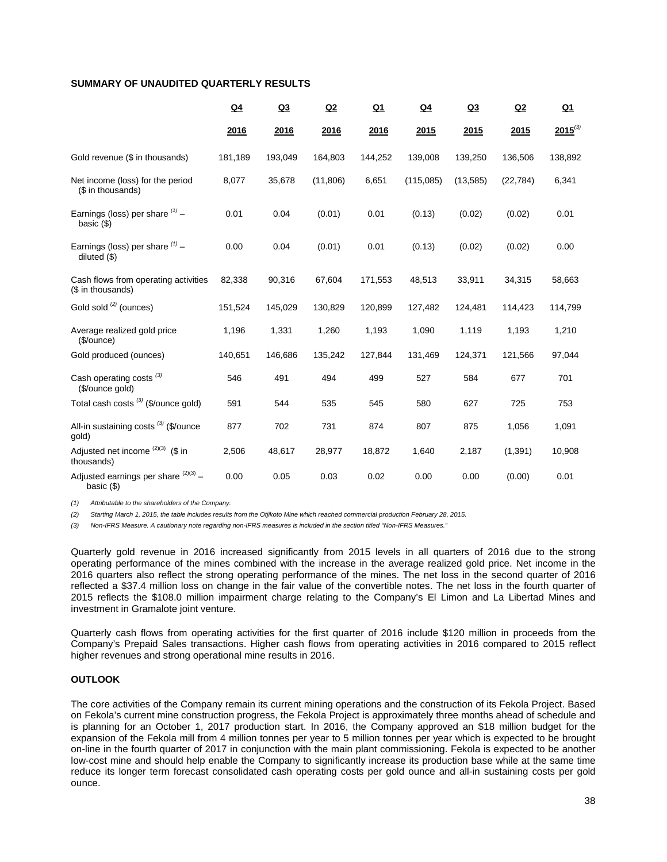# **SUMMARY OF UNAUDITED QUARTERLY RESULTS**

|                                                           | $Q_4$   | Q3      | Q2        | $Q_1$   | $Q_4$     | Q3        | Q2        | $Q_1$        |
|-----------------------------------------------------------|---------|---------|-----------|---------|-----------|-----------|-----------|--------------|
|                                                           | 2016    | 2016    | 2016      | 2016    | 2015      | 2015      | 2015      | $2015^{(3)}$ |
| Gold revenue (\$ in thousands)                            | 181,189 | 193,049 | 164,803   | 144,252 | 139,008   | 139,250   | 136,506   | 138,892      |
| Net income (loss) for the period<br>(\$ in thousands)     | 8,077   | 35,678  | (11, 806) | 6,651   | (115,085) | (13, 585) | (22, 784) | 6,341        |
| Earnings (loss) per share $(1)$ -<br>basic $($ 1)         | 0.01    | 0.04    | (0.01)    | 0.01    | (0.13)    | (0.02)    | (0.02)    | 0.01         |
| Earnings (loss) per share $(1)$ -<br>diluted $($ \$)      | 0.00    | 0.04    | (0.01)    | 0.01    | (0.13)    | (0.02)    | (0.02)    | 0.00         |
| Cash flows from operating activities<br>(\$ in thousands) | 82,338  | 90,316  | 67,604    | 171,553 | 48,513    | 33,911    | 34,315    | 58,663       |
| Gold sold <sup>(2)</sup> (ounces)                         | 151,524 | 145,029 | 130,829   | 120,899 | 127,482   | 124,481   | 114,423   | 114,799      |
| Average realized gold price<br>(\$/ounce)                 | 1,196   | 1,331   | 1,260     | 1,193   | 1,090     | 1,119     | 1,193     | 1,210        |
| Gold produced (ounces)                                    | 140,651 | 146,686 | 135,242   | 127,844 | 131,469   | 124,371   | 121,566   | 97,044       |
| Cash operating costs <sup>(3)</sup><br>(\$/ounce gold)    | 546     | 491     | 494       | 499     | 527       | 584       | 677       | 701          |
| Total cash costs (3) (\$/ounce gold)                      | 591     | 544     | 535       | 545     | 580       | 627       | 725       | 753          |
| All-in sustaining costs <sup>(3)</sup> (\$/ounce<br>gold) | 877     | 702     | 731       | 874     | 807       | 875       | 1,056     | 1,091        |
| Adjusted net income $(2)(3)$ (\$ in<br>thousands)         | 2,506   | 48,617  | 28,977    | 18,872  | 1,640     | 2,187     | (1, 391)  | 10,908       |
| Adjusted earnings per share $(2)(3)$ -<br>basic $(\$)$    | 0.00    | 0.05    | 0.03      | 0.02    | 0.00      | 0.00      | (0.00)    | 0.01         |

*(1) Attributable to the shareholders of the Company.*

*(2) Starting March 1, 2015, the table includes results from the Otjikoto Mine which reached commercial production February 28, 2015.*

*(3) Non-IFRS Measure. A cautionary note regarding non-IFRS measures is included in the section titled "Non-IFRS Measures."* 

Quarterly gold revenue in 2016 increased significantly from 2015 levels in all quarters of 2016 due to the strong operating performance of the mines combined with the increase in the average realized gold price. Net income in the 2016 quarters also reflect the strong operating performance of the mines. The net loss in the second quarter of 2016 reflected a \$37.4 million loss on change in the fair value of the convertible notes. The net loss in the fourth quarter of 2015 reflects the \$108.0 million impairment charge relating to the Company's El Limon and La Libertad Mines and investment in Gramalote joint venture.

Quarterly cash flows from operating activities for the first quarter of 2016 include \$120 million in proceeds from the Company's Prepaid Sales transactions. Higher cash flows from operating activities in 2016 compared to 2015 reflect higher revenues and strong operational mine results in 2016.

# **OUTLOOK**

The core activities of the Company remain its current mining operations and the construction of its Fekola Project. Based on Fekola's current mine construction progress, the Fekola Project is approximately three months ahead of schedule and is planning for an October 1, 2017 production start. In 2016, the Company approved an \$18 million budget for the expansion of the Fekola mill from 4 million tonnes per year to 5 million tonnes per year which is expected to be brought on-line in the fourth quarter of 2017 in conjunction with the main plant commissioning. Fekola is expected to be another low-cost mine and should help enable the Company to significantly increase its production base while at the same time reduce its longer term forecast consolidated cash operating costs per gold ounce and all-in sustaining costs per gold ounce.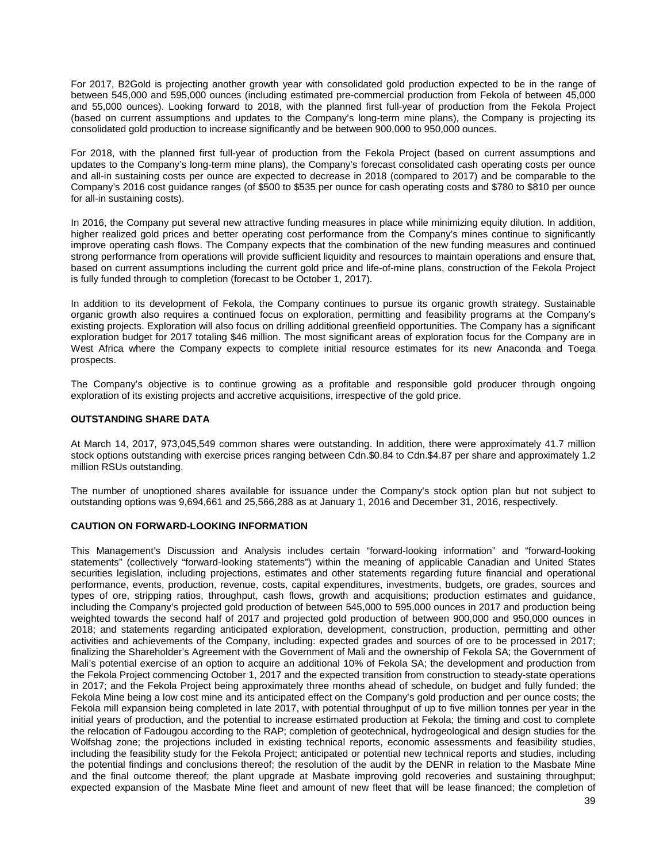For 2017, B2Gold is projecting another growth year with consolidated gold production expected to be in the range of between 545,000 and 595,000 ounces (including estimated pre-commercial production from Fekola of between 45,000 and 55,000 ounces). Looking forward to 2018, with the planned first full-year of production from the Fekola Project (based on current assumptions and updates to the Company's long-term mine plans), the Company is projecting its consolidated gold production to increase significantly and be between 900,000 to 950,000 ounces.

For 2018, with the planned first full-year of production from the Fekola Project (based on current assumptions and updates to the Company's long-term mine plans), the Company's forecast consolidated cash operating costs per ounce and all-in sustaining costs per ounce are expected to decrease in 2018 (compared to 2017) and be comparable to the Company's 2016 cost guidance ranges (of \$500 to \$535 per ounce for cash operating costs and \$780 to \$810 per ounce for all-in sustaining costs).

In 2016, the Company put several new attractive funding measures in place while minimizing equity dilution. In addition, higher realized gold prices and better operating cost performance from the Company's mines continue to significantly improve operating cash flows. The Company expects that the combination of the new funding measures and continued strong performance from operations will provide sufficient liquidity and resources to maintain operations and ensure that, based on current assumptions including the current gold price and life-of-mine plans, construction of the Fekola Project is fully funded through to completion (forecast to be October 1, 2017).

In addition to its development of Fekola, the Company continues to pursue its organic growth strategy. Sustainable organic growth also requires a continued focus on exploration, permitting and feasibility programs at the Company's existing projects. Exploration will also focus on drilling additional greenfield opportunities. The Company has a significant exploration budget for 2017 totaling \$46 million. The most significant areas of exploration focus for the Company are in West Africa where the Company expects to complete initial resource estimates for its new Anaconda and Toega prospects.

The Company's objective is to continue growing as a profitable and responsible gold producer through ongoing exploration of its existing projects and accretive acquisitions, irrespective of the gold price.

# **OUTSTANDING SHARE DATA**

At March 14, 2017, 973,045,549 common shares were outstanding. In addition, there were approximately 41.7 million stock options outstanding with exercise prices ranging between Cdn.\$0.84 to Cdn.\$4.87 per share and approximately 1.2 million RSUs outstanding.

The number of unoptioned shares available for issuance under the Company's stock option plan but not subject to outstanding options was 9,694,661 and 25,566,288 as at January 1, 2016 and December 31, 2016, respectively.

## **CAUTION ON FORWARD-LOOKING INFORMATION**

This Management's Discussion and Analysis includes certain "forward-looking information" and "forward-looking statements" (collectively "forward-looking statements") within the meaning of applicable Canadian and United States securities legislation, including projections, estimates and other statements regarding future financial and operational performance, events, production, revenue, costs, capital expenditures, investments, budgets, ore grades, sources and types of ore, stripping ratios, throughput, cash flows, growth and acquisitions; production estimates and guidance, including the Company's projected gold production of between 545,000 to 595,000 ounces in 2017 and production being weighted towards the second half of 2017 and projected gold production of between 900,000 and 950,000 ounces in 2018; and statements regarding anticipated exploration, development, construction, production, permitting and other activities and achievements of the Company, including: expected grades and sources of ore to be processed in 2017; finalizing the Shareholder's Agreement with the Government of Mali and the ownership of Fekola SA; the Government of Mali's potential exercise of an option to acquire an additional 10% of Fekola SA; the development and production from the Fekola Project commencing October 1, 2017 and the expected transition from construction to steady-state operations in 2017; and the Fekola Project being approximately three months ahead of schedule, on budget and fully funded; the Fekola Mine being a low cost mine and its anticipated effect on the Company's gold production and per ounce costs; the Fekola mill expansion being completed in late 2017, with potential throughput of up to five million tonnes per year in the initial years of production, and the potential to increase estimated production at Fekola; the timing and cost to complete the relocation of Fadougou according to the RAP; completion of geotechnical, hydrogeological and design studies for the Wolfshag zone; the projections included in existing technical reports, economic assessments and feasibility studies, including the feasibility study for the Fekola Project; anticipated or potential new technical reports and studies, including the potential findings and conclusions thereof; the resolution of the audit by the DENR in relation to the Masbate Mine and the final outcome thereof; the plant upgrade at Masbate improving gold recoveries and sustaining throughput; expected expansion of the Masbate Mine fleet and amount of new fleet that will be lease financed; the completion of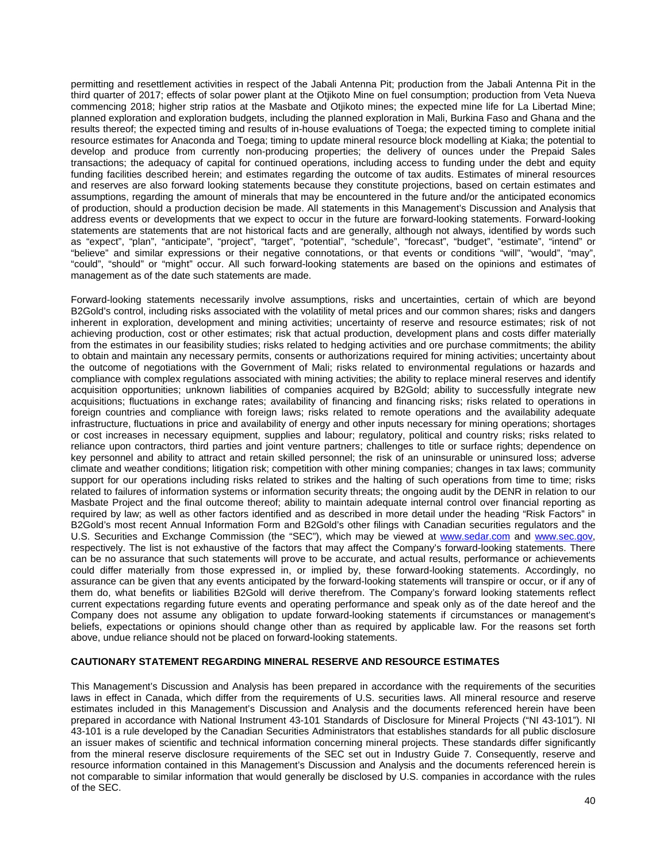permitting and resettlement activities in respect of the Jabali Antenna Pit; production from the Jabali Antenna Pit in the third quarter of 2017; effects of solar power plant at the Otjikoto Mine on fuel consumption; production from Veta Nueva commencing 2018; higher strip ratios at the Masbate and Otjikoto mines; the expected mine life for La Libertad Mine; planned exploration and exploration budgets, including the planned exploration in Mali, Burkina Faso and Ghana and the results thereof; the expected timing and results of in-house evaluations of Toega; the expected timing to complete initial resource estimates for Anaconda and Toega; timing to update mineral resource block modelling at Kiaka; the potential to develop and produce from currently non-producing properties; the delivery of ounces under the Prepaid Sales transactions; the adequacy of capital for continued operations, including access to funding under the debt and equity funding facilities described herein; and estimates regarding the outcome of tax audits. Estimates of mineral resources and reserves are also forward looking statements because they constitute projections, based on certain estimates and assumptions, regarding the amount of minerals that may be encountered in the future and/or the anticipated economics of production, should a production decision be made. All statements in this Management's Discussion and Analysis that address events or developments that we expect to occur in the future are forward-looking statements. Forward-looking statements are statements that are not historical facts and are generally, although not always, identified by words such as "expect", "plan", "anticipate", "project", "target", "potential", "schedule", "forecast", "budget", "estimate", "intend" or "believe" and similar expressions or their negative connotations, or that events or conditions "will", "would", "may", "could", "should" or "might" occur. All such forward-looking statements are based on the opinions and estimates of management as of the date such statements are made.

Forward-looking statements necessarily involve assumptions, risks and uncertainties, certain of which are beyond B2Gold's control, including risks associated with the volatility of metal prices and our common shares; risks and dangers inherent in exploration, development and mining activities; uncertainty of reserve and resource estimates; risk of not achieving production, cost or other estimates; risk that actual production, development plans and costs differ materially from the estimates in our feasibility studies; risks related to hedging activities and ore purchase commitments; the ability to obtain and maintain any necessary permits, consents or authorizations required for mining activities; uncertainty about the outcome of negotiations with the Government of Mali; risks related to environmental regulations or hazards and compliance with complex regulations associated with mining activities; the ability to replace mineral reserves and identify acquisition opportunities; unknown liabilities of companies acquired by B2Gold; ability to successfully integrate new acquisitions; fluctuations in exchange rates; availability of financing and financing risks; risks related to operations in foreign countries and compliance with foreign laws; risks related to remote operations and the availability adequate infrastructure, fluctuations in price and availability of energy and other inputs necessary for mining operations; shortages or cost increases in necessary equipment, supplies and labour; regulatory, political and country risks; risks related to reliance upon contractors, third parties and joint venture partners; challenges to title or surface rights; dependence on key personnel and ability to attract and retain skilled personnel; the risk of an uninsurable or uninsured loss; adverse climate and weather conditions; litigation risk; competition with other mining companies; changes in tax laws; community support for our operations including risks related to strikes and the halting of such operations from time to time; risks related to failures of information systems or information security threats; the ongoing audit by the DENR in relation to our Masbate Project and the final outcome thereof; ability to maintain adequate internal control over financial reporting as required by law; as well as other factors identified and as described in more detail under the heading "Risk Factors" in B2Gold's most recent Annual Information Form and B2Gold's other filings with Canadian securities regulators and the U.S. Securities and Exchange Commission (the "SEC"), which may be viewed at [www.sedar.com](http://www.sedar.com/) and www.sec.gov, respectively. The list is not exhaustive of the factors that may affect the Company's forward-looking statements. There can be no assurance that such statements will prove to be accurate, and actual results, performance or achievements could differ materially from those expressed in, or implied by, these forward-looking statements. Accordingly, no assurance can be given that any events anticipated by the forward-looking statements will transpire or occur, or if any of them do, what benefits or liabilities B2Gold will derive therefrom. The Company's forward looking statements reflect current expectations regarding future events and operating performance and speak only as of the date hereof and the Company does not assume any obligation to update forward-looking statements if circumstances or management's beliefs, expectations or opinions should change other than as required by applicable law. For the reasons set forth above, undue reliance should not be placed on forward-looking statements.

# **CAUTIONARY STATEMENT REGARDING MINERAL RESERVE AND RESOURCE ESTIMATES**

This Management's Discussion and Analysis has been prepared in accordance with the requirements of the securities laws in effect in Canada, which differ from the requirements of U.S. securities laws. All mineral resource and reserve estimates included in this Management's Discussion and Analysis and the documents referenced herein have been prepared in accordance with National Instrument 43-101 Standards of Disclosure for Mineral Projects ("NI 43-101"). NI 43-101 is a rule developed by the Canadian Securities Administrators that establishes standards for all public disclosure an issuer makes of scientific and technical information concerning mineral projects. These standards differ significantly from the mineral reserve disclosure requirements of the SEC set out in Industry Guide 7. Consequently, reserve and resource information contained in this Management's Discussion and Analysis and the documents referenced herein is not comparable to similar information that would generally be disclosed by U.S. companies in accordance with the rules of the SEC.